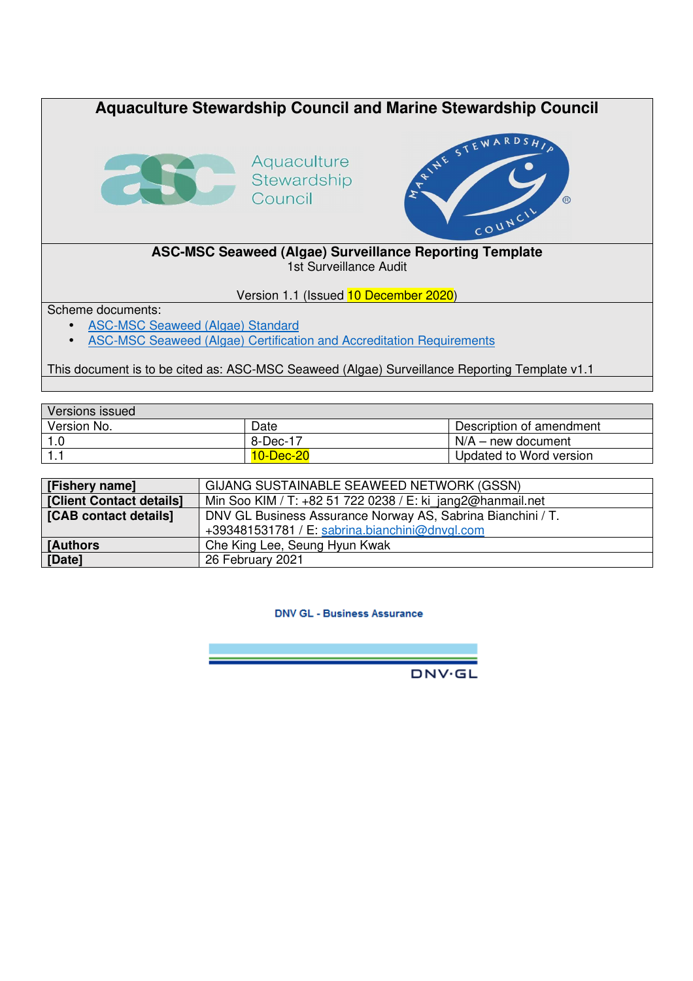

This document is to be cited as: ASC-MSC Seaweed (Algae) Surveillance Reporting Template v1.1

| Versions issued |           |                          |
|-----------------|-----------|--------------------------|
| Version No.     | Date      | Description of amendment |
|                 | 8-Dec-17  | ⊥ N/A – new document     |
|                 | 10-Dec-20 | Updated to Word version  |

| [Fishery name]           | GIJANG SUSTAINABLE SEAWEED NETWORK (GSSN)                   |
|--------------------------|-------------------------------------------------------------|
| [Client Contact details] | Min Soo KIM / T: +82 51 722 0238 / E: ki jang2@hanmail.net  |
| [CAB contact details]    | DNV GL Business Assurance Norway AS, Sabrina Bianchini / T. |
|                          | +393481531781 / E: sabrina.bianchini@dnvgl.com              |
| <b>I</b> Authors         | Che King Lee, Seung Hyun Kwak                               |
| [Date]                   | 26 February 2021                                            |

**DNV GL - Business Assurance** 

**DNV·GL**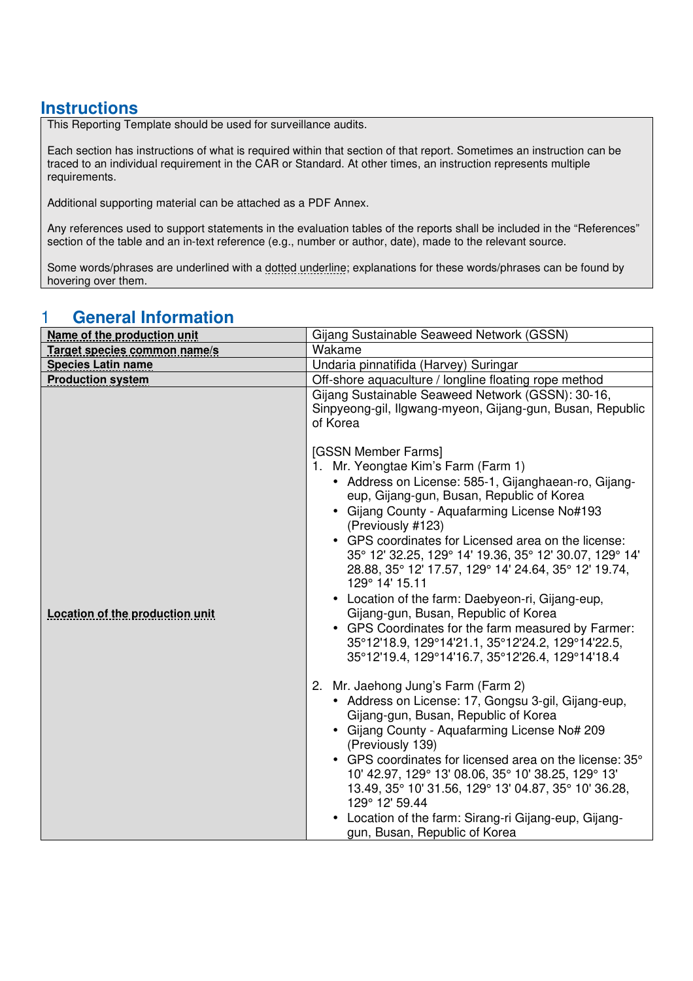### **Instructions**

This Reporting Template should be used for surveillance audits.

Each section has instructions of what is required within that section of that report. Sometimes an instruction can be traced to an individual requirement in the CAR or Standard. At other times, an instruction represents multiple requirements.

Additional supporting material can be attached as a PDF Annex.

Any references used to support statements in the evaluation tables of the reports shall be included in the "References" section of the table and an in-text reference (e.g., number or author, date), made to the relevant source.

Some words/phrases are underlined with a dotted underline; explanations for these words/phrases can be found by hovering over them.

#### **Name of the production unit** Gijang Sustainable Seaweed Network (GSSN) **Target species common name/s** Wakame **Species Latin name Undaria pinnatifida (Harvey) Suringar Species Latin name Production system Production system CH Off-shore aquaculture** / longline floating rope method **Location of the production unit** Gijang Sustainable Seaweed Network (GSSN): 30-16, Sinpyeong-gil, Ilgwang-myeon, Gijang-gun, Busan, Republic of Korea [GSSN Member Farms] 1. Mr. Yeongtae Kim's Farm (Farm 1) • Address on License: 585-1, Gijanghaean-ro, Gijangeup, Gijang-gun, Busan, Republic of Korea • Gijang County - Aquafarming License No#193 (Previously #123) • GPS coordinates for Licensed area on the license: 35° 12' 32.25, 129° 14' 19.36, 35° 12' 30.07, 129° 14' 28.88, 35° 12' 17.57, 129° 14' 24.64, 35° 12' 19.74, 129° 14' 15.11 • Location of the farm: Daebyeon-ri, Gijang-eup, Gijang-gun, Busan, Republic of Korea • GPS Coordinates for the farm measured by Farmer: 35°12'18.9, 129°14'21.1, 35°12'24.2, 129°14'22.5, 35°12'19.4, 129°14'16.7, 35°12'26.4, 129°14'18.4 2. Mr. Jaehong Jung's Farm (Farm 2) • Address on License: 17, Gongsu 3-gil, Gijang-eup, Gijang-gun, Busan, Republic of Korea • Gijang County - Aquafarming License No# 209 (Previously 139) • GPS coordinates for licensed area on the license: 35° 10' 42.97, 129° 13' 08.06, 35° 10' 38.25, 129° 13' 13.49, 35° 10' 31.56, 129° 13' 04.87, 35° 10' 36.28, 129° 12' 59.44 • Location of the farm: Sirang-ri Gijang-eup, Gijanggun, Busan, Republic of Korea

## 1 **General Information**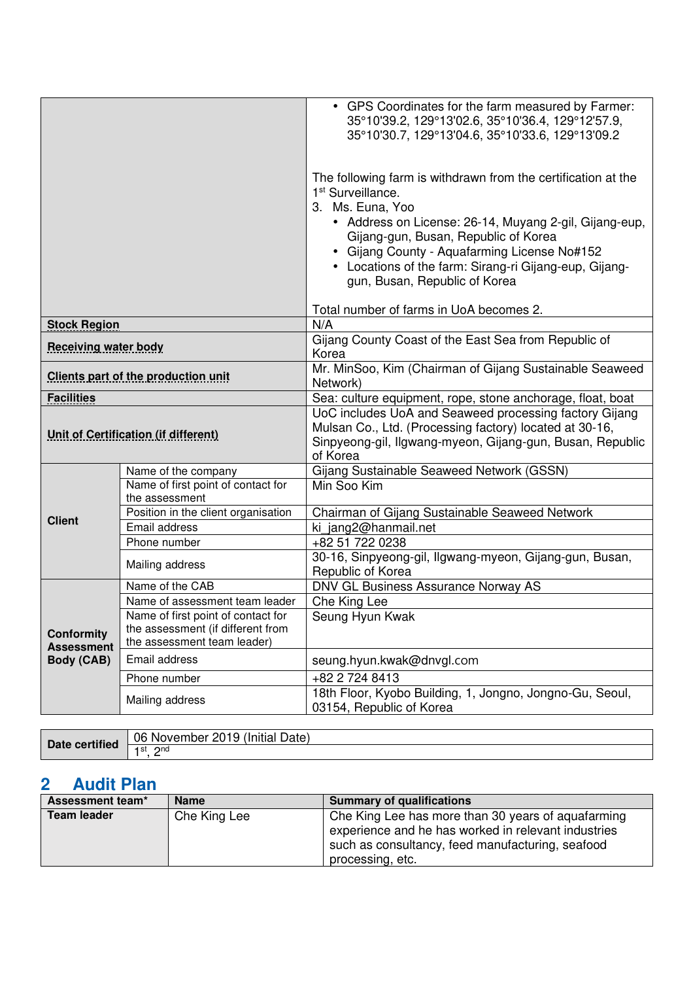|                                                    |                                                                                                        | • GPS Coordinates for the farm measured by Farmer:<br>35°10'39.2, 129°13'02.6, 35°10'36.4, 129°12'57.9,<br>35°10'30.7, 129°13'04.6, 35°10'33.6, 129°13'09.2                                                                                                                                                                                                     |  |
|----------------------------------------------------|--------------------------------------------------------------------------------------------------------|-----------------------------------------------------------------------------------------------------------------------------------------------------------------------------------------------------------------------------------------------------------------------------------------------------------------------------------------------------------------|--|
|                                                    |                                                                                                        | The following farm is withdrawn from the certification at the<br>1 <sup>st</sup> Surveillance.<br>3. Ms. Euna, Yoo<br>• Address on License: 26-14, Muyang 2-gil, Gijang-eup,<br>Gijang-gun, Busan, Republic of Korea<br>• Gijang County - Aquafarming License No#152<br>• Locations of the farm: Sirang-ri Gijang-eup, Gijang-<br>gun, Busan, Republic of Korea |  |
|                                                    |                                                                                                        | Total number of farms in UoA becomes 2.                                                                                                                                                                                                                                                                                                                         |  |
| <b>Stock Region</b><br><b>Receiving water body</b> |                                                                                                        | N/A<br>Gijang County Coast of the East Sea from Republic of<br>Korea                                                                                                                                                                                                                                                                                            |  |
| <b>Clients part of the production unit</b>         |                                                                                                        | Mr. MinSoo, Kim (Chairman of Gijang Sustainable Seaweed<br>Network)                                                                                                                                                                                                                                                                                             |  |
| <b>Facilities</b>                                  |                                                                                                        | Sea: culture equipment, rope, stone anchorage, float, boat                                                                                                                                                                                                                                                                                                      |  |
| <b>Unit of Certification (if different)</b>        |                                                                                                        | UoC includes UoA and Seaweed processing factory Gijang<br>Mulsan Co., Ltd. (Processing factory) located at 30-16,<br>Sinpyeong-gil, Ilgwang-myeon, Gijang-gun, Busan, Republic<br>of Korea                                                                                                                                                                      |  |
|                                                    | Name of the company                                                                                    | Gijang Sustainable Seaweed Network (GSSN)                                                                                                                                                                                                                                                                                                                       |  |
|                                                    | Name of first point of contact for<br>the assessment                                                   | Min Soo Kim                                                                                                                                                                                                                                                                                                                                                     |  |
| <b>Client</b>                                      | Position in the client organisation                                                                    | Chairman of Gijang Sustainable Seaweed Network                                                                                                                                                                                                                                                                                                                  |  |
|                                                    | Email address                                                                                          | ki jang2@hanmail.net                                                                                                                                                                                                                                                                                                                                            |  |
|                                                    | Phone number                                                                                           | +82 51 722 0238                                                                                                                                                                                                                                                                                                                                                 |  |
|                                                    | Mailing address                                                                                        | 30-16, Sinpyeong-gil, Ilgwang-myeon, Gijang-gun, Busan,<br>Republic of Korea                                                                                                                                                                                                                                                                                    |  |
|                                                    | Name of the CAB                                                                                        | DNV GL Business Assurance Norway AS                                                                                                                                                                                                                                                                                                                             |  |
|                                                    | Name of assessment team leader                                                                         | Che King Lee                                                                                                                                                                                                                                                                                                                                                    |  |
| <b>Conformity</b><br><b>Assessment</b>             | Name of first point of contact for<br>the assessment (if different from<br>the assessment team leader) | Seung Hyun Kwak                                                                                                                                                                                                                                                                                                                                                 |  |
| Body (CAB)                                         | Email address                                                                                          | seung.hyun.kwak@dnvgl.com                                                                                                                                                                                                                                                                                                                                       |  |
|                                                    | Phone number                                                                                           | +82 2 724 8413                                                                                                                                                                                                                                                                                                                                                  |  |
| Mailing address                                    |                                                                                                        | 18th Floor, Kyobo Building, 1, Jongno, Jongno-Gu, Seoul,<br>03154, Republic of Korea                                                                                                                                                                                                                                                                            |  |

| $\cdot$ certified $\cdot$ | 06<br>.<br>_<br>Date)<br>.<br>. .<br><b>NOVEI</b><br>прег<br>Ήſ<br>iitial<br>Lv<br>. . |
|---------------------------|----------------------------------------------------------------------------------------|
|                           | l st<br>ond<br><u>_</u>                                                                |

# **2 Audit Plan**

| Assessment team* | <b>Name</b>  | <b>Summary of qualifications</b>                                                                                                                                                  |
|------------------|--------------|-----------------------------------------------------------------------------------------------------------------------------------------------------------------------------------|
| Team leader      | Che King Lee | Che King Lee has more than 30 years of aquafarming<br>experience and he has worked in relevant industries<br>such as consultancy, feed manufacturing, seafood<br>processing, etc. |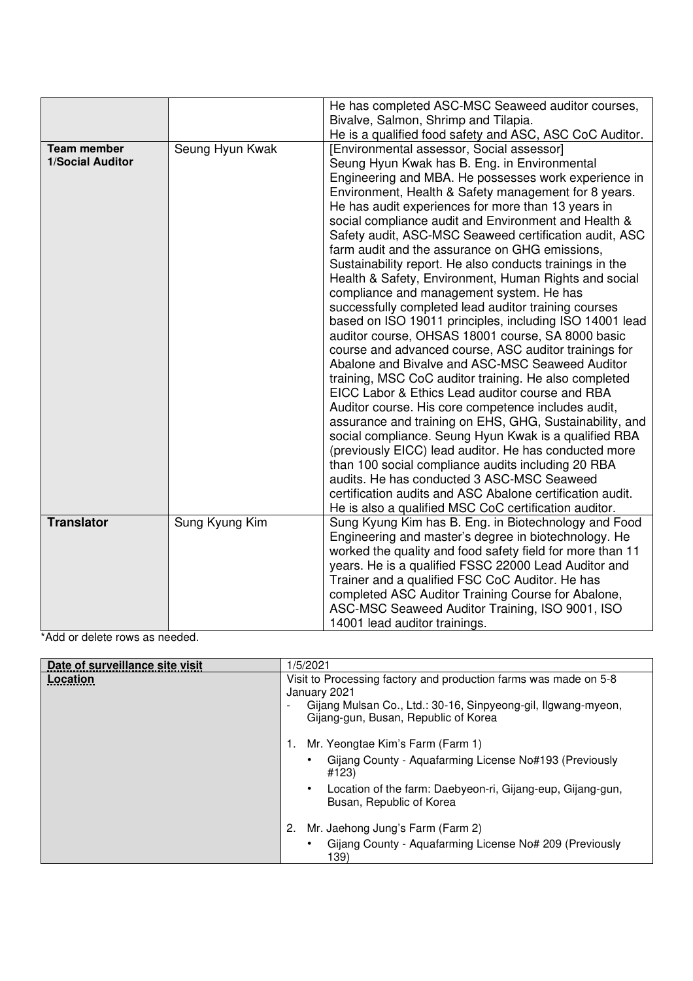|                                               |                 | He has completed ASC-MSC Seaweed auditor courses,<br>Bivalve, Salmon, Shrimp and Tilapia.<br>He is a qualified food safety and ASC, ASC CoC Auditor.                                                                                                                                                                                                                                                                                                                                                                                                                                                                                                                                                                                                                                                                                                                                                                                                                                                                                                                                                                                                                                                                                                                                                                                                                                                                                                               |
|-----------------------------------------------|-----------------|--------------------------------------------------------------------------------------------------------------------------------------------------------------------------------------------------------------------------------------------------------------------------------------------------------------------------------------------------------------------------------------------------------------------------------------------------------------------------------------------------------------------------------------------------------------------------------------------------------------------------------------------------------------------------------------------------------------------------------------------------------------------------------------------------------------------------------------------------------------------------------------------------------------------------------------------------------------------------------------------------------------------------------------------------------------------------------------------------------------------------------------------------------------------------------------------------------------------------------------------------------------------------------------------------------------------------------------------------------------------------------------------------------------------------------------------------------------------|
| <b>Team member</b><br><b>1/Social Auditor</b> | Seung Hyun Kwak | [Environmental assessor, Social assessor]<br>Seung Hyun Kwak has B. Eng. in Environmental<br>Engineering and MBA. He possesses work experience in<br>Environment, Health & Safety management for 8 years.<br>He has audit experiences for more than 13 years in<br>social compliance audit and Environment and Health &<br>Safety audit, ASC-MSC Seaweed certification audit, ASC<br>farm audit and the assurance on GHG emissions,<br>Sustainability report. He also conducts trainings in the<br>Health & Safety, Environment, Human Rights and social<br>compliance and management system. He has<br>successfully completed lead auditor training courses<br>based on ISO 19011 principles, including ISO 14001 lead<br>auditor course, OHSAS 18001 course, SA 8000 basic<br>course and advanced course, ASC auditor trainings for<br>Abalone and Bivalve and ASC-MSC Seaweed Auditor<br>training, MSC CoC auditor training. He also completed<br>EICC Labor & Ethics Lead auditor course and RBA<br>Auditor course. His core competence includes audit,<br>assurance and training on EHS, GHG, Sustainability, and<br>social compliance. Seung Hyun Kwak is a qualified RBA<br>(previously EICC) lead auditor. He has conducted more<br>than 100 social compliance audits including 20 RBA<br>audits. He has conducted 3 ASC-MSC Seaweed<br>certification audits and ASC Abalone certification audit.<br>He is also a qualified MSC CoC certification auditor. |
| <b>Translator</b>                             | Sung Kyung Kim  | Sung Kyung Kim has B. Eng. in Biotechnology and Food<br>Engineering and master's degree in biotechnology. He<br>worked the quality and food safety field for more than 11<br>years. He is a qualified FSSC 22000 Lead Auditor and<br>Trainer and a qualified FSC CoC Auditor. He has<br>completed ASC Auditor Training Course for Abalone,<br>ASC-MSC Seaweed Auditor Training, ISO 9001, ISO<br>14001 lead auditor trainings.                                                                                                                                                                                                                                                                                                                                                                                                                                                                                                                                                                                                                                                                                                                                                                                                                                                                                                                                                                                                                                     |

\*Add or delete rows as needed.

| Date of surveillance site visit | 1/5/2021                                                                                                                                                                                       |  |
|---------------------------------|------------------------------------------------------------------------------------------------------------------------------------------------------------------------------------------------|--|
| Location                        | Visit to Processing factory and production farms was made on 5-8<br>January 2021<br>Gijang Mulsan Co., Ltd.: 30-16, Sinpyeong-gil, Ilgwang-myeon,<br>۰<br>Gijang-gun, Busan, Republic of Korea |  |
|                                 | Mr. Yeongtae Kim's Farm (Farm 1)                                                                                                                                                               |  |
|                                 | Gijang County - Aquafarming License No#193 (Previously<br>#123)                                                                                                                                |  |
|                                 | Location of the farm: Daebyeon-ri, Gijang-eup, Gijang-gun,<br>Busan, Republic of Korea                                                                                                         |  |
|                                 | Mr. Jaehong Jung's Farm (Farm 2)<br>2.                                                                                                                                                         |  |
|                                 | Gijang County - Aquafarming License No# 209 (Previously<br>139)                                                                                                                                |  |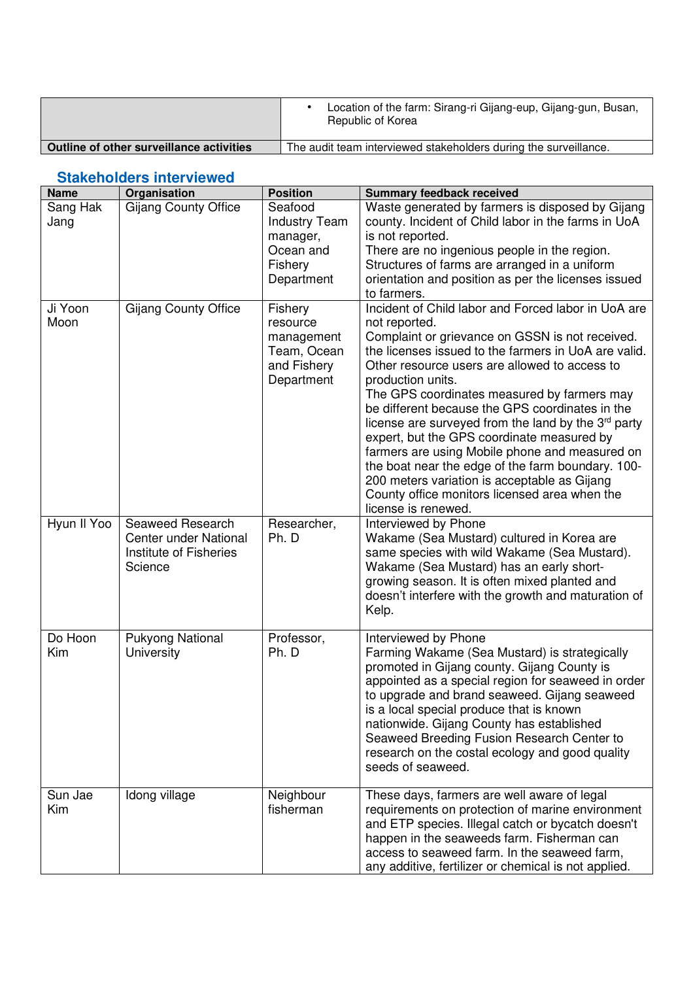|                                          | Location of the farm: Sirang-ri Gijang-eup, Gijang-gun, Busan,<br>Republic of Korea |
|------------------------------------------|-------------------------------------------------------------------------------------|
| Outline of other surveillance activities | The audit team interviewed stakeholders during the surveillance.                    |

## **Stakeholders interviewed**

| <b>Name</b>      | Organisation                                                                   | <b>Position</b>                                                                   | <b>Summary feedback received</b>                                                                                                                                                                                                                                                                                                                                                                                                                                                                                                                                                                                                                                                            |
|------------------|--------------------------------------------------------------------------------|-----------------------------------------------------------------------------------|---------------------------------------------------------------------------------------------------------------------------------------------------------------------------------------------------------------------------------------------------------------------------------------------------------------------------------------------------------------------------------------------------------------------------------------------------------------------------------------------------------------------------------------------------------------------------------------------------------------------------------------------------------------------------------------------|
| Sang Hak<br>Jang | <b>Gijang County Office</b>                                                    | Seafood<br><b>Industry Team</b><br>manager,<br>Ocean and<br>Fishery<br>Department | Waste generated by farmers is disposed by Gijang<br>county. Incident of Child labor in the farms in UoA<br>is not reported.<br>There are no ingenious people in the region.<br>Structures of farms are arranged in a uniform<br>orientation and position as per the licenses issued<br>to farmers.                                                                                                                                                                                                                                                                                                                                                                                          |
| Ji Yoon<br>Moon  | <b>Gijang County Office</b>                                                    | Fishery<br>resource<br>management<br>Team, Ocean<br>and Fishery<br>Department     | Incident of Child labor and Forced labor in UoA are<br>not reported.<br>Complaint or grievance on GSSN is not received.<br>the licenses issued to the farmers in UoA are valid.<br>Other resource users are allowed to access to<br>production units.<br>The GPS coordinates measured by farmers may<br>be different because the GPS coordinates in the<br>license are surveyed from the land by the 3rd party<br>expert, but the GPS coordinate measured by<br>farmers are using Mobile phone and measured on<br>the boat near the edge of the farm boundary. 100-<br>200 meters variation is acceptable as Gijang<br>County office monitors licensed area when the<br>license is renewed. |
| Hyun II Yoo      | Seaweed Research<br>Center under National<br>Institute of Fisheries<br>Science | Researcher,<br>Ph. D                                                              | Interviewed by Phone<br>Wakame (Sea Mustard) cultured in Korea are<br>same species with wild Wakame (Sea Mustard).<br>Wakame (Sea Mustard) has an early short-<br>growing season. It is often mixed planted and<br>doesn't interfere with the growth and maturation of<br>Kelp.                                                                                                                                                                                                                                                                                                                                                                                                             |
| Do Hoon<br>Kim   | Pukyong National<br>University                                                 | Professor,<br>Ph. D                                                               | Interviewed by Phone<br>Farming Wakame (Sea Mustard) is strategically<br>promoted in Gijang county. Gijang County is<br>appointed as a special region for seaweed in order<br>to upgrade and brand seaweed. Gijang seaweed<br>is a local special produce that is known<br>nationwide. Gijang County has established<br>Seaweed Breeding Fusion Research Center to<br>research on the costal ecology and good quality<br>seeds of seaweed.                                                                                                                                                                                                                                                   |
| Sun Jae<br>Kim   | Idong village                                                                  | Neighbour<br>fisherman                                                            | These days, farmers are well aware of legal<br>requirements on protection of marine environment<br>and ETP species. Illegal catch or bycatch doesn't<br>happen in the seaweeds farm. Fisherman can<br>access to seaweed farm. In the seaweed farm,<br>any additive, fertilizer or chemical is not applied.                                                                                                                                                                                                                                                                                                                                                                                  |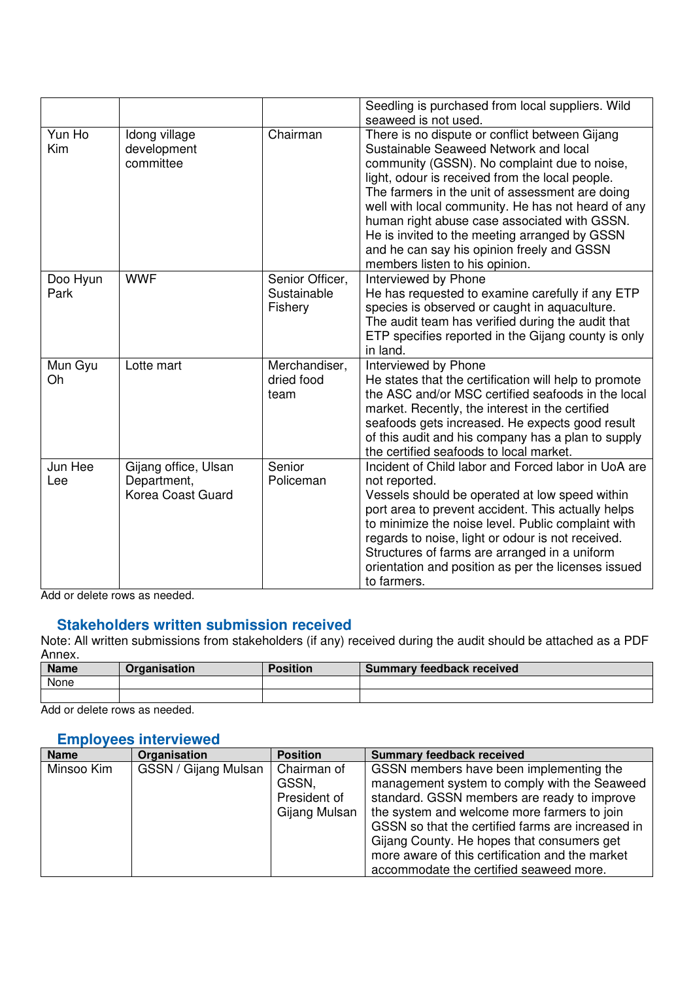|                  |                                                          |                                           | Seedling is purchased from local suppliers. Wild<br>seaweed is not used.                                                                                                                                                                                                                                                                                                                                                                                                             |
|------------------|----------------------------------------------------------|-------------------------------------------|--------------------------------------------------------------------------------------------------------------------------------------------------------------------------------------------------------------------------------------------------------------------------------------------------------------------------------------------------------------------------------------------------------------------------------------------------------------------------------------|
| Yun Ho<br>Kim    | Idong village<br>development<br>committee                | Chairman                                  | There is no dispute or conflict between Gijang<br>Sustainable Seaweed Network and local<br>community (GSSN). No complaint due to noise,<br>light, odour is received from the local people.<br>The farmers in the unit of assessment are doing<br>well with local community. He has not heard of any<br>human right abuse case associated with GSSN.<br>He is invited to the meeting arranged by GSSN<br>and he can say his opinion freely and GSSN<br>members listen to his opinion. |
| Doo Hyun<br>Park | <b>WWF</b>                                               | Senior Officer,<br>Sustainable<br>Fishery | Interviewed by Phone<br>He has requested to examine carefully if any ETP<br>species is observed or caught in aquaculture.<br>The audit team has verified during the audit that<br>ETP specifies reported in the Gijang county is only<br>in land.                                                                                                                                                                                                                                    |
| Mun Gyu<br>Oh    | Lotte mart                                               | Merchandiser,<br>dried food<br>team       | Interviewed by Phone<br>He states that the certification will help to promote<br>the ASC and/or MSC certified seafoods in the local<br>market. Recently, the interest in the certified<br>seafoods gets increased. He expects good result<br>of this audit and his company has a plan to supply<br>the certified seafoods to local market.                                                                                                                                           |
| Jun Hee<br>Lee   | Gijang office, Ulsan<br>Department,<br>Korea Coast Guard | Senior<br>Policeman                       | Incident of Child labor and Forced labor in UoA are<br>not reported.<br>Vessels should be operated at low speed within<br>port area to prevent accident. This actually helps<br>to minimize the noise level. Public complaint with<br>regards to noise, light or odour is not received.<br>Structures of farms are arranged in a uniform<br>orientation and position as per the licenses issued<br>to farmers.                                                                       |

Add or delete rows as needed.

#### **Stakeholders written submission received**

Note: All written submissions from stakeholders (if any) received during the audit should be attached as a PDF Annex.

| <b>Name</b> | Organisation | <b>Position</b> | <b>Summary feedback received</b> |
|-------------|--------------|-----------------|----------------------------------|
| None        |              |                 |                                  |
|             |              |                 |                                  |

Add or delete rows as needed.

### **Employees interviewed**

| <b>Name</b> | Organisation         | <b>Position</b> | <b>Summary feedback received</b>                  |
|-------------|----------------------|-----------------|---------------------------------------------------|
| Minsoo Kim  | GSSN / Gijang Mulsan | Chairman of     | GSSN members have been implementing the           |
|             |                      | GSSN,           | management system to comply with the Seaweed      |
|             |                      | President of    | standard. GSSN members are ready to improve       |
|             |                      | Gijang Mulsan   | the system and welcome more farmers to join       |
|             |                      |                 | GSSN so that the certified farms are increased in |
|             |                      |                 | Gijang County. He hopes that consumers get        |
|             |                      |                 | more aware of this certification and the market   |
|             |                      |                 | accommodate the certified seaweed more.           |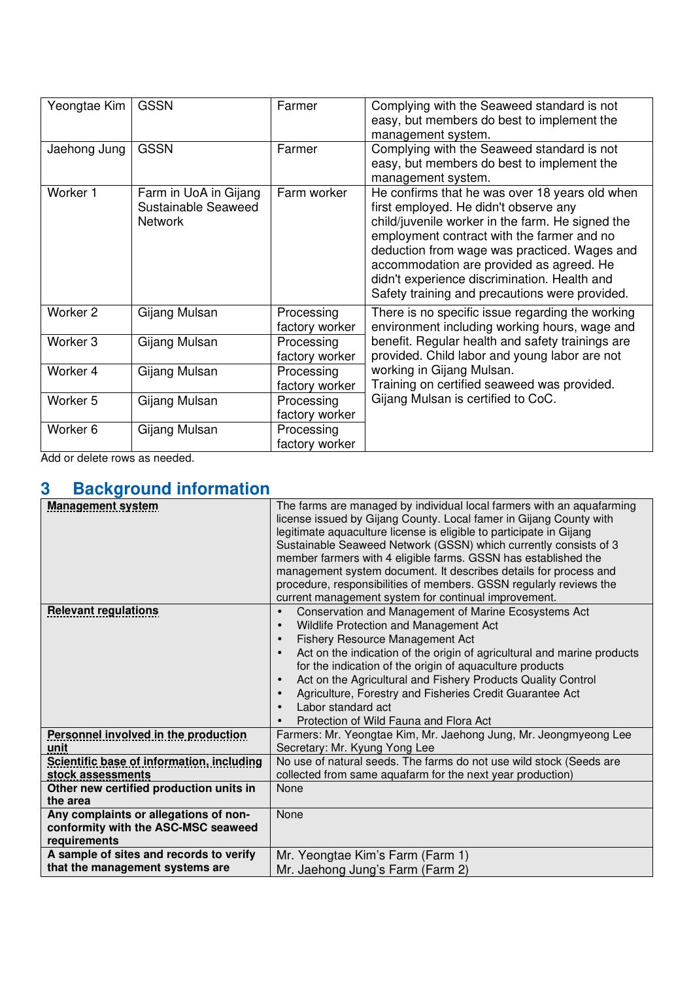| Yeongtae Kim        | <b>GSSN</b>                                                    | Farmer                       | Complying with the Seaweed standard is not<br>easy, but members do best to implement the                                                                                                                                                                                                                                                                                                |
|---------------------|----------------------------------------------------------------|------------------------------|-----------------------------------------------------------------------------------------------------------------------------------------------------------------------------------------------------------------------------------------------------------------------------------------------------------------------------------------------------------------------------------------|
| Jaehong Jung        | <b>GSSN</b>                                                    | Farmer                       | management system.<br>Complying with the Seaweed standard is not<br>easy, but members do best to implement the<br>management system.                                                                                                                                                                                                                                                    |
| Worker 1            | Farm in UoA in Gijang<br>Sustainable Seaweed<br><b>Network</b> | Farm worker                  | He confirms that he was over 18 years old when<br>first employed. He didn't observe any<br>child/juvenile worker in the farm. He signed the<br>employment contract with the farmer and no<br>deduction from wage was practiced. Wages and<br>accommodation are provided as agreed. He<br>didn't experience discrimination. Health and<br>Safety training and precautions were provided. |
| Worker <sub>2</sub> | Gijang Mulsan                                                  | Processing<br>factory worker | There is no specific issue regarding the working<br>environment including working hours, wage and                                                                                                                                                                                                                                                                                       |
| Worker <sub>3</sub> | Gijang Mulsan                                                  | Processing<br>factory worker | benefit. Regular health and safety trainings are<br>provided. Child labor and young labor are not                                                                                                                                                                                                                                                                                       |
| Worker 4            | Gijang Mulsan                                                  | Processing<br>factory worker | working in Gijang Mulsan.<br>Training on certified seaweed was provided.                                                                                                                                                                                                                                                                                                                |
| Worker 5            | Gijang Mulsan                                                  | Processing<br>factory worker | Gijang Mulsan is certified to CoC.                                                                                                                                                                                                                                                                                                                                                      |
| Worker <sub>6</sub> | Gijang Mulsan                                                  | Processing<br>factory worker |                                                                                                                                                                                                                                                                                                                                                                                         |

Add or delete rows as needed.

## **3 Background information**

| <b>Management system</b>                    | The farms are managed by individual local farmers with an aquafarming<br>license issued by Gijang County. Local famer in Gijang County with<br>legitimate aquaculture license is eligible to participate in Gijang<br>Sustainable Seaweed Network (GSSN) which currently consists of 3<br>member farmers with 4 eligible farms. GSSN has established the<br>management system document. It describes details for process and<br>procedure, responsibilities of members. GSSN regularly reviews the<br>current management system for continual improvement. |
|---------------------------------------------|------------------------------------------------------------------------------------------------------------------------------------------------------------------------------------------------------------------------------------------------------------------------------------------------------------------------------------------------------------------------------------------------------------------------------------------------------------------------------------------------------------------------------------------------------------|
| <b>Relevant regulations</b>                 | Conservation and Management of Marine Ecosystems Act<br>$\bullet$                                                                                                                                                                                                                                                                                                                                                                                                                                                                                          |
|                                             | Wildlife Protection and Management Act<br>$\bullet$                                                                                                                                                                                                                                                                                                                                                                                                                                                                                                        |
|                                             | Fishery Resource Management Act                                                                                                                                                                                                                                                                                                                                                                                                                                                                                                                            |
|                                             |                                                                                                                                                                                                                                                                                                                                                                                                                                                                                                                                                            |
|                                             | Act on the indication of the origin of agricultural and marine products                                                                                                                                                                                                                                                                                                                                                                                                                                                                                    |
|                                             | for the indication of the origin of aquaculture products                                                                                                                                                                                                                                                                                                                                                                                                                                                                                                   |
|                                             | Act on the Agricultural and Fishery Products Quality Control                                                                                                                                                                                                                                                                                                                                                                                                                                                                                               |
|                                             | Agriculture, Forestry and Fisheries Credit Guarantee Act                                                                                                                                                                                                                                                                                                                                                                                                                                                                                                   |
|                                             | Labor standard act                                                                                                                                                                                                                                                                                                                                                                                                                                                                                                                                         |
|                                             | Protection of Wild Fauna and Flora Act                                                                                                                                                                                                                                                                                                                                                                                                                                                                                                                     |
| <b>Personnel involved in the production</b> | Farmers: Mr. Yeongtae Kim, Mr. Jaehong Jung, Mr. Jeongmyeong Lee                                                                                                                                                                                                                                                                                                                                                                                                                                                                                           |
| unit                                        | Secretary: Mr. Kyung Yong Lee                                                                                                                                                                                                                                                                                                                                                                                                                                                                                                                              |
| Scientific base of information, including   | No use of natural seeds. The farms do not use wild stock (Seeds are                                                                                                                                                                                                                                                                                                                                                                                                                                                                                        |
| stock assessments                           | collected from same aquafarm for the next year production)                                                                                                                                                                                                                                                                                                                                                                                                                                                                                                 |
| Other new certified production units in     | None                                                                                                                                                                                                                                                                                                                                                                                                                                                                                                                                                       |
| the area                                    |                                                                                                                                                                                                                                                                                                                                                                                                                                                                                                                                                            |
| Any complaints or allegations of non-       | None                                                                                                                                                                                                                                                                                                                                                                                                                                                                                                                                                       |
| conformity with the ASC-MSC seaweed         |                                                                                                                                                                                                                                                                                                                                                                                                                                                                                                                                                            |
| requirements                                |                                                                                                                                                                                                                                                                                                                                                                                                                                                                                                                                                            |
| A sample of sites and records to verify     | Mr. Yeongtae Kim's Farm (Farm 1)                                                                                                                                                                                                                                                                                                                                                                                                                                                                                                                           |
| that the management systems are             | Mr. Jaehong Jung's Farm (Farm 2)                                                                                                                                                                                                                                                                                                                                                                                                                                                                                                                           |
|                                             |                                                                                                                                                                                                                                                                                                                                                                                                                                                                                                                                                            |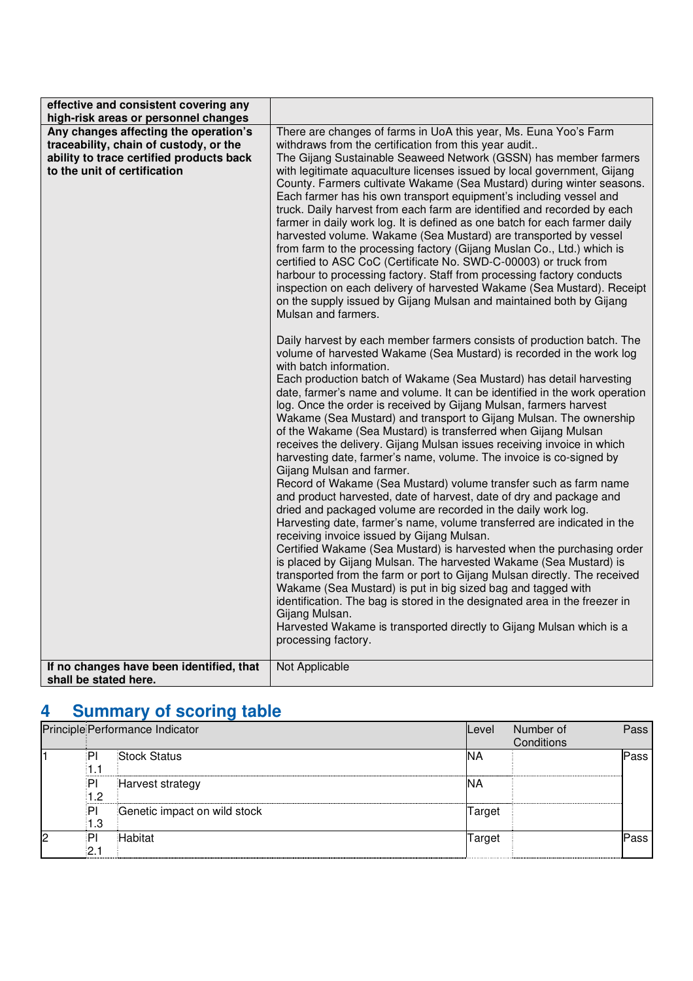| effective and consistent covering any<br>high-risk areas or personnel changes                                                                               |                                                                                                                                                                                                                                                                                                                                                                                                                                                                                                                                                                                                                                                                                                                                                                                                                                                                                                                                                                                                                                                                                                                                                                                                                                                                                                                                                                                              |
|-------------------------------------------------------------------------------------------------------------------------------------------------------------|----------------------------------------------------------------------------------------------------------------------------------------------------------------------------------------------------------------------------------------------------------------------------------------------------------------------------------------------------------------------------------------------------------------------------------------------------------------------------------------------------------------------------------------------------------------------------------------------------------------------------------------------------------------------------------------------------------------------------------------------------------------------------------------------------------------------------------------------------------------------------------------------------------------------------------------------------------------------------------------------------------------------------------------------------------------------------------------------------------------------------------------------------------------------------------------------------------------------------------------------------------------------------------------------------------------------------------------------------------------------------------------------|
| Any changes affecting the operation's<br>traceability, chain of custody, or the<br>ability to trace certified products back<br>to the unit of certification | There are changes of farms in UoA this year, Ms. Euna Yoo's Farm<br>withdraws from the certification from this year audit<br>The Gijang Sustainable Seaweed Network (GSSN) has member farmers<br>with legitimate aquaculture licenses issued by local government, Gijang<br>County. Farmers cultivate Wakame (Sea Mustard) during winter seasons.<br>Each farmer has his own transport equipment's including vessel and<br>truck. Daily harvest from each farm are identified and recorded by each<br>farmer in daily work log. It is defined as one batch for each farmer daily<br>harvested volume. Wakame (Sea Mustard) are transported by vessel<br>from farm to the processing factory (Gijang Muslan Co., Ltd.) which is<br>certified to ASC CoC (Certificate No. SWD-C-00003) or truck from<br>harbour to processing factory. Staff from processing factory conducts<br>inspection on each delivery of harvested Wakame (Sea Mustard). Receipt<br>on the supply issued by Gijang Mulsan and maintained both by Gijang<br>Mulsan and farmers.<br>Daily harvest by each member farmers consists of production batch. The<br>volume of harvested Wakame (Sea Mustard) is recorded in the work log<br>with batch information.                                                                                                                                                             |
| If no changes have been identified, that                                                                                                                    | Each production batch of Wakame (Sea Mustard) has detail harvesting<br>date, farmer's name and volume. It can be identified in the work operation<br>log. Once the order is received by Gijang Mulsan, farmers harvest<br>Wakame (Sea Mustard) and transport to Gijang Mulsan. The ownership<br>of the Wakame (Sea Mustard) is transferred when Gijang Mulsan<br>receives the delivery. Gijang Mulsan issues receiving invoice in which<br>harvesting date, farmer's name, volume. The invoice is co-signed by<br>Gijang Mulsan and farmer.<br>Record of Wakame (Sea Mustard) volume transfer such as farm name<br>and product harvested, date of harvest, date of dry and package and<br>dried and packaged volume are recorded in the daily work log.<br>Harvesting date, farmer's name, volume transferred are indicated in the<br>receiving invoice issued by Gijang Mulsan.<br>Certified Wakame (Sea Mustard) is harvested when the purchasing order<br>is placed by Gijang Mulsan. The harvested Wakame (Sea Mustard) is<br>transported from the farm or port to Gijang Mulsan directly. The received<br>Wakame (Sea Mustard) is put in big sized bag and tagged with<br>identification. The bag is stored in the designated area in the freezer in<br>Gijang Mulsan.<br>Harvested Wakame is transported directly to Gijang Mulsan which is a<br>processing factory.<br>Not Applicable |
| shall be stated here.                                                                                                                                       |                                                                                                                                                                                                                                                                                                                                                                                                                                                                                                                                                                                                                                                                                                                                                                                                                                                                                                                                                                                                                                                                                                                                                                                                                                                                                                                                                                                              |

# **4 Summary of scoring table**

|    |          | Principle Performance Indicator | <b>Level</b> | Number of<br>Conditions | <b>Pass</b> |
|----|----------|---------------------------------|--------------|-------------------------|-------------|
|    | ∶PI      | <b>Stock Status</b>             | IΝA          |                         | Pass        |
|    | P<br>1.2 | Harvest strategy                | IΝA          |                         |             |
|    | P<br>1.3 | Genetic impact on wild stock    | Target       |                         |             |
| l2 | っ        | Habitat                         | Target       |                         | Pass        |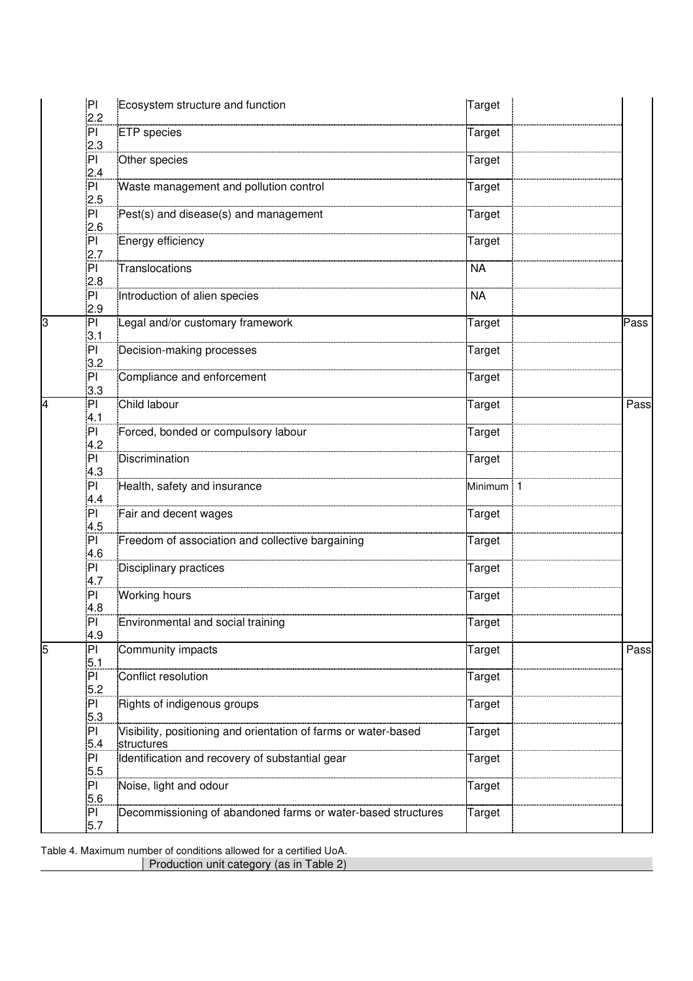|   | P <br>2.2                    | Ecosystem structure and function                                                               | Target                  |      |
|---|------------------------------|------------------------------------------------------------------------------------------------|-------------------------|------|
|   | PI<br>2.3                    | <b>ETP</b> species                                                                             | Target                  |      |
|   | P <sub>1</sub><br>2.4        | Other species                                                                                  | Target                  |      |
|   | PI<br>2.5                    | Waste management and pollution control                                                         | Target                  |      |
|   | PI<br>2.6                    | Pest(s) and disease(s) and management                                                          | Target                  |      |
|   | PI<br>2.7                    | Energy efficiency                                                                              | Target                  |      |
|   | P <sub>1</sub><br>2.8        | Translocations                                                                                 | <b>NA</b>               |      |
| 3 | PI<br>2.9<br>PI              | Introduction of alien species<br>Legal and/or customary framework                              | <b>NA</b>               | Pass |
|   | 3.1<br>PI                    | Decision-making processes                                                                      | Target<br>Target        |      |
|   | 3.2<br>PI                    | Compliance and enforcement                                                                     | Target                  |      |
| 4 | 3.3<br> P                    | Child labour                                                                                   | Target                  | Pass |
|   | 4.1<br>PI                    | Forced, bonded or compulsory labour                                                            | Target                  |      |
|   | 4.2<br>PI                    | Discrimination                                                                                 | Target                  |      |
|   | 4.3<br>PI                    | Health, safety and insurance                                                                   | Minimum 1               |      |
|   | 4.4<br>P <sub>1</sub><br>4.5 | Fair and decent wages                                                                          | Target                  |      |
|   | P <sub>1</sub><br>4.6        | Freedom of association and collective bargaining                                               | Target                  |      |
|   | PI<br>4.7                    | Disciplinary practices                                                                         | Target                  |      |
|   | PI<br>4.8                    | <b>Working hours</b>                                                                           | Target                  |      |
|   | PI<br>4.9                    | Environmental and social training                                                              | Target                  |      |
| 5 | PI<br>5.1                    | Community impacts                                                                              | Target                  | Pass |
|   | $\mathsf{PI}$<br>5.2         | Conflict resolution                                                                            | Target                  |      |
|   | PI<br>5.3<br>P <sub>1</sub>  | Rights of indigenous groups<br>Visibility, positioning and orientation of farms or water-based | Target                  |      |
|   | 5.4<br>P <sub>1</sub>        | structures<br>Identification and recovery of substantial gear                                  | Target<br><b>Target</b> |      |
|   | 5.5<br>PI                    | Noise, light and odour                                                                         | Target                  |      |
|   | 5.6<br>PI                    | Decommissioning of abandoned farms or water-based structures                                   | Target                  |      |
|   | 5.7                          |                                                                                                |                         |      |

Table 4. Maximum number of conditions allowed for a certified UoA. Production unit category (as in Table 2)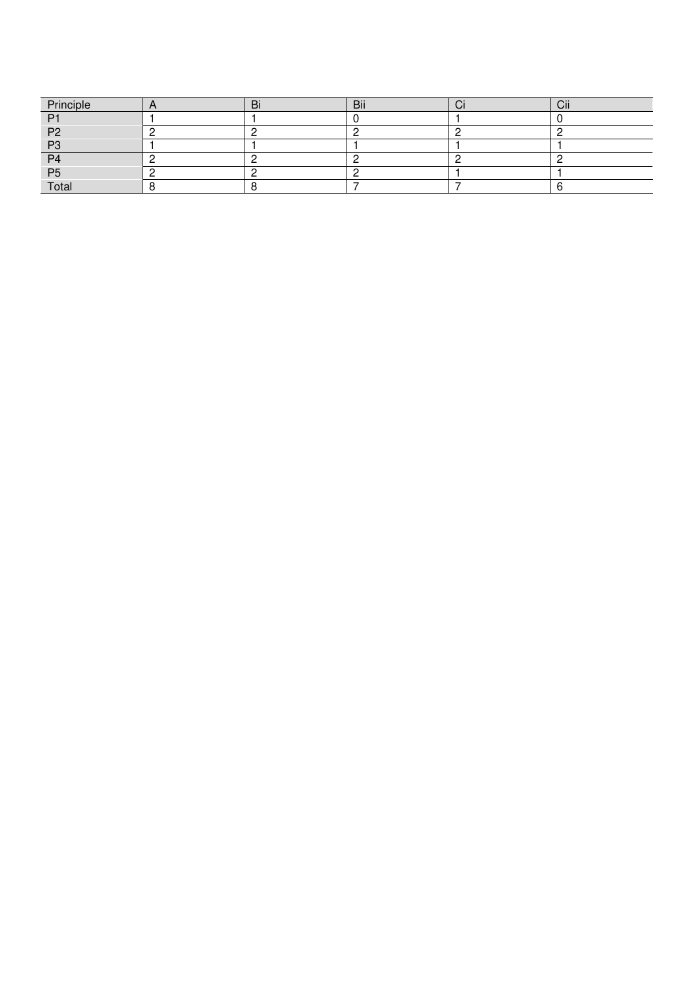| Principle      | ום | Bii | ◡ | $\sim$<br>ااب |
|----------------|----|-----|---|---------------|
| D <sub>1</sub> |    |     |   |               |
| P <sub>2</sub> |    |     |   |               |
| P3             |    |     |   |               |
| P <sub>4</sub> |    |     |   |               |
| P <sub>5</sub> |    |     |   |               |
| Total          |    |     |   |               |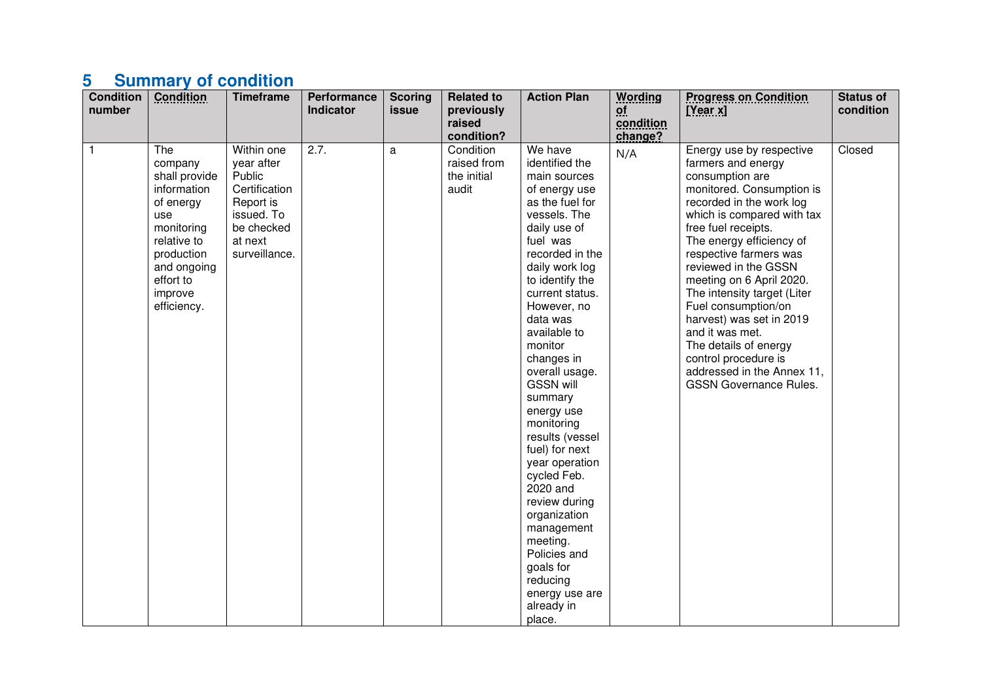# **5 Summary of condition**

| <b>Condition</b><br>number | <b>Condition</b>                                                                                                                                                    | <b>Timeframe</b>                                                                                                         | <b>Performance</b><br>Indicator | <b>Scoring</b><br>issue | <b>Related to</b><br>previously<br>raised<br>condition? | <b>Action Plan</b>                                                                                                                                                                                                                                                                                                                                                                                                                                                                                                                                                                    | <b>Wording</b><br>of<br>condition<br>change? | <b>Progress on Condition</b><br>[Year x]                                                                                                                                                                                                                                                                                                                                                                                                                                                                       | <b>Status of</b><br>condition |
|----------------------------|---------------------------------------------------------------------------------------------------------------------------------------------------------------------|--------------------------------------------------------------------------------------------------------------------------|---------------------------------|-------------------------|---------------------------------------------------------|---------------------------------------------------------------------------------------------------------------------------------------------------------------------------------------------------------------------------------------------------------------------------------------------------------------------------------------------------------------------------------------------------------------------------------------------------------------------------------------------------------------------------------------------------------------------------------------|----------------------------------------------|----------------------------------------------------------------------------------------------------------------------------------------------------------------------------------------------------------------------------------------------------------------------------------------------------------------------------------------------------------------------------------------------------------------------------------------------------------------------------------------------------------------|-------------------------------|
| 1                          | The<br>company<br>shall provide<br>information<br>of energy<br>use<br>monitoring<br>relative to<br>production<br>and ongoing<br>effort to<br>improve<br>efficiency. | Within one<br>year after<br>Public<br>Certification<br>Report is<br>issued. To<br>be checked<br>at next<br>surveillance. | 2.7.                            | a                       | Condition<br>raised from<br>the initial<br>audit        | We have<br>identified the<br>main sources<br>of energy use<br>as the fuel for<br>vessels. The<br>daily use of<br>fuel was<br>recorded in the<br>daily work log<br>to identify the<br>current status.<br>However, no<br>data was<br>available to<br>monitor<br>changes in<br>overall usage.<br><b>GSSN will</b><br>summary<br>energy use<br>monitoring<br>results (vessel<br>fuel) for next<br>year operation<br>cycled Feb.<br>2020 and<br>review during<br>organization<br>management<br>meeting.<br>Policies and<br>goals for<br>reducing<br>energy use are<br>already in<br>place. | N/A                                          | Energy use by respective<br>farmers and energy<br>consumption are<br>monitored. Consumption is<br>recorded in the work log<br>which is compared with tax<br>free fuel receipts.<br>The energy efficiency of<br>respective farmers was<br>reviewed in the GSSN<br>meeting on 6 April 2020.<br>The intensity target (Liter<br>Fuel consumption/on<br>harvest) was set in 2019<br>and it was met.<br>The details of energy<br>control procedure is<br>addressed in the Annex 11,<br><b>GSSN Governance Rules.</b> | Closed                        |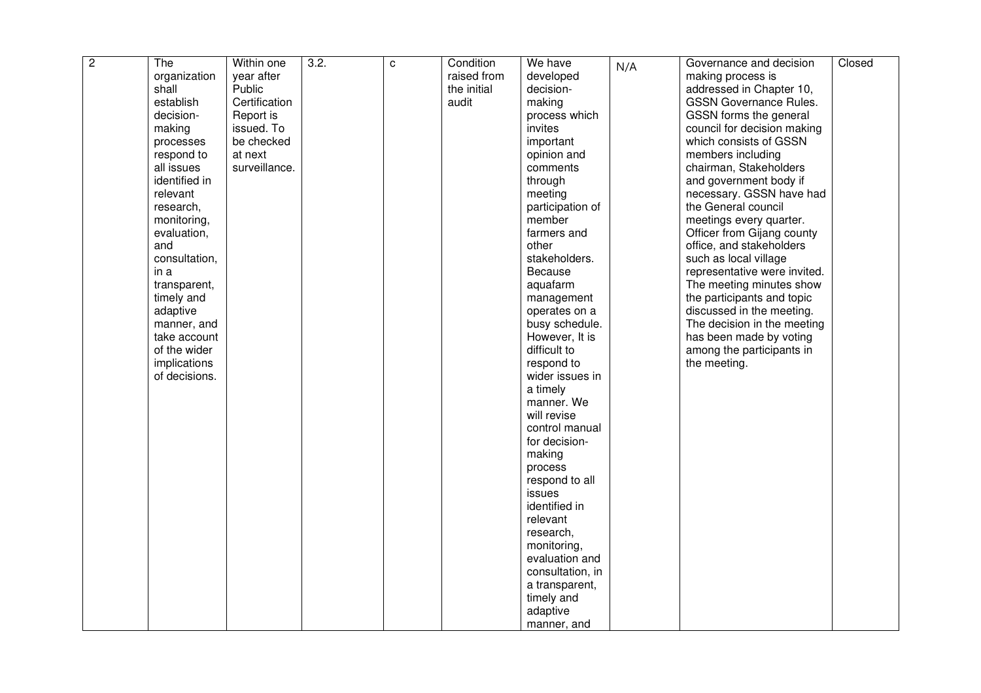| $\overline{c}$ | The           | Within one    | 3.2. | C | Condition   | We have          | N/A | Governance and decision       | Closed |
|----------------|---------------|---------------|------|---|-------------|------------------|-----|-------------------------------|--------|
|                | organization  | year after    |      |   | raised from | developed        |     | making process is             |        |
|                | shall         | Public        |      |   | the initial | decision-        |     | addressed in Chapter 10,      |        |
|                | establish     | Certification |      |   | audit       | making           |     | <b>GSSN Governance Rules.</b> |        |
|                | decision-     | Report is     |      |   |             | process which    |     | GSSN forms the general        |        |
|                | making        | issued. To    |      |   |             | invites          |     | council for decision making   |        |
|                | processes     | be checked    |      |   |             | important        |     | which consists of GSSN        |        |
|                | respond to    | at next       |      |   |             | opinion and      |     | members including             |        |
|                | all issues    | surveillance. |      |   |             | comments         |     | chairman, Stakeholders        |        |
|                | identified in |               |      |   |             | through          |     | and government body if        |        |
|                | relevant      |               |      |   |             | meeting          |     | necessary. GSSN have had      |        |
|                | research,     |               |      |   |             | participation of |     | the General council           |        |
|                | monitoring,   |               |      |   |             | member           |     | meetings every quarter.       |        |
|                | evaluation,   |               |      |   |             | farmers and      |     | Officer from Gijang county    |        |
|                | and           |               |      |   |             | other            |     | office, and stakeholders      |        |
|                | consultation, |               |      |   |             | stakeholders.    |     | such as local village         |        |
|                | in a          |               |      |   |             | Because          |     | representative were invited.  |        |
|                | transparent,  |               |      |   |             | aquafarm         |     | The meeting minutes show      |        |
|                | timely and    |               |      |   |             | management       |     | the participants and topic    |        |
|                | adaptive      |               |      |   |             | operates on a    |     | discussed in the meeting.     |        |
|                | manner, and   |               |      |   |             | busy schedule.   |     | The decision in the meeting   |        |
|                | take account  |               |      |   |             | However, It is   |     | has been made by voting       |        |
|                | of the wider  |               |      |   |             | difficult to     |     | among the participants in     |        |
|                | implications  |               |      |   |             | respond to       |     | the meeting.                  |        |
|                | of decisions. |               |      |   |             | wider issues in  |     |                               |        |
|                |               |               |      |   |             | a timely         |     |                               |        |
|                |               |               |      |   |             | manner. We       |     |                               |        |
|                |               |               |      |   |             | will revise      |     |                               |        |
|                |               |               |      |   |             | control manual   |     |                               |        |
|                |               |               |      |   |             | for decision-    |     |                               |        |
|                |               |               |      |   |             | making           |     |                               |        |
|                |               |               |      |   |             | process          |     |                               |        |
|                |               |               |      |   |             | respond to all   |     |                               |        |
|                |               |               |      |   |             | issues           |     |                               |        |
|                |               |               |      |   |             | identified in    |     |                               |        |
|                |               |               |      |   |             | relevant         |     |                               |        |
|                |               |               |      |   |             | research,        |     |                               |        |
|                |               |               |      |   |             | monitoring,      |     |                               |        |
|                |               |               |      |   |             | evaluation and   |     |                               |        |
|                |               |               |      |   |             | consultation, in |     |                               |        |
|                |               |               |      |   |             | a transparent,   |     |                               |        |
|                |               |               |      |   |             | timely and       |     |                               |        |
|                |               |               |      |   |             | adaptive         |     |                               |        |
|                |               |               |      |   |             | manner, and      |     |                               |        |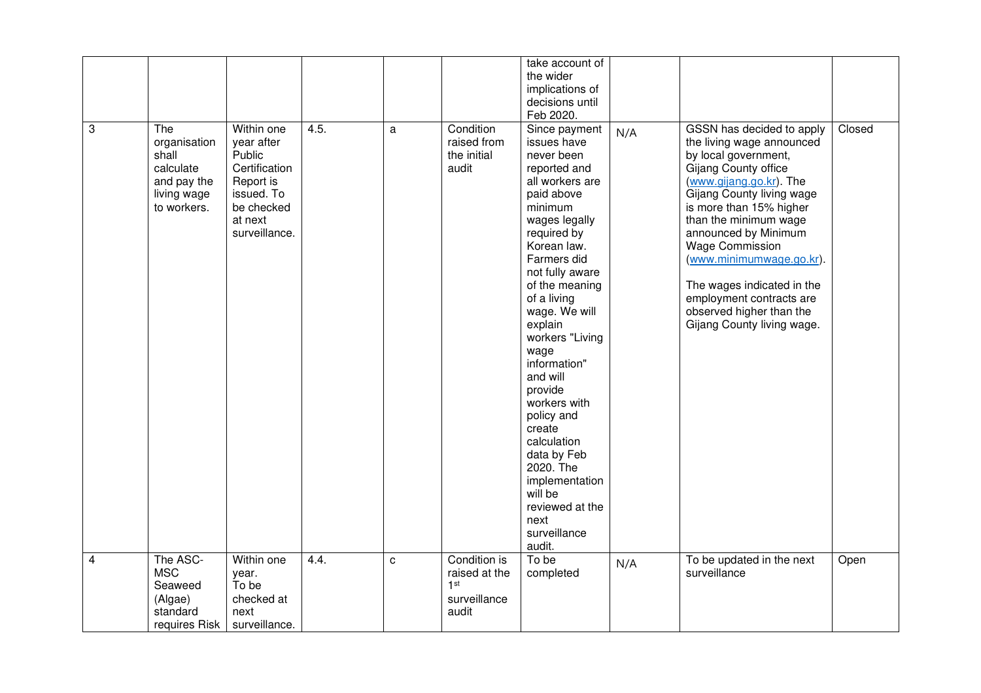|                |                                                                                        |                                                                                                                          |      |              |                                                                           | take account of<br>the wider<br>implications of<br>decisions until<br>Feb 2020.                                                                                                                                                                                                                                                                                                                                                                                                             |     |                                                                                                                                                                                                                                                                                                                                                                                                                      |        |
|----------------|----------------------------------------------------------------------------------------|--------------------------------------------------------------------------------------------------------------------------|------|--------------|---------------------------------------------------------------------------|---------------------------------------------------------------------------------------------------------------------------------------------------------------------------------------------------------------------------------------------------------------------------------------------------------------------------------------------------------------------------------------------------------------------------------------------------------------------------------------------|-----|----------------------------------------------------------------------------------------------------------------------------------------------------------------------------------------------------------------------------------------------------------------------------------------------------------------------------------------------------------------------------------------------------------------------|--------|
| ತ              | The<br>organisation<br>shall<br>calculate<br>and pay the<br>living wage<br>to workers. | Within one<br>year after<br>Public<br>Certification<br>Report is<br>issued. To<br>be checked<br>at next<br>surveillance. | 4.5. | a            | Condition<br>raised from<br>the initial<br>audit                          | Since payment<br>issues have<br>never been<br>reported and<br>all workers are<br>paid above<br>minimum<br>wages legally<br>required by<br>Korean law.<br>Farmers did<br>not fully aware<br>of the meaning<br>of a living<br>wage. We will<br>explain<br>workers "Living<br>wage<br>information"<br>and will<br>provide<br>workers with<br>policy and<br>create<br>calculation<br>data by Feb<br>2020. The<br>implementation<br>will be<br>reviewed at the<br>next<br>surveillance<br>audit. | N/A | GSSN has decided to apply<br>the living wage announced<br>by local government,<br>Gijang County office<br>(www.gijang.go.kr). The<br>Gijang County living wage<br>is more than 15% higher<br>than the minimum wage<br>announced by Minimum<br><b>Wage Commission</b><br>(www.minimumwage.go.kr).<br>The wages indicated in the<br>employment contracts are<br>observed higher than the<br>Gijang County living wage. | Closed |
| $\overline{4}$ | The ASC-<br><b>MSC</b><br>Seaweed<br>(Algae)<br>standard<br>requires Risk              | Within one<br>year.<br>To be<br>checked at<br>next<br>surveillance.                                                      | 4.4. | $\mathbf{C}$ | Condition is<br>raised at the<br>1 <sup>st</sup><br>surveillance<br>audit | To be<br>completed                                                                                                                                                                                                                                                                                                                                                                                                                                                                          | N/A | To be updated in the next<br>surveillance                                                                                                                                                                                                                                                                                                                                                                            | Open   |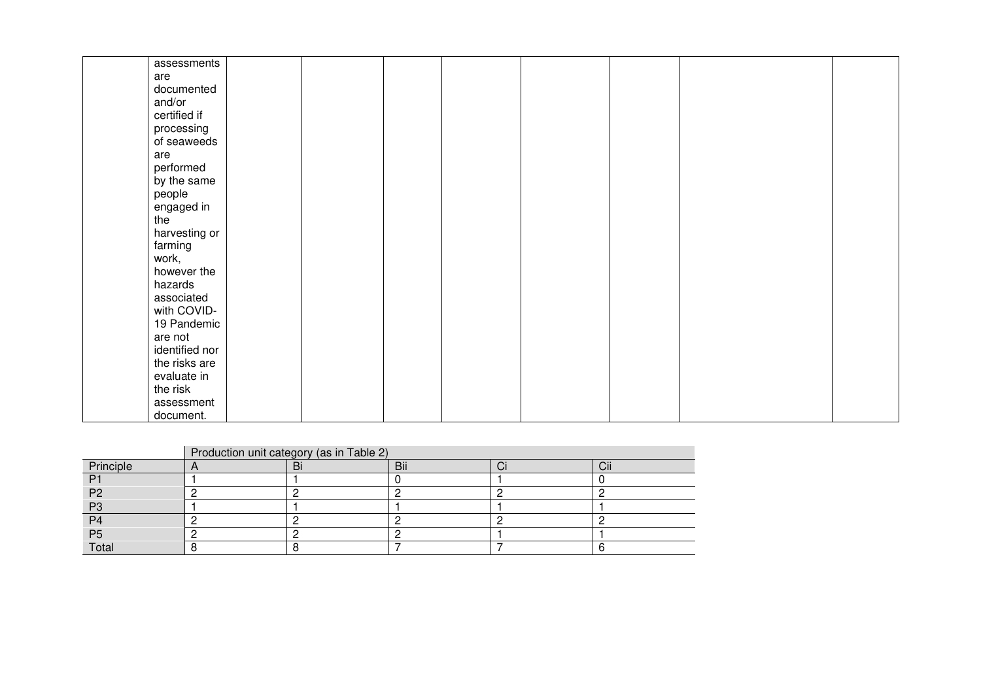|              | assessments    |  |  |  |  |
|--------------|----------------|--|--|--|--|
| are          |                |  |  |  |  |
|              | documented     |  |  |  |  |
| and/or       |                |  |  |  |  |
| certified if |                |  |  |  |  |
| processing   |                |  |  |  |  |
|              | of seaweeds    |  |  |  |  |
| are          |                |  |  |  |  |
| performed    |                |  |  |  |  |
|              | by the same    |  |  |  |  |
| people       |                |  |  |  |  |
| engaged in   |                |  |  |  |  |
| the          |                |  |  |  |  |
|              | harvesting or  |  |  |  |  |
| farming      |                |  |  |  |  |
| work,        |                |  |  |  |  |
|              | however the    |  |  |  |  |
| hazards      |                |  |  |  |  |
| associated   |                |  |  |  |  |
|              | with COVID-    |  |  |  |  |
|              | 19 Pandemic    |  |  |  |  |
| are not      |                |  |  |  |  |
|              | identified nor |  |  |  |  |
|              | the risks are  |  |  |  |  |
| evaluate in  |                |  |  |  |  |
| the risk     |                |  |  |  |  |
|              | assessment     |  |  |  |  |
| document.    |                |  |  |  |  |

|                | Production unit category (as in Table 2) |    |     |  |                 |  |  |  |
|----------------|------------------------------------------|----|-----|--|-----------------|--|--|--|
| Principle      |                                          | Bi | Bii |  | $\cdots$<br>Cii |  |  |  |
| P <sub>1</sub> |                                          |    |     |  |                 |  |  |  |
| P <sub>2</sub> |                                          |    |     |  |                 |  |  |  |
| P <sub>3</sub> |                                          |    |     |  |                 |  |  |  |
| P <sub>4</sub> |                                          |    |     |  |                 |  |  |  |
| P <sub>5</sub> |                                          |    |     |  |                 |  |  |  |
| Total          |                                          |    |     |  |                 |  |  |  |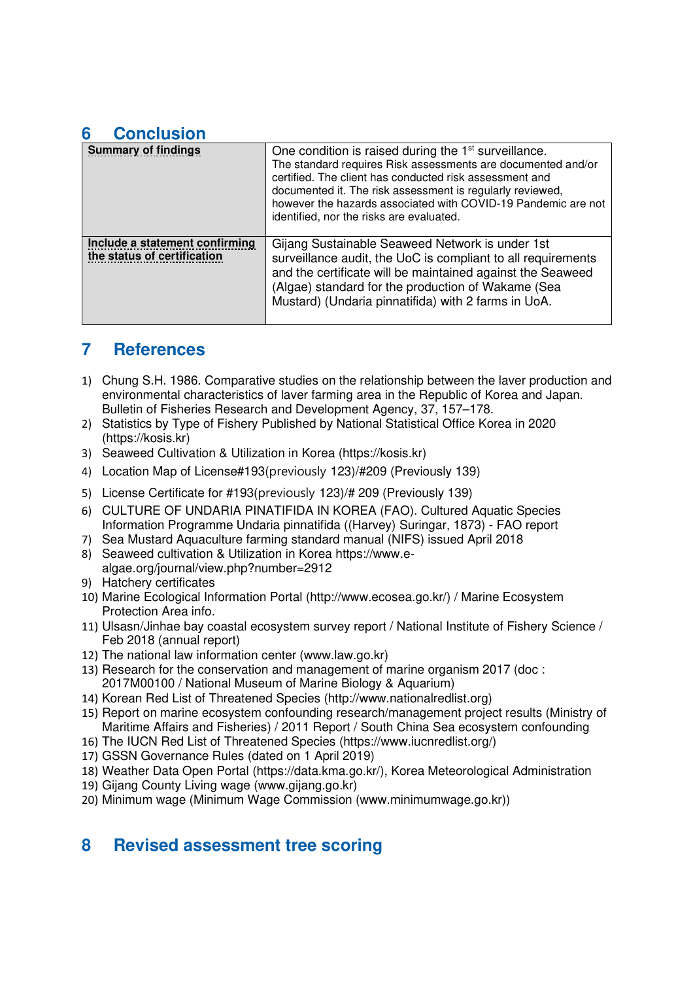## **6 Conclusion**

| <b>Summary of findings</b>                                    | One condition is raised during the 1 <sup>st</sup> surveillance.<br>The standard requires Risk assessments are documented and/or<br>certified. The client has conducted risk assessment and<br>documented it. The risk assessment is regularly reviewed,<br>however the hazards associated with COVID-19 Pandemic are not<br>identified, nor the risks are evaluated. |
|---------------------------------------------------------------|-----------------------------------------------------------------------------------------------------------------------------------------------------------------------------------------------------------------------------------------------------------------------------------------------------------------------------------------------------------------------|
| Include a statement confirming<br>the status of certification | Gijang Sustainable Seaweed Network is under 1st<br>surveillance audit, the UoC is compliant to all requirements<br>and the certificate will be maintained against the Seaweed<br>(Algae) standard for the production of Wakame (Sea<br>Mustard) (Undaria pinnatifida) with 2 farms in UoA.                                                                            |

## **7 References**

- 1) Chung S.H. 1986. Comparative studies on the relationship between the laver production and environmental characteristics of laver farming area in the Republic of Korea and Japan. Bulletin of Fisheries Research and Development Agency, 37, 157–178.
- 2) Statistics by Type of Fishery Published by National Statistical Office Korea in 2020 (https://kosis.kr)
- 3) Seaweed Cultivation & Utilization in Korea (https://kosis.kr)
- 4) Location Map of License#193(previously 123)/#209 (Previously 139)
- 5) License Certificate for #193(previously 123)/# 209 (Previously 139)
- 6) CULTURE OF UNDARIA PINATIFIDA IN KOREA (FAO). Cultured Aquatic Species Information Programme Undaria pinnatifida ((Harvey) Suringar, 1873) - FAO report
- 7) Sea Mustard Aquaculture farming standard manual (NIFS) issued April 2018
- 8) Seaweed cultivation & Utilization in Korea https://www.ealgae.org/journal/view.php?number=2912
- 9) Hatchery certificates
- 10) Marine Ecological Information Portal (http://www.ecosea.go.kr/) / Marine Ecosystem Protection Area info.
- 11) Ulsasn/Jinhae bay coastal ecosystem survey report / National Institute of Fishery Science / Feb 2018 (annual report)
- 12) The national law information center (www.law.go.kr)
- 13) Research for the conservation and management of marine organism 2017 (doc : 2017M00100 / National Museum of Marine Biology & Aquarium)
- 14) Korean Red List of Threatened Species (http://www.nationalredlist.org)
- 15) Report on marine ecosystem confounding research/management project results (Ministry of Maritime Affairs and Fisheries) / 2011 Report / South China Sea ecosystem confounding
- 16) The IUCN Red List of Threatened Species (https://www.iucnredlist.org/)
- 17) GSSN Governance Rules (dated on 1 April 2019)
- 18) Weather Data Open Portal (https://data.kma.go.kr/), Korea Meteorological Administration
- 19) Gijang County Living wage (www.gijang.go.kr)
- 20) Minimum wage (Minimum Wage Commission (www.minimumwage.go.kr))

## **8 Revised assessment tree scoring**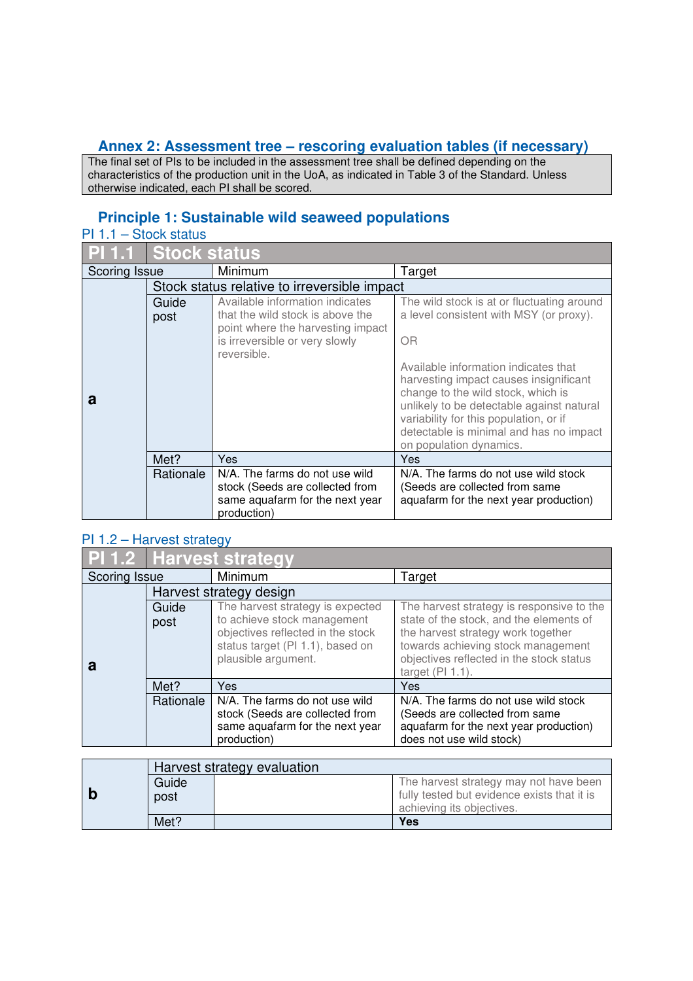### **Annex 2: Assessment tree – rescoring evaluation tables (if necessary)**

The final set of PIs to be included in the assessment tree shall be defined depending on the characteristics of the production unit in the UoA, as indicated in Table 3 of the Standard. Unless otherwise indicated, each PI shall be scored.

### **Principle 1: Sustainable wild seaweed populations**

| PI 1.1        | <b>Stock status</b> |                                                                                                                                                           |                                                                                                                                                                                                                                                                                   |
|---------------|---------------------|-----------------------------------------------------------------------------------------------------------------------------------------------------------|-----------------------------------------------------------------------------------------------------------------------------------------------------------------------------------------------------------------------------------------------------------------------------------|
| Scoring Issue |                     | Minimum                                                                                                                                                   | Target                                                                                                                                                                                                                                                                            |
|               |                     | Stock status relative to irreversible impact                                                                                                              |                                                                                                                                                                                                                                                                                   |
|               | Guide<br>post       | Available information indicates<br>that the wild stock is above the<br>point where the harvesting impact<br>is irreversible or very slowly<br>reversible. | The wild stock is at or fluctuating around<br>a level consistent with MSY (or proxy).<br><b>OR</b>                                                                                                                                                                                |
| a             |                     |                                                                                                                                                           | Available information indicates that<br>harvesting impact causes insignificant<br>change to the wild stock, which is<br>unlikely to be detectable against natural<br>variability for this population, or if<br>detectable is minimal and has no impact<br>on population dynamics. |
|               | Met?                | Yes                                                                                                                                                       | Yes                                                                                                                                                                                                                                                                               |
|               | Rationale           | N/A. The farms do not use wild<br>stock (Seeds are collected from<br>same aquafarm for the next year<br>production)                                       | N/A. The farms do not use wild stock<br>(Seeds are collected from same<br>aquafarm for the next year production)                                                                                                                                                                  |

#### PI 1.2 – Harvest strategy

|                          | <b>PI</b> 1.2 Harvest strategy |                                                                                                                                                                 |                                                                                                                                                                                                                                     |
|--------------------------|--------------------------------|-----------------------------------------------------------------------------------------------------------------------------------------------------------------|-------------------------------------------------------------------------------------------------------------------------------------------------------------------------------------------------------------------------------------|
| Minimum<br>Scoring Issue |                                | Target                                                                                                                                                          |                                                                                                                                                                                                                                     |
|                          |                                | Harvest strategy design                                                                                                                                         |                                                                                                                                                                                                                                     |
| а                        | Guide<br>post                  | The harvest strategy is expected<br>to achieve stock management<br>objectives reflected in the stock<br>status target (PI 1.1), based on<br>plausible argument. | The harvest strategy is responsive to the<br>state of the stock, and the elements of<br>the harvest strategy work together<br>towards achieving stock management<br>objectives reflected in the stock status<br>target $(PI 1.1)$ . |
|                          | Met?                           | Yes                                                                                                                                                             | Yes                                                                                                                                                                                                                                 |
|                          | Rationale                      | N/A. The farms do not use wild<br>stock (Seeds are collected from<br>same aquafarm for the next year<br>production)                                             | N/A. The farms do not use wild stock<br>(Seeds are collected from same<br>aquafarm for the next year production)<br>does not use wild stock)                                                                                        |

|       |      | Harvest strategy evaluation            |                                             |
|-------|------|----------------------------------------|---------------------------------------------|
| Guide |      | The harvest strategy may not have been |                                             |
|       | post |                                        | fully tested but evidence exists that it is |
|       |      |                                        | achieving its objectives.                   |
|       | Met? |                                        | Yes                                         |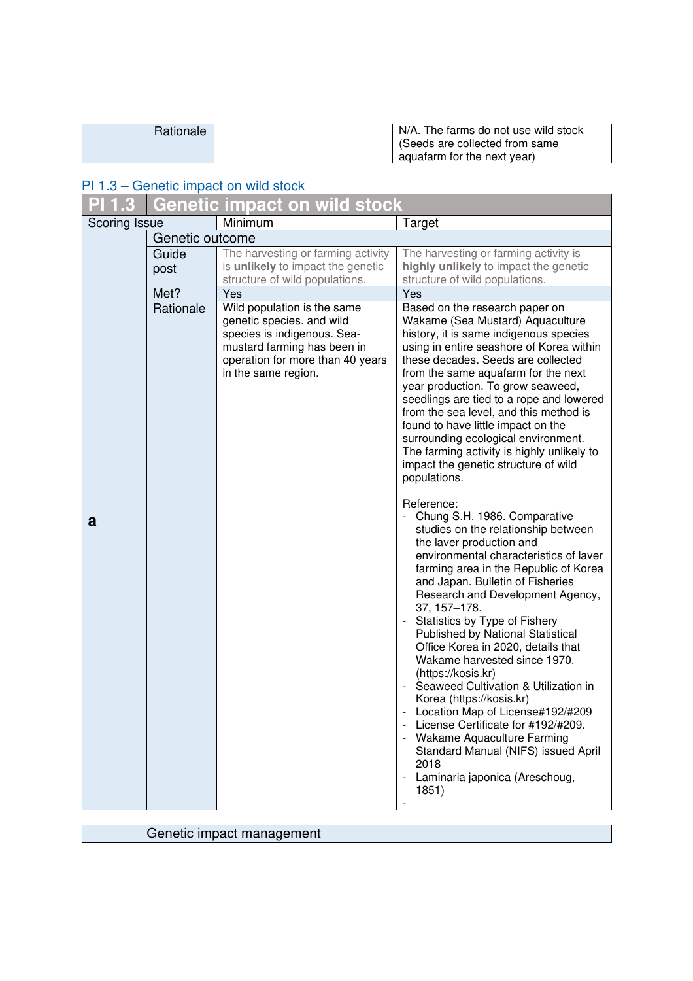| Rationale | N/A. The farms do not use wild stock<br>(Seeds are collected from same |
|-----------|------------------------------------------------------------------------|
|           | aquafarm for the next year)                                            |

#### PI 1.3 – Genetic impact on wild stock

|                      |                 | Genetic impact on wild stock                                                                                                                                                      |                                                                                                                                                                                                                                                                                                                                                                                                                                                                                                                                                                                                                                                                                                                                                      |
|----------------------|-----------------|-----------------------------------------------------------------------------------------------------------------------------------------------------------------------------------|------------------------------------------------------------------------------------------------------------------------------------------------------------------------------------------------------------------------------------------------------------------------------------------------------------------------------------------------------------------------------------------------------------------------------------------------------------------------------------------------------------------------------------------------------------------------------------------------------------------------------------------------------------------------------------------------------------------------------------------------------|
| <b>Scoring Issue</b> |                 | Minimum                                                                                                                                                                           | Target                                                                                                                                                                                                                                                                                                                                                                                                                                                                                                                                                                                                                                                                                                                                               |
|                      | Genetic outcome |                                                                                                                                                                                   |                                                                                                                                                                                                                                                                                                                                                                                                                                                                                                                                                                                                                                                                                                                                                      |
|                      | Guide<br>post   | The harvesting or farming activity<br>is unlikely to impact the genetic<br>structure of wild populations.                                                                         | The harvesting or farming activity is<br>highly unlikely to impact the genetic<br>structure of wild populations.                                                                                                                                                                                                                                                                                                                                                                                                                                                                                                                                                                                                                                     |
|                      | Met?            | Yes                                                                                                                                                                               | Yes                                                                                                                                                                                                                                                                                                                                                                                                                                                                                                                                                                                                                                                                                                                                                  |
|                      | Rationale       | Wild population is the same<br>genetic species. and wild<br>species is indigenous. Sea-<br>mustard farming has been in<br>operation for more than 40 years<br>in the same region. | Based on the research paper on<br>Wakame (Sea Mustard) Aquaculture<br>history, it is same indigenous species<br>using in entire seashore of Korea within<br>these decades. Seeds are collected<br>from the same aquafarm for the next<br>year production. To grow seaweed,<br>seedlings are tied to a rope and lowered<br>from the sea level, and this method is<br>found to have little impact on the<br>surrounding ecological environment.<br>The farming activity is highly unlikely to<br>impact the genetic structure of wild<br>populations.                                                                                                                                                                                                  |
| a                    |                 |                                                                                                                                                                                   | Reference:<br>Chung S.H. 1986. Comparative<br>studies on the relationship between<br>the laver production and<br>environmental characteristics of laver<br>farming area in the Republic of Korea<br>and Japan. Bulletin of Fisheries<br>Research and Development Agency,<br>37, 157-178.<br>Statistics by Type of Fishery<br>$\overline{a}$<br>Published by National Statistical<br>Office Korea in 2020, details that<br>Wakame harvested since 1970.<br>(https://kosis.kr)<br>- Seaweed Cultivation & Utilization in<br>Korea (https://kosis.kr)<br>Location Map of License#192/#209<br>License Certificate for #192/#209.<br>Wakame Aquaculture Farming<br>Standard Manual (NIFS) issued April<br>2018<br>Laminaria japonica (Areschoug,<br>1851) |

|  | Genetic impact management |
|--|---------------------------|
|--|---------------------------|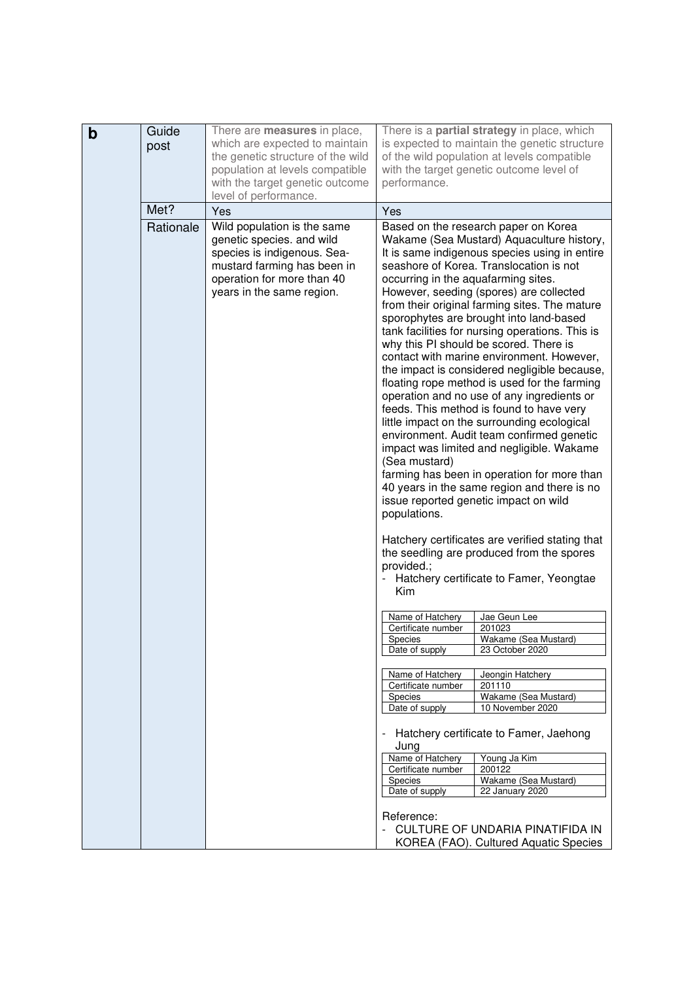| which are expected to maintain<br>is expected to maintain the genetic structure<br>post<br>the genetic structure of the wild<br>of the wild population at levels compatible<br>population at levels compatible<br>with the target genetic outcome level of<br>with the target genetic outcome<br>performance.<br>level of performance.<br>Met?<br>Yes<br>Yes<br>Rationale<br>Wild population is the same<br>Based on the research paper on Korea<br>genetic species. and wild<br>Wakame (Sea Mustard) Aquaculture history,<br>species is indigenous. Sea-<br>It is same indigenous species using in entire<br>mustard farming has been in<br>seashore of Korea. Translocation is not<br>operation for more than 40<br>occurring in the aquafarming sites.<br>years in the same region.<br>However, seeding (spores) are collected<br>from their original farming sites. The mature<br>sporophytes are brought into land-based<br>tank facilities for nursing operations. This is<br>why this PI should be scored. There is<br>contact with marine environment. However,<br>the impact is considered negligible because,<br>floating rope method is used for the farming<br>operation and no use of any ingredients or<br>feeds. This method is found to have very<br>little impact on the surrounding ecological<br>environment. Audit team confirmed genetic<br>impact was limited and negligible. Wakame<br>(Sea mustard)<br>farming has been in operation for more than<br>40 years in the same region and there is no<br>issue reported genetic impact on wild<br>populations.<br>Hatchery certificates are verified stating that<br>the seedling are produced from the spores<br>provided.;<br>Hatchery certificate to Famer, Yeongtae<br>Kim<br>Name of Hatchery<br>Jae Geun Lee<br>Certificate number<br>201023<br>Wakame (Sea Mustard)<br><b>Species</b><br>23 October 2020<br>Date of supply<br>Name of Hatchery<br>Jeongin Hatchery<br>Certificate number<br>201110<br>Wakame (Sea Mustard)<br>Species<br>10 November 2020<br>Date of supply<br>Hatchery certificate to Famer, Jaehong<br>Jung<br>Name of Hatchery<br>Young Ja Kim<br>Certificate number<br>200122<br>Species<br>Wakame (Sea Mustard)<br>22 January 2020<br>Date of supply<br>Reference:<br><b>CULTURE OF UNDARIA PINATIFIDA IN</b> |   | Guide | There are <b>measures</b> in place, | There is a <b>partial strategy</b> in place, which |  |
|---------------------------------------------------------------------------------------------------------------------------------------------------------------------------------------------------------------------------------------------------------------------------------------------------------------------------------------------------------------------------------------------------------------------------------------------------------------------------------------------------------------------------------------------------------------------------------------------------------------------------------------------------------------------------------------------------------------------------------------------------------------------------------------------------------------------------------------------------------------------------------------------------------------------------------------------------------------------------------------------------------------------------------------------------------------------------------------------------------------------------------------------------------------------------------------------------------------------------------------------------------------------------------------------------------------------------------------------------------------------------------------------------------------------------------------------------------------------------------------------------------------------------------------------------------------------------------------------------------------------------------------------------------------------------------------------------------------------------------------------------------------------------------------------------------------------------------------------------------------------------------------------------------------------------------------------------------------------------------------------------------------------------------------------------------------------------------------------------------------------------------------------------------------------------------------------------------------------------------------------------------------------------------------------------------------|---|-------|-------------------------------------|----------------------------------------------------|--|
|                                                                                                                                                                                                                                                                                                                                                                                                                                                                                                                                                                                                                                                                                                                                                                                                                                                                                                                                                                                                                                                                                                                                                                                                                                                                                                                                                                                                                                                                                                                                                                                                                                                                                                                                                                                                                                                                                                                                                                                                                                                                                                                                                                                                                                                                                                               | b |       |                                     |                                                    |  |
|                                                                                                                                                                                                                                                                                                                                                                                                                                                                                                                                                                                                                                                                                                                                                                                                                                                                                                                                                                                                                                                                                                                                                                                                                                                                                                                                                                                                                                                                                                                                                                                                                                                                                                                                                                                                                                                                                                                                                                                                                                                                                                                                                                                                                                                                                                               |   |       |                                     |                                                    |  |
|                                                                                                                                                                                                                                                                                                                                                                                                                                                                                                                                                                                                                                                                                                                                                                                                                                                                                                                                                                                                                                                                                                                                                                                                                                                                                                                                                                                                                                                                                                                                                                                                                                                                                                                                                                                                                                                                                                                                                                                                                                                                                                                                                                                                                                                                                                               |   |       |                                     |                                                    |  |
|                                                                                                                                                                                                                                                                                                                                                                                                                                                                                                                                                                                                                                                                                                                                                                                                                                                                                                                                                                                                                                                                                                                                                                                                                                                                                                                                                                                                                                                                                                                                                                                                                                                                                                                                                                                                                                                                                                                                                                                                                                                                                                                                                                                                                                                                                                               |   |       |                                     |                                                    |  |
|                                                                                                                                                                                                                                                                                                                                                                                                                                                                                                                                                                                                                                                                                                                                                                                                                                                                                                                                                                                                                                                                                                                                                                                                                                                                                                                                                                                                                                                                                                                                                                                                                                                                                                                                                                                                                                                                                                                                                                                                                                                                                                                                                                                                                                                                                                               |   |       |                                     |                                                    |  |
|                                                                                                                                                                                                                                                                                                                                                                                                                                                                                                                                                                                                                                                                                                                                                                                                                                                                                                                                                                                                                                                                                                                                                                                                                                                                                                                                                                                                                                                                                                                                                                                                                                                                                                                                                                                                                                                                                                                                                                                                                                                                                                                                                                                                                                                                                                               |   |       |                                     |                                                    |  |
|                                                                                                                                                                                                                                                                                                                                                                                                                                                                                                                                                                                                                                                                                                                                                                                                                                                                                                                                                                                                                                                                                                                                                                                                                                                                                                                                                                                                                                                                                                                                                                                                                                                                                                                                                                                                                                                                                                                                                                                                                                                                                                                                                                                                                                                                                                               |   |       |                                     |                                                    |  |
|                                                                                                                                                                                                                                                                                                                                                                                                                                                                                                                                                                                                                                                                                                                                                                                                                                                                                                                                                                                                                                                                                                                                                                                                                                                                                                                                                                                                                                                                                                                                                                                                                                                                                                                                                                                                                                                                                                                                                                                                                                                                                                                                                                                                                                                                                                               |   |       |                                     |                                                    |  |
|                                                                                                                                                                                                                                                                                                                                                                                                                                                                                                                                                                                                                                                                                                                                                                                                                                                                                                                                                                                                                                                                                                                                                                                                                                                                                                                                                                                                                                                                                                                                                                                                                                                                                                                                                                                                                                                                                                                                                                                                                                                                                                                                                                                                                                                                                                               |   |       |                                     |                                                    |  |
|                                                                                                                                                                                                                                                                                                                                                                                                                                                                                                                                                                                                                                                                                                                                                                                                                                                                                                                                                                                                                                                                                                                                                                                                                                                                                                                                                                                                                                                                                                                                                                                                                                                                                                                                                                                                                                                                                                                                                                                                                                                                                                                                                                                                                                                                                                               |   |       |                                     |                                                    |  |
|                                                                                                                                                                                                                                                                                                                                                                                                                                                                                                                                                                                                                                                                                                                                                                                                                                                                                                                                                                                                                                                                                                                                                                                                                                                                                                                                                                                                                                                                                                                                                                                                                                                                                                                                                                                                                                                                                                                                                                                                                                                                                                                                                                                                                                                                                                               |   |       |                                     |                                                    |  |
|                                                                                                                                                                                                                                                                                                                                                                                                                                                                                                                                                                                                                                                                                                                                                                                                                                                                                                                                                                                                                                                                                                                                                                                                                                                                                                                                                                                                                                                                                                                                                                                                                                                                                                                                                                                                                                                                                                                                                                                                                                                                                                                                                                                                                                                                                                               |   |       |                                     |                                                    |  |
|                                                                                                                                                                                                                                                                                                                                                                                                                                                                                                                                                                                                                                                                                                                                                                                                                                                                                                                                                                                                                                                                                                                                                                                                                                                                                                                                                                                                                                                                                                                                                                                                                                                                                                                                                                                                                                                                                                                                                                                                                                                                                                                                                                                                                                                                                                               |   |       |                                     |                                                    |  |
|                                                                                                                                                                                                                                                                                                                                                                                                                                                                                                                                                                                                                                                                                                                                                                                                                                                                                                                                                                                                                                                                                                                                                                                                                                                                                                                                                                                                                                                                                                                                                                                                                                                                                                                                                                                                                                                                                                                                                                                                                                                                                                                                                                                                                                                                                                               |   |       |                                     |                                                    |  |
|                                                                                                                                                                                                                                                                                                                                                                                                                                                                                                                                                                                                                                                                                                                                                                                                                                                                                                                                                                                                                                                                                                                                                                                                                                                                                                                                                                                                                                                                                                                                                                                                                                                                                                                                                                                                                                                                                                                                                                                                                                                                                                                                                                                                                                                                                                               |   |       |                                     |                                                    |  |
|                                                                                                                                                                                                                                                                                                                                                                                                                                                                                                                                                                                                                                                                                                                                                                                                                                                                                                                                                                                                                                                                                                                                                                                                                                                                                                                                                                                                                                                                                                                                                                                                                                                                                                                                                                                                                                                                                                                                                                                                                                                                                                                                                                                                                                                                                                               |   |       |                                     |                                                    |  |
|                                                                                                                                                                                                                                                                                                                                                                                                                                                                                                                                                                                                                                                                                                                                                                                                                                                                                                                                                                                                                                                                                                                                                                                                                                                                                                                                                                                                                                                                                                                                                                                                                                                                                                                                                                                                                                                                                                                                                                                                                                                                                                                                                                                                                                                                                                               |   |       |                                     |                                                    |  |
|                                                                                                                                                                                                                                                                                                                                                                                                                                                                                                                                                                                                                                                                                                                                                                                                                                                                                                                                                                                                                                                                                                                                                                                                                                                                                                                                                                                                                                                                                                                                                                                                                                                                                                                                                                                                                                                                                                                                                                                                                                                                                                                                                                                                                                                                                                               |   |       |                                     |                                                    |  |
|                                                                                                                                                                                                                                                                                                                                                                                                                                                                                                                                                                                                                                                                                                                                                                                                                                                                                                                                                                                                                                                                                                                                                                                                                                                                                                                                                                                                                                                                                                                                                                                                                                                                                                                                                                                                                                                                                                                                                                                                                                                                                                                                                                                                                                                                                                               |   |       |                                     |                                                    |  |
|                                                                                                                                                                                                                                                                                                                                                                                                                                                                                                                                                                                                                                                                                                                                                                                                                                                                                                                                                                                                                                                                                                                                                                                                                                                                                                                                                                                                                                                                                                                                                                                                                                                                                                                                                                                                                                                                                                                                                                                                                                                                                                                                                                                                                                                                                                               |   |       |                                     |                                                    |  |
|                                                                                                                                                                                                                                                                                                                                                                                                                                                                                                                                                                                                                                                                                                                                                                                                                                                                                                                                                                                                                                                                                                                                                                                                                                                                                                                                                                                                                                                                                                                                                                                                                                                                                                                                                                                                                                                                                                                                                                                                                                                                                                                                                                                                                                                                                                               |   |       |                                     |                                                    |  |
|                                                                                                                                                                                                                                                                                                                                                                                                                                                                                                                                                                                                                                                                                                                                                                                                                                                                                                                                                                                                                                                                                                                                                                                                                                                                                                                                                                                                                                                                                                                                                                                                                                                                                                                                                                                                                                                                                                                                                                                                                                                                                                                                                                                                                                                                                                               |   |       |                                     |                                                    |  |
|                                                                                                                                                                                                                                                                                                                                                                                                                                                                                                                                                                                                                                                                                                                                                                                                                                                                                                                                                                                                                                                                                                                                                                                                                                                                                                                                                                                                                                                                                                                                                                                                                                                                                                                                                                                                                                                                                                                                                                                                                                                                                                                                                                                                                                                                                                               |   |       |                                     |                                                    |  |
|                                                                                                                                                                                                                                                                                                                                                                                                                                                                                                                                                                                                                                                                                                                                                                                                                                                                                                                                                                                                                                                                                                                                                                                                                                                                                                                                                                                                                                                                                                                                                                                                                                                                                                                                                                                                                                                                                                                                                                                                                                                                                                                                                                                                                                                                                                               |   |       |                                     |                                                    |  |
|                                                                                                                                                                                                                                                                                                                                                                                                                                                                                                                                                                                                                                                                                                                                                                                                                                                                                                                                                                                                                                                                                                                                                                                                                                                                                                                                                                                                                                                                                                                                                                                                                                                                                                                                                                                                                                                                                                                                                                                                                                                                                                                                                                                                                                                                                                               |   |       |                                     |                                                    |  |
|                                                                                                                                                                                                                                                                                                                                                                                                                                                                                                                                                                                                                                                                                                                                                                                                                                                                                                                                                                                                                                                                                                                                                                                                                                                                                                                                                                                                                                                                                                                                                                                                                                                                                                                                                                                                                                                                                                                                                                                                                                                                                                                                                                                                                                                                                                               |   |       |                                     |                                                    |  |
|                                                                                                                                                                                                                                                                                                                                                                                                                                                                                                                                                                                                                                                                                                                                                                                                                                                                                                                                                                                                                                                                                                                                                                                                                                                                                                                                                                                                                                                                                                                                                                                                                                                                                                                                                                                                                                                                                                                                                                                                                                                                                                                                                                                                                                                                                                               |   |       |                                     |                                                    |  |
|                                                                                                                                                                                                                                                                                                                                                                                                                                                                                                                                                                                                                                                                                                                                                                                                                                                                                                                                                                                                                                                                                                                                                                                                                                                                                                                                                                                                                                                                                                                                                                                                                                                                                                                                                                                                                                                                                                                                                                                                                                                                                                                                                                                                                                                                                                               |   |       |                                     |                                                    |  |
|                                                                                                                                                                                                                                                                                                                                                                                                                                                                                                                                                                                                                                                                                                                                                                                                                                                                                                                                                                                                                                                                                                                                                                                                                                                                                                                                                                                                                                                                                                                                                                                                                                                                                                                                                                                                                                                                                                                                                                                                                                                                                                                                                                                                                                                                                                               |   |       |                                     |                                                    |  |
|                                                                                                                                                                                                                                                                                                                                                                                                                                                                                                                                                                                                                                                                                                                                                                                                                                                                                                                                                                                                                                                                                                                                                                                                                                                                                                                                                                                                                                                                                                                                                                                                                                                                                                                                                                                                                                                                                                                                                                                                                                                                                                                                                                                                                                                                                                               |   |       |                                     |                                                    |  |
|                                                                                                                                                                                                                                                                                                                                                                                                                                                                                                                                                                                                                                                                                                                                                                                                                                                                                                                                                                                                                                                                                                                                                                                                                                                                                                                                                                                                                                                                                                                                                                                                                                                                                                                                                                                                                                                                                                                                                                                                                                                                                                                                                                                                                                                                                                               |   |       |                                     |                                                    |  |
|                                                                                                                                                                                                                                                                                                                                                                                                                                                                                                                                                                                                                                                                                                                                                                                                                                                                                                                                                                                                                                                                                                                                                                                                                                                                                                                                                                                                                                                                                                                                                                                                                                                                                                                                                                                                                                                                                                                                                                                                                                                                                                                                                                                                                                                                                                               |   |       |                                     |                                                    |  |
|                                                                                                                                                                                                                                                                                                                                                                                                                                                                                                                                                                                                                                                                                                                                                                                                                                                                                                                                                                                                                                                                                                                                                                                                                                                                                                                                                                                                                                                                                                                                                                                                                                                                                                                                                                                                                                                                                                                                                                                                                                                                                                                                                                                                                                                                                                               |   |       |                                     |                                                    |  |
|                                                                                                                                                                                                                                                                                                                                                                                                                                                                                                                                                                                                                                                                                                                                                                                                                                                                                                                                                                                                                                                                                                                                                                                                                                                                                                                                                                                                                                                                                                                                                                                                                                                                                                                                                                                                                                                                                                                                                                                                                                                                                                                                                                                                                                                                                                               |   |       |                                     |                                                    |  |
|                                                                                                                                                                                                                                                                                                                                                                                                                                                                                                                                                                                                                                                                                                                                                                                                                                                                                                                                                                                                                                                                                                                                                                                                                                                                                                                                                                                                                                                                                                                                                                                                                                                                                                                                                                                                                                                                                                                                                                                                                                                                                                                                                                                                                                                                                                               |   |       |                                     |                                                    |  |
|                                                                                                                                                                                                                                                                                                                                                                                                                                                                                                                                                                                                                                                                                                                                                                                                                                                                                                                                                                                                                                                                                                                                                                                                                                                                                                                                                                                                                                                                                                                                                                                                                                                                                                                                                                                                                                                                                                                                                                                                                                                                                                                                                                                                                                                                                                               |   |       |                                     |                                                    |  |
|                                                                                                                                                                                                                                                                                                                                                                                                                                                                                                                                                                                                                                                                                                                                                                                                                                                                                                                                                                                                                                                                                                                                                                                                                                                                                                                                                                                                                                                                                                                                                                                                                                                                                                                                                                                                                                                                                                                                                                                                                                                                                                                                                                                                                                                                                                               |   |       |                                     |                                                    |  |
|                                                                                                                                                                                                                                                                                                                                                                                                                                                                                                                                                                                                                                                                                                                                                                                                                                                                                                                                                                                                                                                                                                                                                                                                                                                                                                                                                                                                                                                                                                                                                                                                                                                                                                                                                                                                                                                                                                                                                                                                                                                                                                                                                                                                                                                                                                               |   |       |                                     |                                                    |  |
|                                                                                                                                                                                                                                                                                                                                                                                                                                                                                                                                                                                                                                                                                                                                                                                                                                                                                                                                                                                                                                                                                                                                                                                                                                                                                                                                                                                                                                                                                                                                                                                                                                                                                                                                                                                                                                                                                                                                                                                                                                                                                                                                                                                                                                                                                                               |   |       |                                     |                                                    |  |
|                                                                                                                                                                                                                                                                                                                                                                                                                                                                                                                                                                                                                                                                                                                                                                                                                                                                                                                                                                                                                                                                                                                                                                                                                                                                                                                                                                                                                                                                                                                                                                                                                                                                                                                                                                                                                                                                                                                                                                                                                                                                                                                                                                                                                                                                                                               |   |       |                                     |                                                    |  |
|                                                                                                                                                                                                                                                                                                                                                                                                                                                                                                                                                                                                                                                                                                                                                                                                                                                                                                                                                                                                                                                                                                                                                                                                                                                                                                                                                                                                                                                                                                                                                                                                                                                                                                                                                                                                                                                                                                                                                                                                                                                                                                                                                                                                                                                                                                               |   |       |                                     |                                                    |  |
|                                                                                                                                                                                                                                                                                                                                                                                                                                                                                                                                                                                                                                                                                                                                                                                                                                                                                                                                                                                                                                                                                                                                                                                                                                                                                                                                                                                                                                                                                                                                                                                                                                                                                                                                                                                                                                                                                                                                                                                                                                                                                                                                                                                                                                                                                                               |   |       |                                     |                                                    |  |
|                                                                                                                                                                                                                                                                                                                                                                                                                                                                                                                                                                                                                                                                                                                                                                                                                                                                                                                                                                                                                                                                                                                                                                                                                                                                                                                                                                                                                                                                                                                                                                                                                                                                                                                                                                                                                                                                                                                                                                                                                                                                                                                                                                                                                                                                                                               |   |       |                                     |                                                    |  |
|                                                                                                                                                                                                                                                                                                                                                                                                                                                                                                                                                                                                                                                                                                                                                                                                                                                                                                                                                                                                                                                                                                                                                                                                                                                                                                                                                                                                                                                                                                                                                                                                                                                                                                                                                                                                                                                                                                                                                                                                                                                                                                                                                                                                                                                                                                               |   |       |                                     |                                                    |  |
|                                                                                                                                                                                                                                                                                                                                                                                                                                                                                                                                                                                                                                                                                                                                                                                                                                                                                                                                                                                                                                                                                                                                                                                                                                                                                                                                                                                                                                                                                                                                                                                                                                                                                                                                                                                                                                                                                                                                                                                                                                                                                                                                                                                                                                                                                                               |   |       |                                     |                                                    |  |
|                                                                                                                                                                                                                                                                                                                                                                                                                                                                                                                                                                                                                                                                                                                                                                                                                                                                                                                                                                                                                                                                                                                                                                                                                                                                                                                                                                                                                                                                                                                                                                                                                                                                                                                                                                                                                                                                                                                                                                                                                                                                                                                                                                                                                                                                                                               |   |       |                                     |                                                    |  |
|                                                                                                                                                                                                                                                                                                                                                                                                                                                                                                                                                                                                                                                                                                                                                                                                                                                                                                                                                                                                                                                                                                                                                                                                                                                                                                                                                                                                                                                                                                                                                                                                                                                                                                                                                                                                                                                                                                                                                                                                                                                                                                                                                                                                                                                                                                               |   |       |                                     |                                                    |  |
|                                                                                                                                                                                                                                                                                                                                                                                                                                                                                                                                                                                                                                                                                                                                                                                                                                                                                                                                                                                                                                                                                                                                                                                                                                                                                                                                                                                                                                                                                                                                                                                                                                                                                                                                                                                                                                                                                                                                                                                                                                                                                                                                                                                                                                                                                                               |   |       |                                     |                                                    |  |
|                                                                                                                                                                                                                                                                                                                                                                                                                                                                                                                                                                                                                                                                                                                                                                                                                                                                                                                                                                                                                                                                                                                                                                                                                                                                                                                                                                                                                                                                                                                                                                                                                                                                                                                                                                                                                                                                                                                                                                                                                                                                                                                                                                                                                                                                                                               |   |       |                                     |                                                    |  |
|                                                                                                                                                                                                                                                                                                                                                                                                                                                                                                                                                                                                                                                                                                                                                                                                                                                                                                                                                                                                                                                                                                                                                                                                                                                                                                                                                                                                                                                                                                                                                                                                                                                                                                                                                                                                                                                                                                                                                                                                                                                                                                                                                                                                                                                                                                               |   |       |                                     |                                                    |  |
|                                                                                                                                                                                                                                                                                                                                                                                                                                                                                                                                                                                                                                                                                                                                                                                                                                                                                                                                                                                                                                                                                                                                                                                                                                                                                                                                                                                                                                                                                                                                                                                                                                                                                                                                                                                                                                                                                                                                                                                                                                                                                                                                                                                                                                                                                                               |   |       |                                     |                                                    |  |
|                                                                                                                                                                                                                                                                                                                                                                                                                                                                                                                                                                                                                                                                                                                                                                                                                                                                                                                                                                                                                                                                                                                                                                                                                                                                                                                                                                                                                                                                                                                                                                                                                                                                                                                                                                                                                                                                                                                                                                                                                                                                                                                                                                                                                                                                                                               |   |       |                                     |                                                    |  |
|                                                                                                                                                                                                                                                                                                                                                                                                                                                                                                                                                                                                                                                                                                                                                                                                                                                                                                                                                                                                                                                                                                                                                                                                                                                                                                                                                                                                                                                                                                                                                                                                                                                                                                                                                                                                                                                                                                                                                                                                                                                                                                                                                                                                                                                                                                               |   |       |                                     |                                                    |  |
|                                                                                                                                                                                                                                                                                                                                                                                                                                                                                                                                                                                                                                                                                                                                                                                                                                                                                                                                                                                                                                                                                                                                                                                                                                                                                                                                                                                                                                                                                                                                                                                                                                                                                                                                                                                                                                                                                                                                                                                                                                                                                                                                                                                                                                                                                                               |   |       |                                     |                                                    |  |
|                                                                                                                                                                                                                                                                                                                                                                                                                                                                                                                                                                                                                                                                                                                                                                                                                                                                                                                                                                                                                                                                                                                                                                                                                                                                                                                                                                                                                                                                                                                                                                                                                                                                                                                                                                                                                                                                                                                                                                                                                                                                                                                                                                                                                                                                                                               |   |       |                                     |                                                    |  |
|                                                                                                                                                                                                                                                                                                                                                                                                                                                                                                                                                                                                                                                                                                                                                                                                                                                                                                                                                                                                                                                                                                                                                                                                                                                                                                                                                                                                                                                                                                                                                                                                                                                                                                                                                                                                                                                                                                                                                                                                                                                                                                                                                                                                                                                                                                               |   |       |                                     | KOREA (FAO). Cultured Aquatic Species              |  |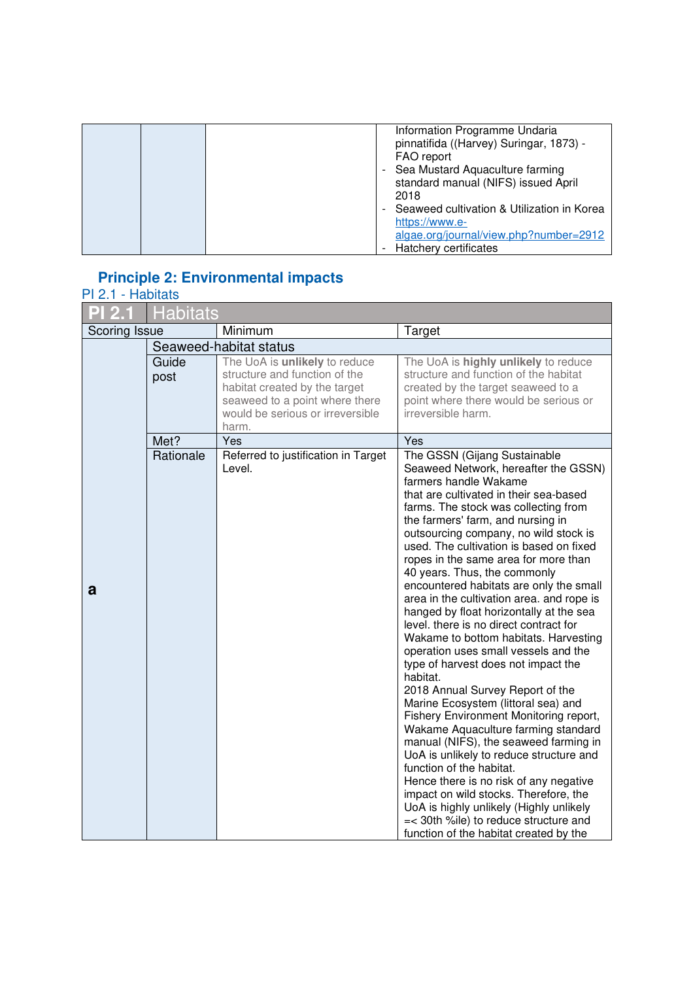| Information Programme Undaria<br>pinnatifida ((Harvey) Suringar, 1873) -<br>FAO report<br>Sea Mustard Aquaculture farming<br>standard manual (NIFS) issued April<br>2018 |
|--------------------------------------------------------------------------------------------------------------------------------------------------------------------------|
| Seaweed cultivation & Utilization in Korea<br>https://www.e-<br>algae.org/journal/view.php?number=2912<br>Hatchery certificates                                          |

### **Principle 2: Environmental impacts**

#### PI 2.1 - Habitats

|               | <b>Habitats</b> |                                                                                                                                                                                |                                                                                                                                                                                                                                                                                                                                                                                                                                                                                                                                                                                                                                                                                                                                                                                                                                                                                                                                                                                                                                                                                                                                                                                                |
|---------------|-----------------|--------------------------------------------------------------------------------------------------------------------------------------------------------------------------------|------------------------------------------------------------------------------------------------------------------------------------------------------------------------------------------------------------------------------------------------------------------------------------------------------------------------------------------------------------------------------------------------------------------------------------------------------------------------------------------------------------------------------------------------------------------------------------------------------------------------------------------------------------------------------------------------------------------------------------------------------------------------------------------------------------------------------------------------------------------------------------------------------------------------------------------------------------------------------------------------------------------------------------------------------------------------------------------------------------------------------------------------------------------------------------------------|
| Scoring Issue |                 | Minimum                                                                                                                                                                        | Target                                                                                                                                                                                                                                                                                                                                                                                                                                                                                                                                                                                                                                                                                                                                                                                                                                                                                                                                                                                                                                                                                                                                                                                         |
|               |                 | Seaweed-habitat status                                                                                                                                                         |                                                                                                                                                                                                                                                                                                                                                                                                                                                                                                                                                                                                                                                                                                                                                                                                                                                                                                                                                                                                                                                                                                                                                                                                |
|               | Guide<br>post   | The UoA is unlikely to reduce<br>structure and function of the<br>habitat created by the target<br>seaweed to a point where there<br>would be serious or irreversible<br>harm. | The UoA is highly unlikely to reduce<br>structure and function of the habitat<br>created by the target seaweed to a<br>point where there would be serious or<br>irreversible harm.                                                                                                                                                                                                                                                                                                                                                                                                                                                                                                                                                                                                                                                                                                                                                                                                                                                                                                                                                                                                             |
|               | Met?            | Yes                                                                                                                                                                            | Yes                                                                                                                                                                                                                                                                                                                                                                                                                                                                                                                                                                                                                                                                                                                                                                                                                                                                                                                                                                                                                                                                                                                                                                                            |
| a             | Rationale       | Referred to justification in Target<br>Level.                                                                                                                                  | The GSSN (Gijang Sustainable<br>Seaweed Network, hereafter the GSSN)<br>farmers handle Wakame<br>that are cultivated in their sea-based<br>farms. The stock was collecting from<br>the farmers' farm, and nursing in<br>outsourcing company, no wild stock is<br>used. The cultivation is based on fixed<br>ropes in the same area for more than<br>40 years. Thus, the commonly<br>encountered habitats are only the small<br>area in the cultivation area. and rope is<br>hanged by float horizontally at the sea<br>level. there is no direct contract for<br>Wakame to bottom habitats. Harvesting<br>operation uses small vessels and the<br>type of harvest does not impact the<br>habitat.<br>2018 Annual Survey Report of the<br>Marine Ecosystem (littoral sea) and<br>Fishery Environment Monitoring report,<br>Wakame Aquaculture farming standard<br>manual (NIFS), the seaweed farming in<br>UoA is unlikely to reduce structure and<br>function of the habitat.<br>Hence there is no risk of any negative<br>impact on wild stocks. Therefore, the<br>UoA is highly unlikely (Highly unlikely<br>=< 30th %ile) to reduce structure and<br>function of the habitat created by the |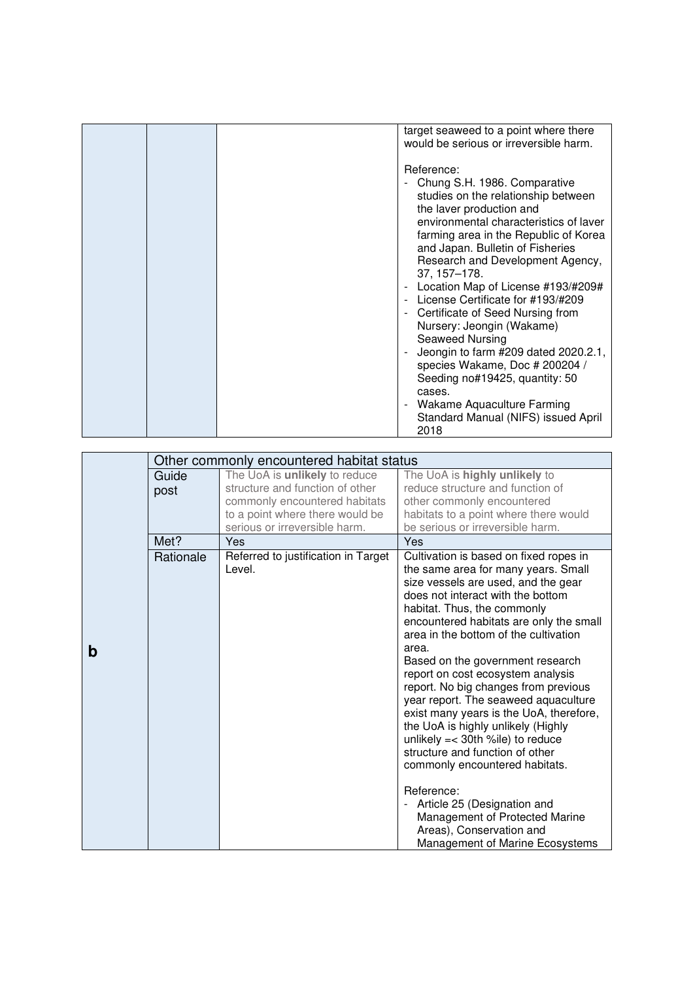|  | target seaweed to a point where there<br>would be serious or irreversible harm.                                                                                                                                                                                                                                                                                                                                                                                                                                                                                                                                                                                                                                                               |
|--|-----------------------------------------------------------------------------------------------------------------------------------------------------------------------------------------------------------------------------------------------------------------------------------------------------------------------------------------------------------------------------------------------------------------------------------------------------------------------------------------------------------------------------------------------------------------------------------------------------------------------------------------------------------------------------------------------------------------------------------------------|
|  | Reference:<br>Chung S.H. 1986. Comparative<br>studies on the relationship between<br>the laver production and<br>environmental characteristics of laver<br>farming area in the Republic of Korea<br>and Japan. Bulletin of Fisheries<br>Research and Development Agency,<br>37, 157-178.<br>Location Map of License #193/#209#<br>$\overline{\phantom{0}}$<br>License Certificate for #193/#209<br>$\overline{a}$<br>Certificate of Seed Nursing from<br>$\overline{\phantom{a}}$<br>Nursery: Jeongin (Wakame)<br>Seaweed Nursing<br>Jeongin to farm #209 dated 2020.2.1,<br>species Wakame, Doc # 200204 /<br>Seeding no#19425, quantity: 50<br>cases.<br>Wakame Aquaculture Farming<br>$\frac{1}{2}$<br>Standard Manual (NIFS) issued April |
|  | 2018                                                                                                                                                                                                                                                                                                                                                                                                                                                                                                                                                                                                                                                                                                                                          |

|   |           | Other commonly encountered habitat status     |                                                                                                                                                                                                                                                                                                                                                                                                                                                                                                                                                                                                                                                                                                                                             |
|---|-----------|-----------------------------------------------|---------------------------------------------------------------------------------------------------------------------------------------------------------------------------------------------------------------------------------------------------------------------------------------------------------------------------------------------------------------------------------------------------------------------------------------------------------------------------------------------------------------------------------------------------------------------------------------------------------------------------------------------------------------------------------------------------------------------------------------------|
|   | Guide     | The UoA is unlikely to reduce                 | The UoA is highly unlikely to                                                                                                                                                                                                                                                                                                                                                                                                                                                                                                                                                                                                                                                                                                               |
|   | post      | structure and function of other               | reduce structure and function of                                                                                                                                                                                                                                                                                                                                                                                                                                                                                                                                                                                                                                                                                                            |
|   |           | commonly encountered habitats                 | other commonly encountered                                                                                                                                                                                                                                                                                                                                                                                                                                                                                                                                                                                                                                                                                                                  |
|   |           | to a point where there would be               | habitats to a point where there would                                                                                                                                                                                                                                                                                                                                                                                                                                                                                                                                                                                                                                                                                                       |
|   |           | serious or irreversible harm.                 | be serious or irreversible harm.                                                                                                                                                                                                                                                                                                                                                                                                                                                                                                                                                                                                                                                                                                            |
|   | Met?      | Yes                                           | Yes                                                                                                                                                                                                                                                                                                                                                                                                                                                                                                                                                                                                                                                                                                                                         |
| b | Rationale | Referred to justification in Target<br>Level. | Cultivation is based on fixed ropes in<br>the same area for many years. Small<br>size vessels are used, and the gear<br>does not interact with the bottom<br>habitat. Thus, the commonly<br>encountered habitats are only the small<br>area in the bottom of the cultivation<br>area.<br>Based on the government research<br>report on cost ecosystem analysis<br>report. No big changes from previous<br>year report. The seaweed aquaculture<br>exist many years is the UoA, therefore,<br>the UoA is highly unlikely (Highly<br>unlikely $=<$ 30th %ile) to reduce<br>structure and function of other<br>commonly encountered habitats.<br>Reference:<br>Article 25 (Designation and<br>$\blacksquare$<br>Management of Protected Marine |
|   |           |                                               | Areas), Conservation and<br>Management of Marine Ecosystems                                                                                                                                                                                                                                                                                                                                                                                                                                                                                                                                                                                                                                                                                 |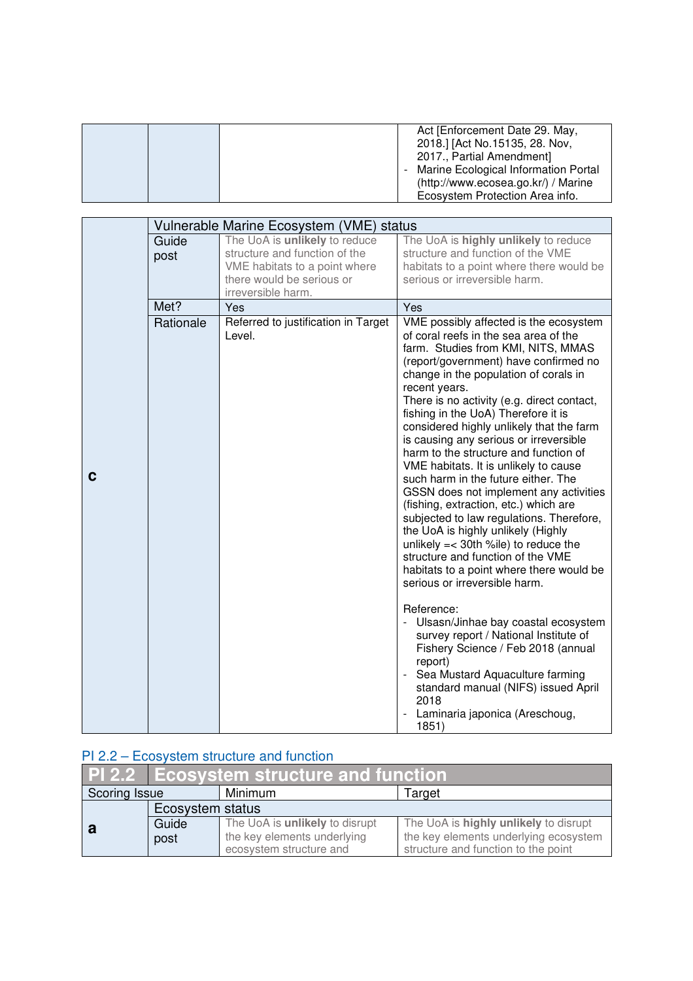|  | Act [Enforcement Date 29. May,         |
|--|----------------------------------------|
|  | 2018.] [Act No.15135, 28. Nov,         |
|  | 2017., Partial Amendment]              |
|  | - Marine Ecological Information Portal |
|  | (http://www.ecosea.go.kr/) / Marine    |
|  | Ecosystem Protection Area info.        |

|   |           | Vulnerable Marine Ecosystem (VME) status                   |                                                                                          |
|---|-----------|------------------------------------------------------------|------------------------------------------------------------------------------------------|
|   | Guide     | The UoA is unlikely to reduce                              | The UoA is highly unlikely to reduce                                                     |
|   | post      | structure and function of the                              | structure and function of the VME                                                        |
|   |           | VME habitats to a point where<br>there would be serious or | habitats to a point where there would be<br>serious or irreversible harm.                |
|   |           | irreversible harm.                                         |                                                                                          |
|   | Met?      | Yes                                                        | Yes                                                                                      |
|   | Rationale | Referred to justification in Target                        | VME possibly affected is the ecosystem                                                   |
|   |           | Level.                                                     | of coral reefs in the sea area of the                                                    |
|   |           |                                                            | farm. Studies from KMI, NITS, MMAS                                                       |
|   |           |                                                            | (report/government) have confirmed no                                                    |
|   |           |                                                            | change in the population of corals in                                                    |
|   |           |                                                            | recent years.<br>There is no activity (e.g. direct contact,                              |
|   |           |                                                            | fishing in the UoA) Therefore it is                                                      |
|   |           |                                                            | considered highly unlikely that the farm                                                 |
|   |           |                                                            | is causing any serious or irreversible                                                   |
|   |           |                                                            | harm to the structure and function of                                                    |
| C |           |                                                            | VME habitats. It is unlikely to cause                                                    |
|   |           |                                                            | such harm in the future either. The<br>GSSN does not implement any activities            |
|   |           |                                                            | (fishing, extraction, etc.) which are                                                    |
|   |           |                                                            | subjected to law regulations. Therefore,                                                 |
|   |           |                                                            | the UoA is highly unlikely (Highly                                                       |
|   |           |                                                            | unlikely $=<$ 30th %ile) to reduce the<br>structure and function of the VME              |
|   |           |                                                            | habitats to a point where there would be                                                 |
|   |           |                                                            | serious or irreversible harm.                                                            |
|   |           |                                                            |                                                                                          |
|   |           |                                                            | Reference:<br>Ulsasn/Jinhae bay coastal ecosystem                                        |
|   |           |                                                            | survey report / National Institute of                                                    |
|   |           |                                                            | Fishery Science / Feb 2018 (annual                                                       |
|   |           |                                                            | report)                                                                                  |
|   |           |                                                            | Sea Mustard Aquaculture farming<br>$\blacksquare$<br>standard manual (NIFS) issued April |
|   |           |                                                            | 2018                                                                                     |
|   |           |                                                            | Laminaria japonica (Areschoug,                                                           |
|   |           |                                                            | 1851)                                                                                    |

## PI 2.2 – Ecosystem structure and function

|                          | <b>PL2.2 Ecosystem structure and function</b> |                                |                                       |
|--------------------------|-----------------------------------------------|--------------------------------|---------------------------------------|
| Scoring Issue<br>Minimum |                                               |                                | Target                                |
| Ecosystem status         |                                               |                                |                                       |
|                          | Guide                                         | The UoA is unlikely to disrupt | The UoA is highly unlikely to disrupt |
|                          | post                                          | the key elements underlying    | the key elements underlying ecosystem |
|                          |                                               | ecosystem structure and        | structure and function to the point   |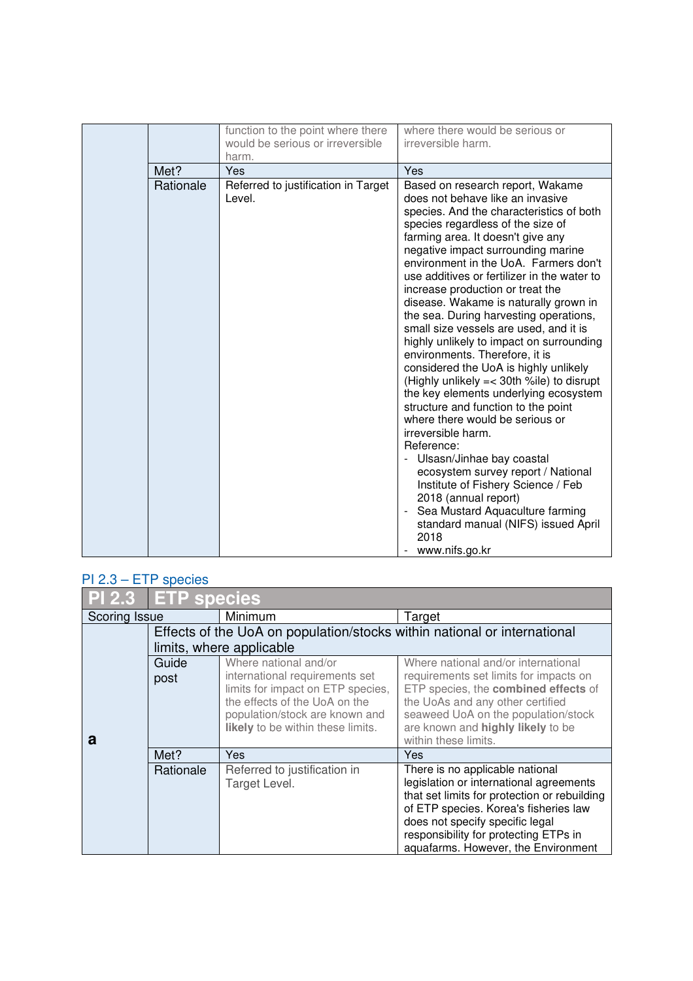|           | function to the point where there             | where there would be serious or                                                                                                                                                                                                                                                                                                                                                                                                                                                                                                                                                                                                                                                                                                                                                                                                                                                                                                                                                                                                          |
|-----------|-----------------------------------------------|------------------------------------------------------------------------------------------------------------------------------------------------------------------------------------------------------------------------------------------------------------------------------------------------------------------------------------------------------------------------------------------------------------------------------------------------------------------------------------------------------------------------------------------------------------------------------------------------------------------------------------------------------------------------------------------------------------------------------------------------------------------------------------------------------------------------------------------------------------------------------------------------------------------------------------------------------------------------------------------------------------------------------------------|
|           | would be serious or irreversible              | irreversible harm.                                                                                                                                                                                                                                                                                                                                                                                                                                                                                                                                                                                                                                                                                                                                                                                                                                                                                                                                                                                                                       |
|           | harm.                                         |                                                                                                                                                                                                                                                                                                                                                                                                                                                                                                                                                                                                                                                                                                                                                                                                                                                                                                                                                                                                                                          |
| Met?      | Yes                                           | Yes                                                                                                                                                                                                                                                                                                                                                                                                                                                                                                                                                                                                                                                                                                                                                                                                                                                                                                                                                                                                                                      |
| Rationale | Referred to justification in Target<br>Level. | Based on research report, Wakame<br>does not behave like an invasive<br>species. And the characteristics of both<br>species regardless of the size of<br>farming area. It doesn't give any<br>negative impact surrounding marine<br>environment in the UoA. Farmers don't<br>use additives or fertilizer in the water to<br>increase production or treat the<br>disease. Wakame is naturally grown in<br>the sea. During harvesting operations,<br>small size vessels are used, and it is<br>highly unlikely to impact on surrounding<br>environments. Therefore, it is<br>considered the UoA is highly unlikely<br>(Highly unlikely = < 30th %ile) to disrupt<br>the key elements underlying ecosystem<br>structure and function to the point<br>where there would be serious or<br>irreversible harm.<br>Reference:<br>Ulsasn/Jinhae bay coastal<br>ecosystem survey report / National<br>Institute of Fishery Science / Feb<br>2018 (annual report)<br>Sea Mustard Aquaculture farming<br>standard manual (NIFS) issued April<br>2018 |
|           |                                               | www.nifs.go.kr                                                                                                                                                                                                                                                                                                                                                                                                                                                                                                                                                                                                                                                                                                                                                                                                                                                                                                                                                                                                                           |

## PI 2.3 – ETP species

| <b>PI 2.3</b> | <b>ETP</b> species |                                                                    |                                                                          |
|---------------|--------------------|--------------------------------------------------------------------|--------------------------------------------------------------------------|
| Scoring Issue |                    | Minimum                                                            | Target                                                                   |
|               |                    |                                                                    | Effects of the UoA on population/stocks within national or international |
|               |                    | limits, where applicable                                           |                                                                          |
|               | Guide              | Where national and/or                                              | Where national and/or international                                      |
|               | post               | international requirements set                                     | requirements set limits for impacts on                                   |
|               |                    | limits for impact on ETP species,<br>the effects of the UoA on the | ETP species, the combined effects of                                     |
|               |                    | population/stock are known and                                     | the UoAs and any other certified<br>seaweed UoA on the population/stock  |
|               |                    | likely to be within these limits.                                  | are known and highly likely to be                                        |
| a             |                    |                                                                    | within these limits.                                                     |
|               | Met?               | <b>Yes</b>                                                         | Yes                                                                      |
|               | Rationale          | Referred to justification in                                       | There is no applicable national                                          |
|               |                    | Target Level.                                                      | legislation or international agreements                                  |
|               |                    |                                                                    | that set limits for protection or rebuilding                             |
|               |                    |                                                                    | of ETP species. Korea's fisheries law<br>does not specify specific legal |
|               |                    |                                                                    | responsibility for protecting ETPs in                                    |
|               |                    |                                                                    | aquafarms. However, the Environment                                      |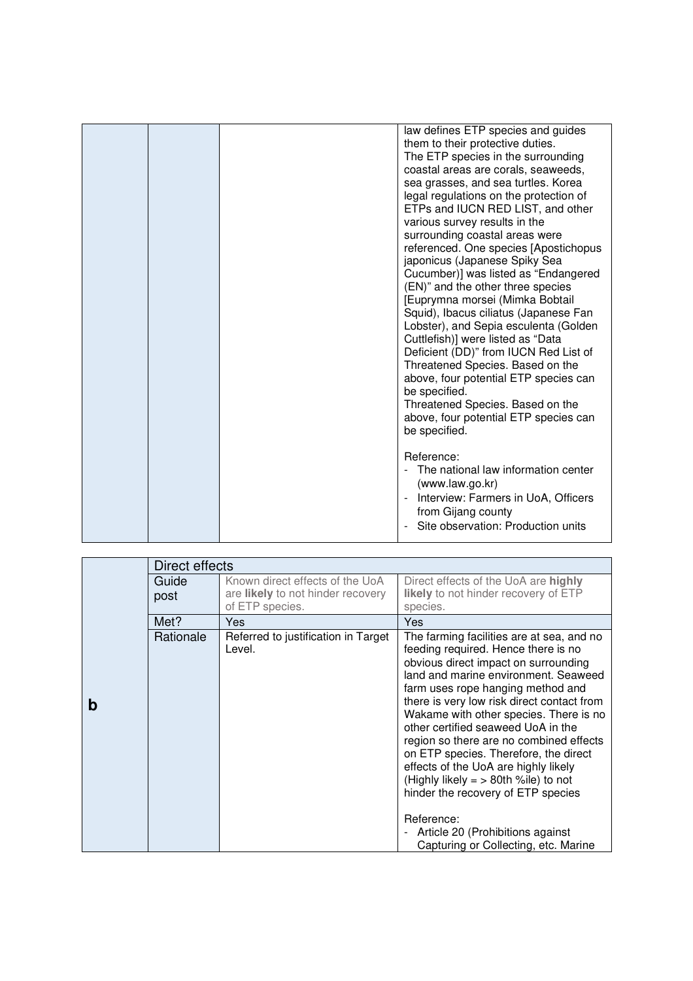|  | law defines ETP species and guides<br>them to their protective duties.<br>The ETP species in the surrounding<br>coastal areas are corals, seaweeds,<br>sea grasses, and sea turtles. Korea<br>legal regulations on the protection of<br>ETPs and IUCN RED LIST, and other<br>various survey results in the<br>surrounding coastal areas were<br>referenced. One species [Apostichopus<br>japonicus (Japanese Spiky Sea<br>Cucumber)] was listed as "Endangered<br>(EN)" and the other three species<br>[Euprymna morsei (Mimka Bobtail<br>Squid), Ibacus ciliatus (Japanese Fan<br>Lobster), and Sepia esculenta (Golden<br>Cuttlefish)] were listed as "Data<br>Deficient (DD)" from IUCN Red List of<br>Threatened Species. Based on the<br>above, four potential ETP species can<br>be specified.<br>Threatened Species. Based on the<br>above, four potential ETP species can<br>be specified. |
|--|----------------------------------------------------------------------------------------------------------------------------------------------------------------------------------------------------------------------------------------------------------------------------------------------------------------------------------------------------------------------------------------------------------------------------------------------------------------------------------------------------------------------------------------------------------------------------------------------------------------------------------------------------------------------------------------------------------------------------------------------------------------------------------------------------------------------------------------------------------------------------------------------------|
|  | Reference:<br>The national law information center<br>(www.law.go.kr)<br>Interview: Farmers in UoA, Officers<br>from Gijang county<br>Site observation: Production units                                                                                                                                                                                                                                                                                                                                                                                                                                                                                                                                                                                                                                                                                                                            |
|  |                                                                                                                                                                                                                                                                                                                                                                                                                                                                                                                                                                                                                                                                                                                                                                                                                                                                                                    |

|   | Direct effects |                                                                                                |                                                                                                                                                                                                                                                                                                                                                                                                                                                                                                                                                                                                                                                                       |
|---|----------------|------------------------------------------------------------------------------------------------|-----------------------------------------------------------------------------------------------------------------------------------------------------------------------------------------------------------------------------------------------------------------------------------------------------------------------------------------------------------------------------------------------------------------------------------------------------------------------------------------------------------------------------------------------------------------------------------------------------------------------------------------------------------------------|
|   | Guide<br>post  | Known direct effects of the UoA<br>are <b>likely</b> to not hinder recovery<br>of ETP species. | Direct effects of the UoA are highly<br>likely to not hinder recovery of ETP<br>species.                                                                                                                                                                                                                                                                                                                                                                                                                                                                                                                                                                              |
|   | Met?           | Yes                                                                                            | <b>Yes</b>                                                                                                                                                                                                                                                                                                                                                                                                                                                                                                                                                                                                                                                            |
| b | Rationale      | Referred to justification in Target<br>Level.                                                  | The farming facilities are at sea, and no<br>feeding required. Hence there is no<br>obvious direct impact on surrounding<br>land and marine environment. Seaweed<br>farm uses rope hanging method and<br>there is very low risk direct contact from<br>Wakame with other species. There is no<br>other certified seaweed UoA in the<br>region so there are no combined effects<br>on ETP species. Therefore, the direct<br>effects of the UoA are highly likely<br>(Highly likely $=$ > 80th %ile) to not<br>hinder the recovery of ETP species<br>Reference:<br>Article 20 (Prohibitions against<br>$\overline{\phantom{0}}$<br>Capturing or Collecting, etc. Marine |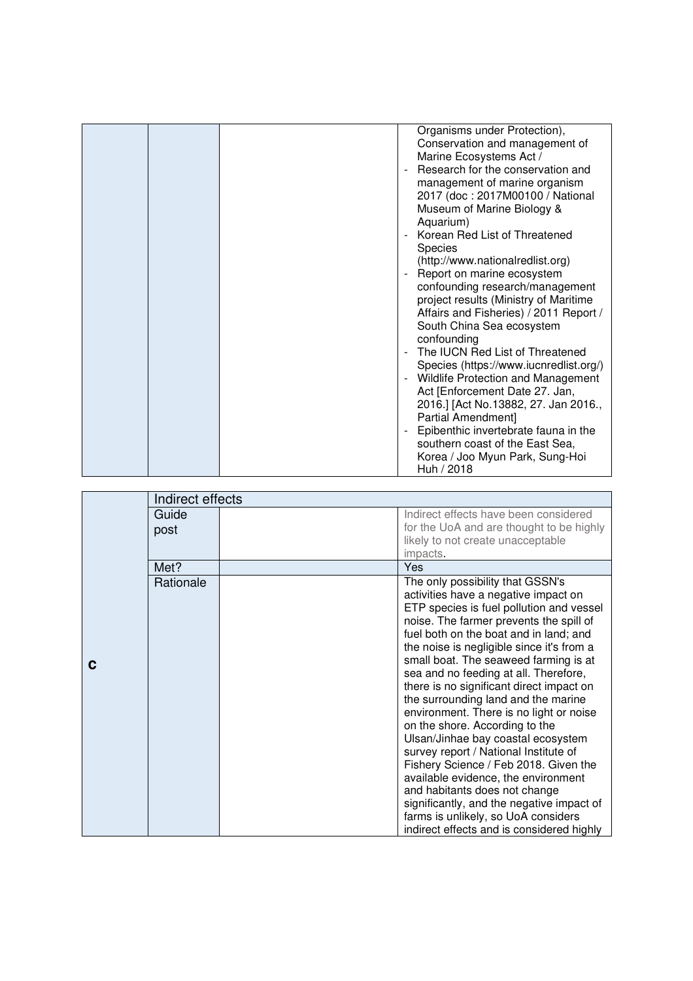|  | Organisms under Protection),<br>Conservation and management of<br>Marine Ecosystems Act /<br>Research for the conservation and<br>management of marine organism<br>2017 (doc: 2017M00100 / National<br>Museum of Marine Biology &<br>Aquarium)<br>Korean Red List of Threatened<br><b>Species</b><br>(http://www.nationalredlist.org)<br>Report on marine ecosystem<br>confounding research/management<br>project results (Ministry of Maritime<br>Affairs and Fisheries) / 2011 Report /<br>South China Sea ecosystem<br>confounding<br>The IUCN Red List of Threatened<br>Species (https://www.iucnredlist.org/)<br>Wildlife Protection and Management<br>Act [Enforcement Date 27. Jan,<br>2016.] [Act No.13882, 27. Jan 2016.,<br>Partial Amendment]<br>Epibenthic invertebrate fauna in the<br>southern coast of the East Sea, |
|--|-------------------------------------------------------------------------------------------------------------------------------------------------------------------------------------------------------------------------------------------------------------------------------------------------------------------------------------------------------------------------------------------------------------------------------------------------------------------------------------------------------------------------------------------------------------------------------------------------------------------------------------------------------------------------------------------------------------------------------------------------------------------------------------------------------------------------------------|
|  | Korea / Joo Myun Park, Sung-Hoi<br>Huh / 2018                                                                                                                                                                                                                                                                                                                                                                                                                                                                                                                                                                                                                                                                                                                                                                                       |

|   | Indirect effects |                                                                                                                                                                                                                                                                                                                                                                                                                                                                                                                                                                                                                                                                                                                                                                                                                                           |
|---|------------------|-------------------------------------------------------------------------------------------------------------------------------------------------------------------------------------------------------------------------------------------------------------------------------------------------------------------------------------------------------------------------------------------------------------------------------------------------------------------------------------------------------------------------------------------------------------------------------------------------------------------------------------------------------------------------------------------------------------------------------------------------------------------------------------------------------------------------------------------|
|   | Guide<br>post    | Indirect effects have been considered<br>for the UoA and are thought to be highly<br>likely to not create unacceptable<br>impacts.                                                                                                                                                                                                                                                                                                                                                                                                                                                                                                                                                                                                                                                                                                        |
|   | Met?             | <b>Yes</b>                                                                                                                                                                                                                                                                                                                                                                                                                                                                                                                                                                                                                                                                                                                                                                                                                                |
| C | Rationale        | The only possibility that GSSN's<br>activities have a negative impact on<br>ETP species is fuel pollution and vessel<br>noise. The farmer prevents the spill of<br>fuel both on the boat and in land; and<br>the noise is negligible since it's from a<br>small boat. The seaweed farming is at<br>sea and no feeding at all. Therefore,<br>there is no significant direct impact on<br>the surrounding land and the marine<br>environment. There is no light or noise<br>on the shore. According to the<br>Ulsan/Jinhae bay coastal ecosystem<br>survey report / National Institute of<br>Fishery Science / Feb 2018. Given the<br>available evidence, the environment<br>and habitants does not change<br>significantly, and the negative impact of<br>farms is unlikely, so UoA considers<br>indirect effects and is considered highly |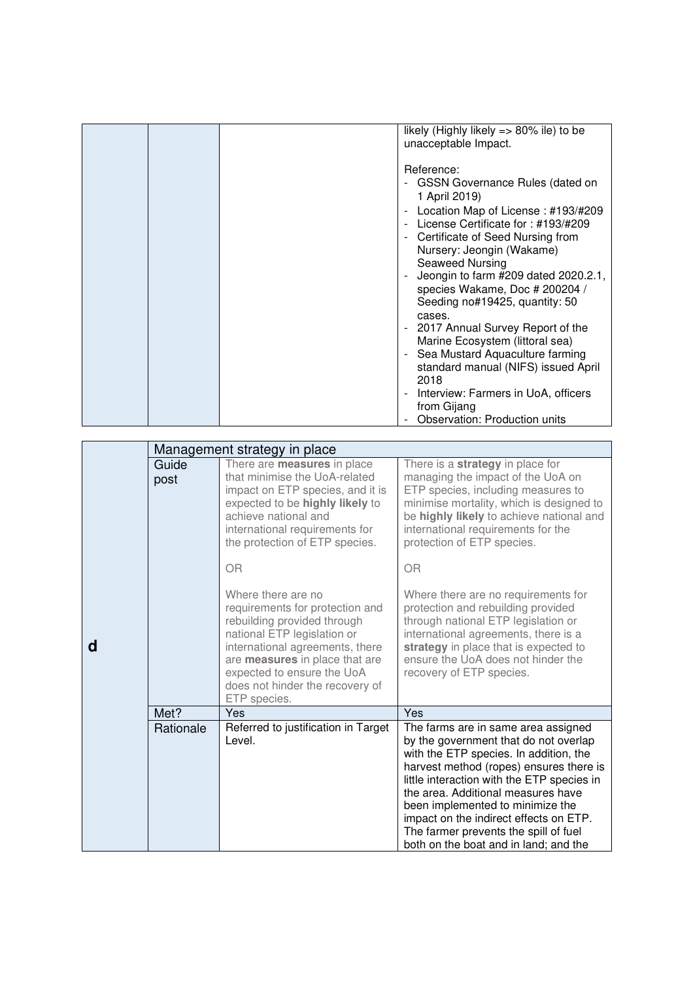|   |           |                                     | likely (Highly likely => 80% ile) to be           |
|---|-----------|-------------------------------------|---------------------------------------------------|
|   |           |                                     | unacceptable Impact.                              |
|   |           |                                     |                                                   |
|   |           |                                     | Reference:                                        |
|   |           |                                     |                                                   |
|   |           |                                     | - GSSN Governance Rules (dated on                 |
|   |           |                                     | 1 April 2019)                                     |
|   |           |                                     | Location Map of License: #193/#209                |
|   |           |                                     | License Certificate for: #193/#209                |
|   |           |                                     |                                                   |
|   |           |                                     | - Certificate of Seed Nursing from                |
|   |           |                                     | Nursery: Jeongin (Wakame)                         |
|   |           |                                     | Seaweed Nursing                                   |
|   |           |                                     | Jeongin to farm #209 dated 2020.2.1,              |
|   |           |                                     | species Wakame, Doc # 200204 /                    |
|   |           |                                     | Seeding no#19425, quantity: 50                    |
|   |           |                                     |                                                   |
|   |           |                                     | cases.                                            |
|   |           |                                     | 2017 Annual Survey Report of the                  |
|   |           |                                     | Marine Ecosystem (littoral sea)                   |
|   |           |                                     | Sea Mustard Aquaculture farming<br>$\blacksquare$ |
|   |           |                                     | standard manual (NIFS) issued April               |
|   |           |                                     | 2018                                              |
|   |           |                                     | Interview: Farmers in UoA, officers               |
|   |           |                                     |                                                   |
|   |           |                                     | from Gijang                                       |
|   |           |                                     | <b>Observation: Production units</b>              |
|   |           | Management strategy in place        |                                                   |
|   | Guide     | There are measures in place         | There is a strategy in place for                  |
|   |           | that minimise the UoA-related       | managing the impact of the UoA on                 |
|   | post      |                                     |                                                   |
|   |           | impact on ETP species, and it is    | ETP species, including measures to                |
|   |           | expected to be highly likely to     | minimise mortality, which is designed to          |
|   |           | achieve national and                | be highly likely to achieve national and          |
|   |           | international requirements for      | international requirements for the                |
|   |           | the protection of ETP species.      | protection of ETP species.                        |
|   |           | <b>OR</b>                           | OR                                                |
|   |           |                                     |                                                   |
|   |           | Where there are no                  | Where there are no requirements for               |
|   |           | requirements for protection and     | protection and rebuilding provided                |
|   |           | rebuilding provided through         | through national ETP legislation or               |
|   |           | national ETP legislation or         | international agreements, there is a              |
|   |           |                                     |                                                   |
| a |           | international agreements, there     | strategy in place that is expected to             |
|   |           | are measures in place that are      | ensure the UoA does not hinder the                |
|   |           | expected to ensure the UoA          | recovery of ETP species.                          |
|   |           | does not hinder the recovery of     |                                                   |
|   |           | ETP species.                        |                                                   |
|   | Met?      | Yes                                 | Yes                                               |
|   | Rationale | Referred to justification in Target | The farms are in same area assigned               |
|   |           | Level.                              | by the government that do not overlap             |
|   |           |                                     | with the ETP species. In addition, the            |
|   |           |                                     | harvest method (ropes) ensures there is           |
|   |           |                                     | little interaction with the ETP species in        |
|   |           |                                     |                                                   |
|   |           |                                     | the area. Additional measures have                |
|   |           |                                     | been implemented to minimize the                  |
|   |           |                                     | impact on the indirect effects on ETP.            |
|   |           |                                     | The farmer prevents the spill of fuel             |
|   |           |                                     | both on the boat and in land; and the             |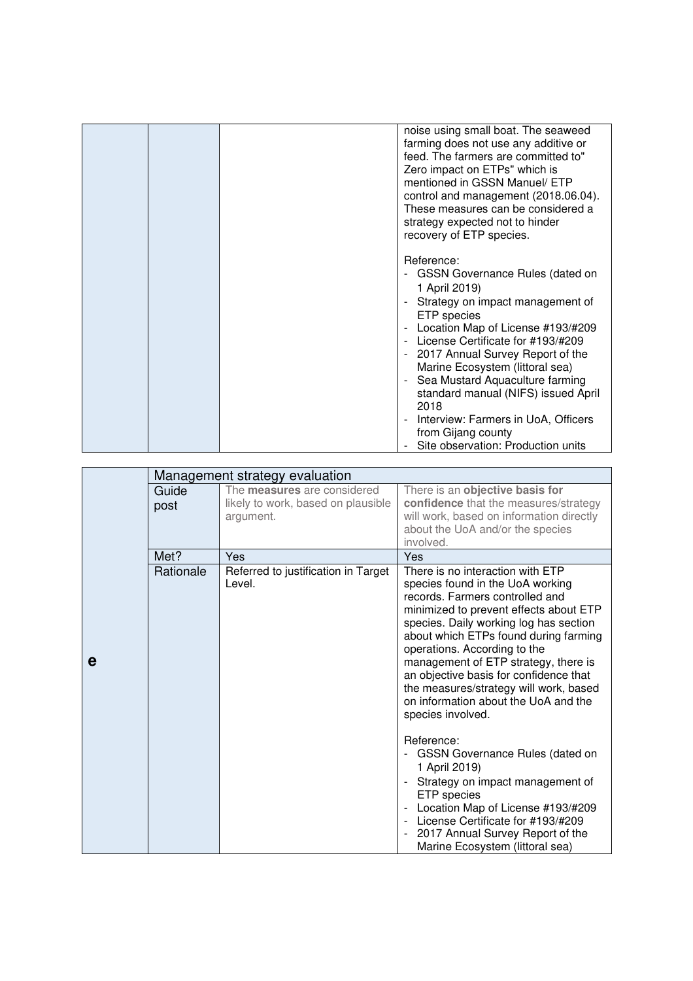|  | noise using small boat. The seaweed<br>farming does not use any additive or<br>feed. The farmers are committed to"<br>Zero impact on ETPs" which is<br>mentioned in GSSN Manuel/ ETP<br>control and management (2018.06.04).<br>These measures can be considered a<br>strategy expected not to hinder<br>recovery of ETP species.                                                                                     |
|--|-----------------------------------------------------------------------------------------------------------------------------------------------------------------------------------------------------------------------------------------------------------------------------------------------------------------------------------------------------------------------------------------------------------------------|
|  | Reference:<br>- GSSN Governance Rules (dated on<br>1 April 2019)<br>Strategy on impact management of<br>ETP species<br>Location Map of License #193/#209<br>License Certificate for #193/#209<br>- 2017 Annual Survey Report of the<br>Marine Ecosystem (littoral sea)<br>Sea Mustard Aquaculture farming<br>standard manual (NIFS) issued April<br>2018<br>Interview: Farmers in UoA, Officers<br>from Gijang county |
|  | Site observation: Production units                                                                                                                                                                                                                                                                                                                                                                                    |

|   |               | Management strategy evaluation                                                        |                                                                                                                                                                                                                                                                                                                                                                                                                                                                                                                                                                                                                                                                                                                                              |
|---|---------------|---------------------------------------------------------------------------------------|----------------------------------------------------------------------------------------------------------------------------------------------------------------------------------------------------------------------------------------------------------------------------------------------------------------------------------------------------------------------------------------------------------------------------------------------------------------------------------------------------------------------------------------------------------------------------------------------------------------------------------------------------------------------------------------------------------------------------------------------|
|   | Guide<br>post | The <b>measures</b> are considered<br>likely to work, based on plausible<br>argument. | There is an objective basis for<br>confidence that the measures/strategy<br>will work, based on information directly<br>about the UoA and/or the species<br>involved.                                                                                                                                                                                                                                                                                                                                                                                                                                                                                                                                                                        |
|   | Met?          | Yes                                                                                   | Yes                                                                                                                                                                                                                                                                                                                                                                                                                                                                                                                                                                                                                                                                                                                                          |
| е | Rationale     | Referred to justification in Target<br>Level.                                         | There is no interaction with ETP<br>species found in the UoA working<br>records. Farmers controlled and<br>minimized to prevent effects about ETP<br>species. Daily working log has section<br>about which ETPs found during farming<br>operations. According to the<br>management of ETP strategy, there is<br>an objective basis for confidence that<br>the measures/strategy will work, based<br>on information about the UoA and the<br>species involved.<br>Reference:<br><b>GSSN Governance Rules (dated on</b><br>1 April 2019)<br>Strategy on impact management of<br>ETP species<br>Location Map of License #193/#209<br>- License Certificate for #193/#209<br>2017 Annual Survey Report of the<br>Marine Ecosystem (littoral sea) |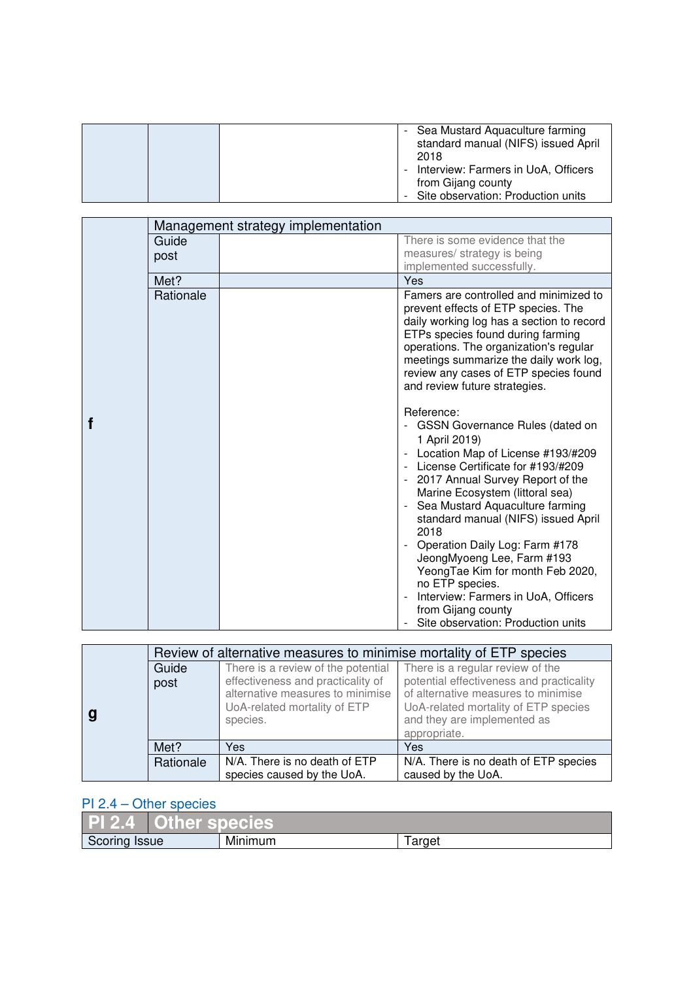|  | - Sea Mustard Aquaculture farming<br>standard manual (NIFS) issued April<br>2018                  |
|--|---------------------------------------------------------------------------------------------------|
|  | Interview: Farmers in UoA, Officers<br>from Gijang county<br>- Site observation: Production units |

|  | Management strategy implementation |  |                                                                                                                                                                                                                                                                                                                                                                                                                                                                                                                                                                                                                  |
|--|------------------------------------|--|------------------------------------------------------------------------------------------------------------------------------------------------------------------------------------------------------------------------------------------------------------------------------------------------------------------------------------------------------------------------------------------------------------------------------------------------------------------------------------------------------------------------------------------------------------------------------------------------------------------|
|  | Guide                              |  | There is some evidence that the<br>measures/ strategy is being                                                                                                                                                                                                                                                                                                                                                                                                                                                                                                                                                   |
|  | post                               |  | implemented successfully.                                                                                                                                                                                                                                                                                                                                                                                                                                                                                                                                                                                        |
|  | Met?                               |  | Yes                                                                                                                                                                                                                                                                                                                                                                                                                                                                                                                                                                                                              |
|  | Rationale                          |  | Famers are controlled and minimized to<br>prevent effects of ETP species. The<br>daily working log has a section to record<br>ETPs species found during farming<br>operations. The organization's regular<br>meetings summarize the daily work log,<br>review any cases of ETP species found<br>and review future strategies.                                                                                                                                                                                                                                                                                    |
|  |                                    |  | Reference:<br><b>GSSN Governance Rules (dated on</b><br>1 April 2019)<br>Location Map of License #193/#209<br>License Certificate for #193/#209<br>2017 Annual Survey Report of the<br>$\overline{\phantom{a}}$<br>Marine Ecosystem (littoral sea)<br>Sea Mustard Aquaculture farming<br>$\qquad \qquad \blacksquare$<br>standard manual (NIFS) issued April<br>2018<br>Operation Daily Log: Farm #178<br>$\overline{a}$<br>JeongMyoeng Lee, Farm #193<br>YeongTae Kim for month Feb 2020,<br>no ETP species.<br>Interview: Farmers in UoA, Officers<br>from Gijang county<br>Site observation: Production units |

| Review of alternative measures to minimise mortality of ETP species |                                    |                                          |
|---------------------------------------------------------------------|------------------------------------|------------------------------------------|
| Guide                                                               | There is a review of the potential | There is a regular review of the         |
| post                                                                | effectiveness and practicality of  | potential effectiveness and practicality |
|                                                                     | alternative measures to minimise   | of alternative measures to minimise      |
|                                                                     | UoA-related mortality of ETP       | UoA-related mortality of ETP species     |
|                                                                     | species.                           | and they are implemented as              |
|                                                                     |                                    | appropriate.                             |
| Met?                                                                | Yes                                | Yes                                      |
| Rationale                                                           | N/A. There is no death of ETP      | N/A. There is no death of ETP species    |
|                                                                     | species caused by the UoA.         | caused by the UoA.                       |

## PI 2.4 – Other species

|               | <b>PI 2.4 Other species</b> |         |       |
|---------------|-----------------------------|---------|-------|
| Scoring Issue |                             | Minimum | arget |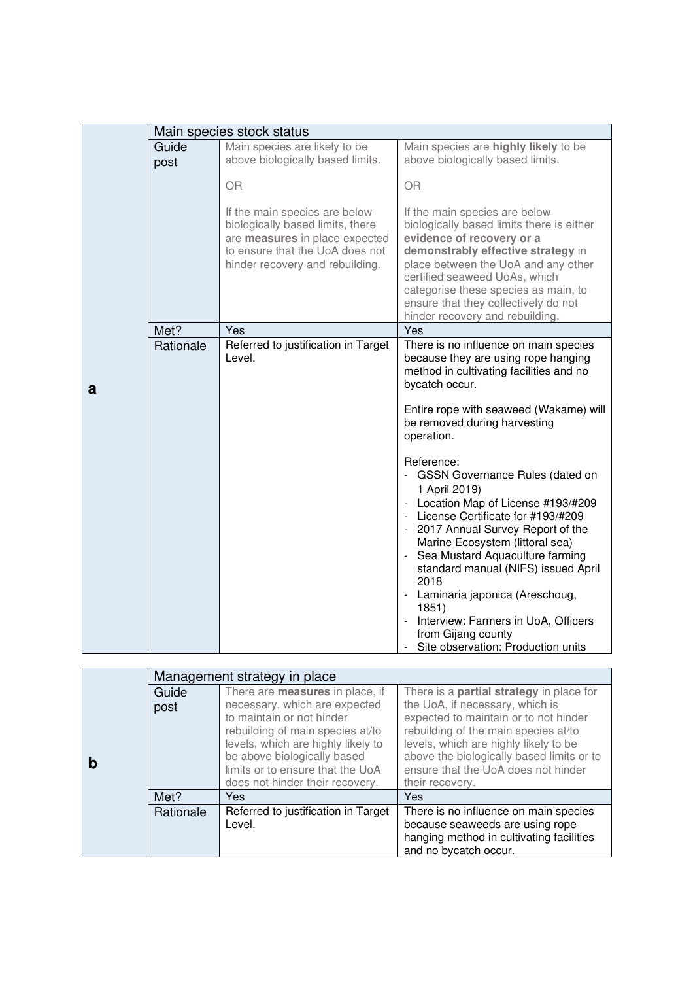|   |               | Main species stock status                                                                                                                                                 |                                                                                                                                                                                                                                                                                                                                                                                                                                                                                                                 |
|---|---------------|---------------------------------------------------------------------------------------------------------------------------------------------------------------------------|-----------------------------------------------------------------------------------------------------------------------------------------------------------------------------------------------------------------------------------------------------------------------------------------------------------------------------------------------------------------------------------------------------------------------------------------------------------------------------------------------------------------|
|   | Guide<br>post | Main species are likely to be<br>above biologically based limits.                                                                                                         | Main species are highly likely to be<br>above biologically based limits.                                                                                                                                                                                                                                                                                                                                                                                                                                        |
|   |               | <b>OR</b>                                                                                                                                                                 | <b>OR</b>                                                                                                                                                                                                                                                                                                                                                                                                                                                                                                       |
|   |               | If the main species are below<br>biologically based limits, there<br>are measures in place expected<br>to ensure that the UoA does not<br>hinder recovery and rebuilding. | If the main species are below<br>biologically based limits there is either<br>evidence of recovery or a<br>demonstrably effective strategy in<br>place between the UoA and any other<br>certified seaweed UoAs, which<br>categorise these species as main, to<br>ensure that they collectively do not<br>hinder recovery and rebuilding.                                                                                                                                                                        |
|   | Met?          | Yes                                                                                                                                                                       | Yes                                                                                                                                                                                                                                                                                                                                                                                                                                                                                                             |
| a | Rationale     | Referred to justification in Target<br>Level.                                                                                                                             | There is no influence on main species<br>because they are using rope hanging<br>method in cultivating facilities and no<br>bycatch occur.<br>Entire rope with seaweed (Wakame) will<br>be removed during harvesting<br>operation.                                                                                                                                                                                                                                                                               |
|   |               |                                                                                                                                                                           | Reference:<br>- GSSN Governance Rules (dated on<br>1 April 2019)<br>Location Map of License #193/#209<br>- License Certificate for #193/#209<br>- 2017 Annual Survey Report of the<br>Marine Ecosystem (littoral sea)<br>Sea Mustard Aquaculture farming<br>$\overline{\phantom{a}}$<br>standard manual (NIFS) issued April<br>2018<br>- Laminaria japonica (Areschoug,<br>1851)<br>Interview: Farmers in UoA, Officers<br>$\overline{\phantom{a}}$<br>from Gijang county<br>Site observation: Production units |

| Management strategy in place |                                                                   |                                                                                    |
|------------------------------|-------------------------------------------------------------------|------------------------------------------------------------------------------------|
| Guide                        | There are <b>measures</b> in place, if                            | There is a partial strategy in place for                                           |
| post                         | necessary, which are expected                                     | the UoA, if necessary, which is                                                    |
|                              | to maintain or not hinder                                         | expected to maintain or to not hinder                                              |
|                              | rebuilding of main species at/to                                  | rebuilding of the main species at/to                                               |
|                              | levels, which are highly likely to<br>be above biologically based | levels, which are highly likely to be<br>above the biologically based limits or to |
|                              | limits or to ensure that the UoA                                  | ensure that the UoA does not hinder                                                |
|                              | does not hinder their recovery.                                   | their recovery.                                                                    |
| Met?                         | Yes.                                                              | Yes                                                                                |
| Rationale                    | Referred to justification in Target                               | There is no influence on main species                                              |
|                              | Level.                                                            | because seaweeds are using rope                                                    |
|                              |                                                                   | hanging method in cultivating facilities                                           |
|                              |                                                                   | and no bycatch occur.                                                              |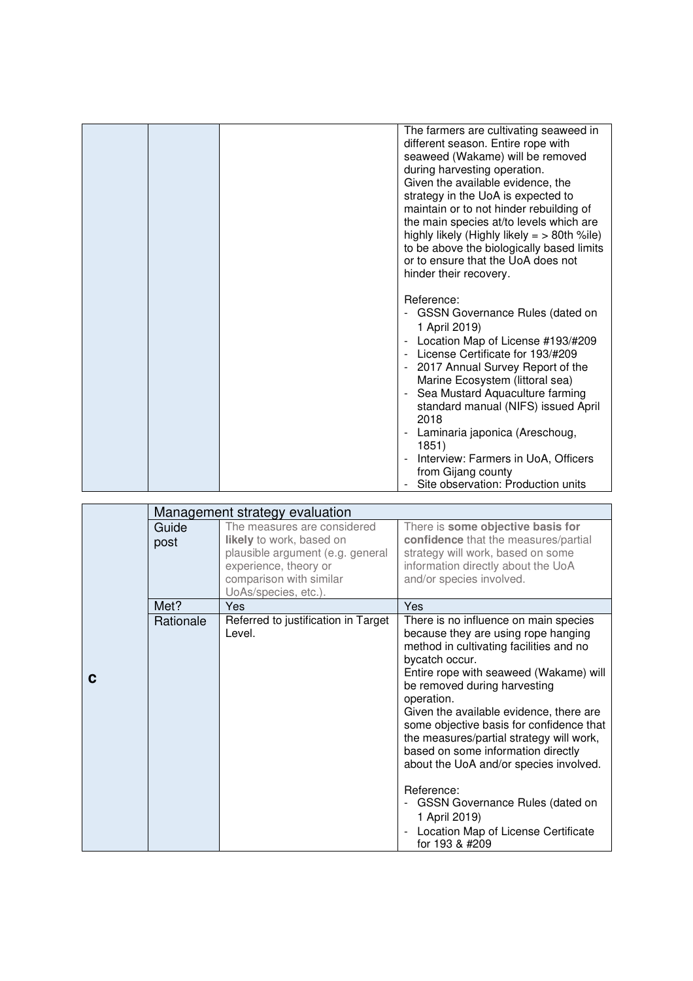|  | The farmers are cultivating seaweed in<br>different season. Entire rope with<br>seaweed (Wakame) will be removed<br>during harvesting operation.<br>Given the available evidence, the<br>strategy in the UoA is expected to<br>maintain or to not hinder rebuilding of<br>the main species at/to levels which are<br>highly likely (Highly likely $=$ > 80th %ile)<br>to be above the biologically based limits<br>or to ensure that the UoA does not<br>hinder their recovery. |
|--|---------------------------------------------------------------------------------------------------------------------------------------------------------------------------------------------------------------------------------------------------------------------------------------------------------------------------------------------------------------------------------------------------------------------------------------------------------------------------------|
|  | Reference:<br>GSSN Governance Rules (dated on<br>1 April 2019)<br>Location Map of License #193/#209<br>License Certificate for 193/#209<br>2017 Annual Survey Report of the<br>Marine Ecosystem (littoral sea)<br>Sea Mustard Aquaculture farming<br>standard manual (NIFS) issued April<br>2018<br>Laminaria japonica (Areschoug,<br>1851)<br>Interview: Farmers in UoA, Officers<br>from Gijang county<br>Site observation: Production units                                  |

|   |               | Management strategy evaluation                                                                                                                                          |                                                                                                                                                                                                                                                                                                                                                                                                                                                                                                                                                                                                               |
|---|---------------|-------------------------------------------------------------------------------------------------------------------------------------------------------------------------|---------------------------------------------------------------------------------------------------------------------------------------------------------------------------------------------------------------------------------------------------------------------------------------------------------------------------------------------------------------------------------------------------------------------------------------------------------------------------------------------------------------------------------------------------------------------------------------------------------------|
|   | Guide<br>post | The measures are considered<br>likely to work, based on<br>plausible argument (e.g. general<br>experience, theory or<br>comparison with similar<br>UoAs/species, etc.). | There is some objective basis for<br>confidence that the measures/partial<br>strategy will work, based on some<br>information directly about the UoA<br>and/or species involved.                                                                                                                                                                                                                                                                                                                                                                                                                              |
|   | Met?          | <b>Yes</b>                                                                                                                                                              | <b>Yes</b>                                                                                                                                                                                                                                                                                                                                                                                                                                                                                                                                                                                                    |
| C | Rationale     | Referred to justification in Target<br>Level.                                                                                                                           | There is no influence on main species<br>because they are using rope hanging<br>method in cultivating facilities and no<br>bycatch occur.<br>Entire rope with seaweed (Wakame) will<br>be removed during harvesting<br>operation.<br>Given the available evidence, there are<br>some objective basis for confidence that<br>the measures/partial strategy will work,<br>based on some information directly<br>about the UoA and/or species involved.<br>Reference:<br><b>GSSN Governance Rules (dated on</b><br>-<br>1 April 2019)<br>Location Map of License Certificate<br>$\overline{a}$<br>for 193 & #209 |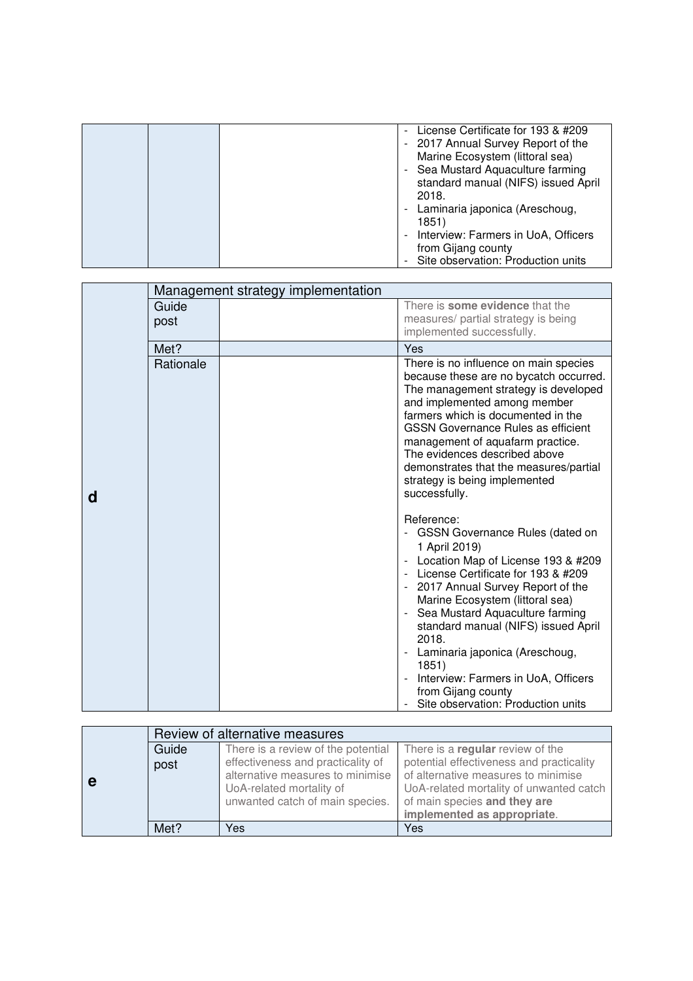|  | - License Certificate for 193 & #209<br>- 2017 Annual Survey Report of the<br>Marine Ecosystem (littoral sea)<br>- Sea Mustard Aquaculture farming<br>standard manual (NIFS) issued April<br>2018.<br>- Laminaria japonica (Areschoug,<br>1851)<br>- Interview: Farmers in UoA, Officers<br>from Gijang county |
|--|----------------------------------------------------------------------------------------------------------------------------------------------------------------------------------------------------------------------------------------------------------------------------------------------------------------|
|  |                                                                                                                                                                                                                                                                                                                |
|  | Site observation: Production units                                                                                                                                                                                                                                                                             |

|   |               | Management strategy implementation |                                                                                                                                                                                                                                                                                                                                                                                                                                                        |
|---|---------------|------------------------------------|--------------------------------------------------------------------------------------------------------------------------------------------------------------------------------------------------------------------------------------------------------------------------------------------------------------------------------------------------------------------------------------------------------------------------------------------------------|
| d | Guide<br>post |                                    | There is some evidence that the<br>measures/ partial strategy is being<br>implemented successfully.                                                                                                                                                                                                                                                                                                                                                    |
|   | Met?          |                                    | Yes                                                                                                                                                                                                                                                                                                                                                                                                                                                    |
|   | Rationale     |                                    | There is no influence on main species<br>because these are no bycatch occurred.<br>The management strategy is developed<br>and implemented among member<br>farmers which is documented in the<br><b>GSSN Governance Rules as efficient</b><br>management of aquafarm practice.<br>The evidences described above<br>demonstrates that the measures/partial<br>strategy is being implemented<br>successfully.                                            |
|   |               |                                    | Reference:<br>- GSSN Governance Rules (dated on<br>1 April 2019)<br>Location Map of License 193 & #209<br>- License Certificate for 193 & #209<br>2017 Annual Survey Report of the<br>Marine Ecosystem (littoral sea)<br>Sea Mustard Aquaculture farming<br>standard manual (NIFS) issued April<br>2018.<br>Laminaria japonica (Areschoug,<br>1851)<br>Interview: Farmers in UoA, Officers<br>from Gijang county<br>Site observation: Production units |

|   | Review of alternative measures |                                    |                                          |
|---|--------------------------------|------------------------------------|------------------------------------------|
| е | Guide                          | There is a review of the potential | There is a regular review of the         |
|   | post                           | effectiveness and practicality of  | potential effectiveness and practicality |
|   |                                | alternative measures to minimise   | of alternative measures to minimise      |
|   |                                | UoA-related mortality of           | UoA-related mortality of unwanted catch  |
|   |                                | unwanted catch of main species.    | of main species and they are             |
|   |                                |                                    | implemented as appropriate.              |
|   | Met?                           | Yes                                | Yes                                      |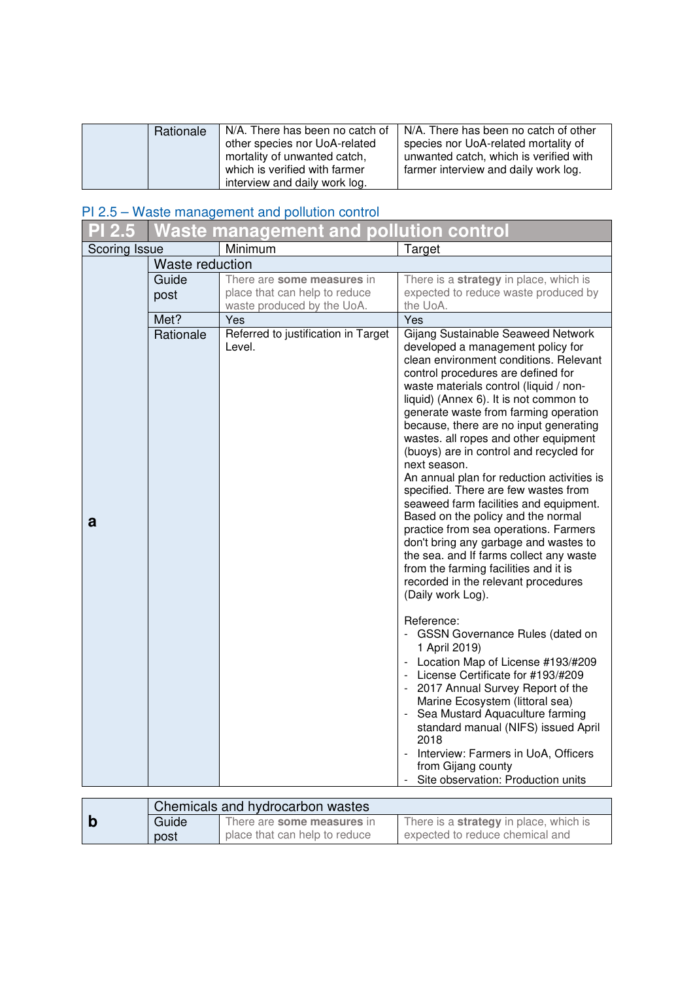| Rationale | N/A. There has been no catch of<br>other species nor UoA-related<br>mortality of unwanted catch,<br>which is verified with farmer | N/A. There has been no catch of other<br>species nor UoA-related mortality of<br>unwanted catch, which is verified with<br>farmer interview and daily work log. |
|-----------|-----------------------------------------------------------------------------------------------------------------------------------|-----------------------------------------------------------------------------------------------------------------------------------------------------------------|
|           | interview and daily work log.                                                                                                     |                                                                                                                                                                 |

#### PI 2.5 – Waste management and pollution control

|               |                 | Waste management and polluti <u>on control</u>                                            |                                                                                                                                                                                                                                                                                                                                                                                                                                                                                                                                                                                                                                                                                                                                                                                                                                                                                                                                                                                                                                                                                                                                                                                                                                                                |
|---------------|-----------------|-------------------------------------------------------------------------------------------|----------------------------------------------------------------------------------------------------------------------------------------------------------------------------------------------------------------------------------------------------------------------------------------------------------------------------------------------------------------------------------------------------------------------------------------------------------------------------------------------------------------------------------------------------------------------------------------------------------------------------------------------------------------------------------------------------------------------------------------------------------------------------------------------------------------------------------------------------------------------------------------------------------------------------------------------------------------------------------------------------------------------------------------------------------------------------------------------------------------------------------------------------------------------------------------------------------------------------------------------------------------|
| Scoring Issue |                 | Minimum                                                                                   | Target                                                                                                                                                                                                                                                                                                                                                                                                                                                                                                                                                                                                                                                                                                                                                                                                                                                                                                                                                                                                                                                                                                                                                                                                                                                         |
|               | Waste reduction |                                                                                           |                                                                                                                                                                                                                                                                                                                                                                                                                                                                                                                                                                                                                                                                                                                                                                                                                                                                                                                                                                                                                                                                                                                                                                                                                                                                |
|               | Guide<br>post   | There are some measures in<br>place that can help to reduce<br>waste produced by the UoA. | There is a strategy in place, which is<br>expected to reduce waste produced by<br>the UoA.                                                                                                                                                                                                                                                                                                                                                                                                                                                                                                                                                                                                                                                                                                                                                                                                                                                                                                                                                                                                                                                                                                                                                                     |
|               | Met?            | Yes                                                                                       | Yes                                                                                                                                                                                                                                                                                                                                                                                                                                                                                                                                                                                                                                                                                                                                                                                                                                                                                                                                                                                                                                                                                                                                                                                                                                                            |
| a             | Rationale       | Referred to justification in Target<br>Level.                                             | Gijang Sustainable Seaweed Network<br>developed a management policy for<br>clean environment conditions. Relevant<br>control procedures are defined for<br>waste materials control (liquid / non-<br>liquid) (Annex 6). It is not common to<br>generate waste from farming operation<br>because, there are no input generating<br>wastes. all ropes and other equipment<br>(buoys) are in control and recycled for<br>next season.<br>An annual plan for reduction activities is<br>specified. There are few wastes from<br>seaweed farm facilities and equipment.<br>Based on the policy and the normal<br>practice from sea operations. Farmers<br>don't bring any garbage and wastes to<br>the sea. and If farms collect any waste<br>from the farming facilities and it is<br>recorded in the relevant procedures<br>(Daily work Log).<br>Reference:<br>- GSSN Governance Rules (dated on<br>1 April 2019)<br>- Location Map of License #193/#209<br>- License Certificate for #193/#209<br>- 2017 Annual Survey Report of the<br>Marine Ecosystem (littoral sea)<br>- Sea Mustard Aquaculture farming<br>standard manual (NIFS) issued April<br>2018<br>- Interview: Farmers in UoA, Officers<br>from Gijang county<br>Site observation: Production units |

|       | Chemicals and hydrocarbon wastes |                                               |
|-------|----------------------------------|-----------------------------------------------|
| Guide | There are some measures in       | There is a <b>strategy</b> in place, which is |
| post  | place that can help to reduce    | expected to reduce chemical and               |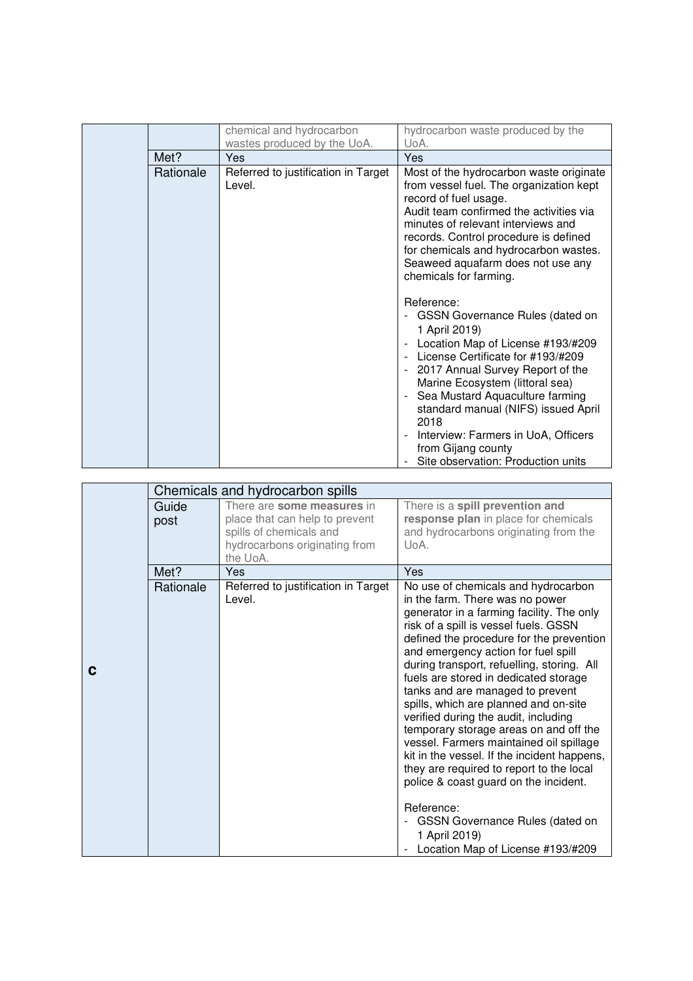|           | chemical and hydrocarbon                      | hydrocarbon waste produced by the                                                                                                                                                                                                                                                                                                                                                                                                                                                                                    |
|-----------|-----------------------------------------------|----------------------------------------------------------------------------------------------------------------------------------------------------------------------------------------------------------------------------------------------------------------------------------------------------------------------------------------------------------------------------------------------------------------------------------------------------------------------------------------------------------------------|
|           | wastes produced by the UoA.                   | UoA.                                                                                                                                                                                                                                                                                                                                                                                                                                                                                                                 |
| Met?      | Yes                                           | <b>Yes</b>                                                                                                                                                                                                                                                                                                                                                                                                                                                                                                           |
| Rationale | Referred to justification in Target<br>Level. | Most of the hydrocarbon waste originate<br>from vessel fuel. The organization kept<br>record of fuel usage.<br>Audit team confirmed the activities via<br>minutes of relevant interviews and<br>records. Control procedure is defined<br>for chemicals and hydrocarbon wastes.<br>Seaweed aquafarm does not use any<br>chemicals for farming.                                                                                                                                                                        |
|           |                                               | Reference:<br>GSSN Governance Rules (dated on<br>$\overline{\phantom{a}}$<br>1 April 2019)<br>Location Map of License #193/#209<br>$\overline{\phantom{a}}$<br>License Certificate for #193/#209<br>2017 Annual Survey Report of the<br>$\overline{\phantom{a}}$<br>Marine Ecosystem (littoral sea)<br>Sea Mustard Aquaculture farming<br>$\overline{\phantom{a}}$<br>standard manual (NIFS) issued April<br>2018<br>Interview: Farmers in UoA, Officers<br>from Gijang county<br>Site observation: Production units |

|   |           | Chemicals and hydrocarbon spills              |                                                                                    |
|---|-----------|-----------------------------------------------|------------------------------------------------------------------------------------|
|   | Guide     | There are some measures in                    | There is a spill prevention and                                                    |
|   | post      | place that can help to prevent                | response plan in place for chemicals                                               |
|   |           | spills of chemicals and                       | and hydrocarbons originating from the                                              |
|   |           | hydrocarbons originating from                 | UoA.                                                                               |
|   |           | the UoA.                                      |                                                                                    |
|   | Met?      | Yes                                           | Yes                                                                                |
|   | Rationale | Referred to justification in Target<br>Level. | No use of chemicals and hydrocarbon<br>in the farm. There was no power             |
|   |           |                                               | generator in a farming facility. The only<br>risk of a spill is vessel fuels. GSSN |
|   |           |                                               | defined the procedure for the prevention<br>and emergency action for fuel spill    |
| С |           |                                               | during transport, refuelling, storing. All                                         |
|   |           |                                               | fuels are stored in dedicated storage<br>tanks and are managed to prevent          |
|   |           |                                               | spills, which are planned and on-site                                              |
|   |           |                                               | verified during the audit, including                                               |
|   |           |                                               | temporary storage areas on and off the<br>vessel. Farmers maintained oil spillage  |
|   |           |                                               | kit in the vessel. If the incident happens,                                        |
|   |           |                                               | they are required to report to the local                                           |
|   |           |                                               | police & coast guard on the incident.                                              |
|   |           |                                               | Reference:                                                                         |
|   |           |                                               | GSSN Governance Rules (dated on<br>1 April 2019)                                   |
|   |           |                                               | Location Map of License #193/#209                                                  |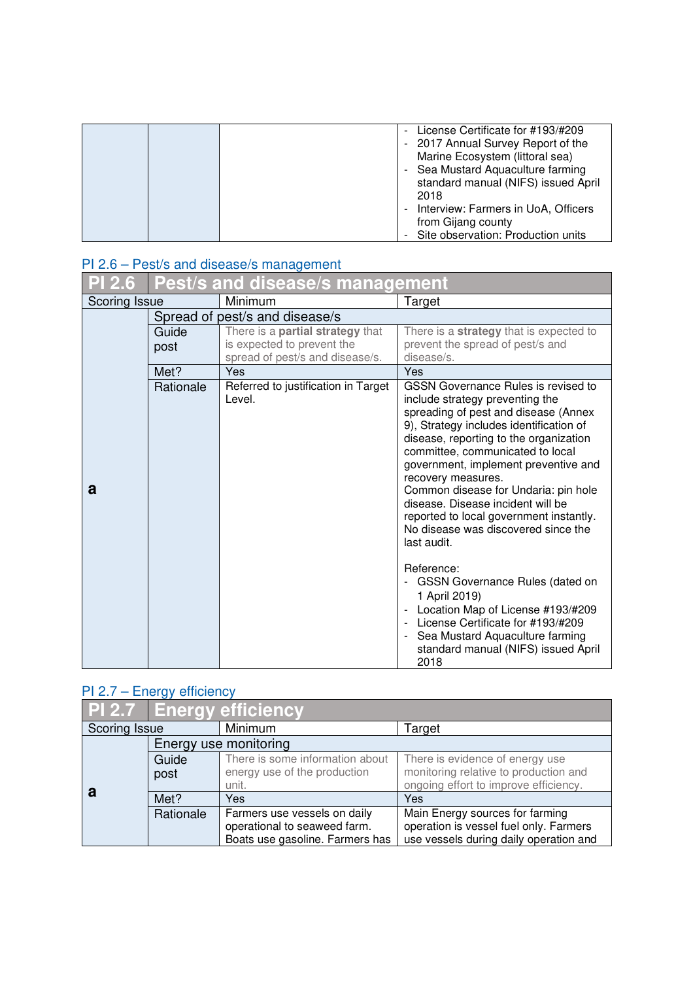| - License Certificate for #193/#209<br>- 2017 Annual Survey Report of the<br>Marine Ecosystem (littoral sea)<br>- Sea Mustard Aquaculture farming<br>standard manual (NIFS) issued April<br>2018<br>- Interview: Farmers in UoA, Officers |
|-------------------------------------------------------------------------------------------------------------------------------------------------------------------------------------------------------------------------------------------|
| from Gijang county<br>- Site observation: Production units                                                                                                                                                                                |

## PI 2.6 – Pest/s and disease/s management

| <b>PI 2.6</b> | <b>Pest/s and disease/s management</b> |                                         |                                                                                   |
|---------------|----------------------------------------|-----------------------------------------|-----------------------------------------------------------------------------------|
| Scoring Issue |                                        | Minimum                                 | Target                                                                            |
|               |                                        | Spread of pest/s and disease/s          |                                                                                   |
|               | Guide                                  | There is a <b>partial strategy</b> that | There is a strategy that is expected to                                           |
|               | post                                   | is expected to prevent the              | prevent the spread of pest/s and                                                  |
|               |                                        | spread of pest/s and disease/s.         | disease/s.                                                                        |
|               | Met?                                   | Yes                                     | Yes                                                                               |
|               | Rationale                              | Referred to justification in Target     | <b>GSSN Governance Rules is revised to</b>                                        |
|               |                                        | Level.                                  | include strategy preventing the                                                   |
|               |                                        |                                         | spreading of pest and disease (Annex                                              |
|               |                                        |                                         | 9), Strategy includes identification of<br>disease, reporting to the organization |
|               |                                        |                                         | committee, communicated to local                                                  |
|               |                                        |                                         | government, implement preventive and                                              |
|               |                                        |                                         | recovery measures.                                                                |
| a             |                                        |                                         | Common disease for Undaria: pin hole                                              |
|               |                                        |                                         | disease. Disease incident will be                                                 |
|               |                                        |                                         | reported to local government instantly.                                           |
|               |                                        |                                         | No disease was discovered since the                                               |
|               |                                        |                                         | last audit.                                                                       |
|               |                                        |                                         | Reference:                                                                        |
|               |                                        |                                         | <b>GSSN Governance Rules (dated on</b><br>$\frac{1}{2}$                           |
|               |                                        |                                         | 1 April 2019)                                                                     |
|               |                                        |                                         | Location Map of License #193/#209                                                 |
|               |                                        |                                         | License Certificate for #193/#209<br>$\blacksquare$                               |
|               |                                        |                                         | Sea Mustard Aquaculture farming<br>$\overline{\phantom{a}}$                       |
|               |                                        |                                         | standard manual (NIFS) issued April                                               |
|               |                                        |                                         | 2018                                                                              |

# PI 2.7 – Energy efficiency

|                      |           | <b>PI 2.7 Energy efficiency</b> |                                        |
|----------------------|-----------|---------------------------------|----------------------------------------|
| <b>Scoring Issue</b> |           | Minimum                         | Target                                 |
|                      |           | Energy use monitoring           |                                        |
|                      | Guide     | There is some information about | There is evidence of energy use        |
|                      | post      | energy use of the production    | monitoring relative to production and  |
| а                    |           | unit.                           | ongoing effort to improve efficiency.  |
|                      | Met?      | Yes                             | Yes                                    |
|                      | Rationale | Farmers use vessels on daily    | Main Energy sources for farming        |
|                      |           | operational to seaweed farm.    | operation is vessel fuel only. Farmers |
|                      |           | Boats use gasoline. Farmers has | use vessels during daily operation and |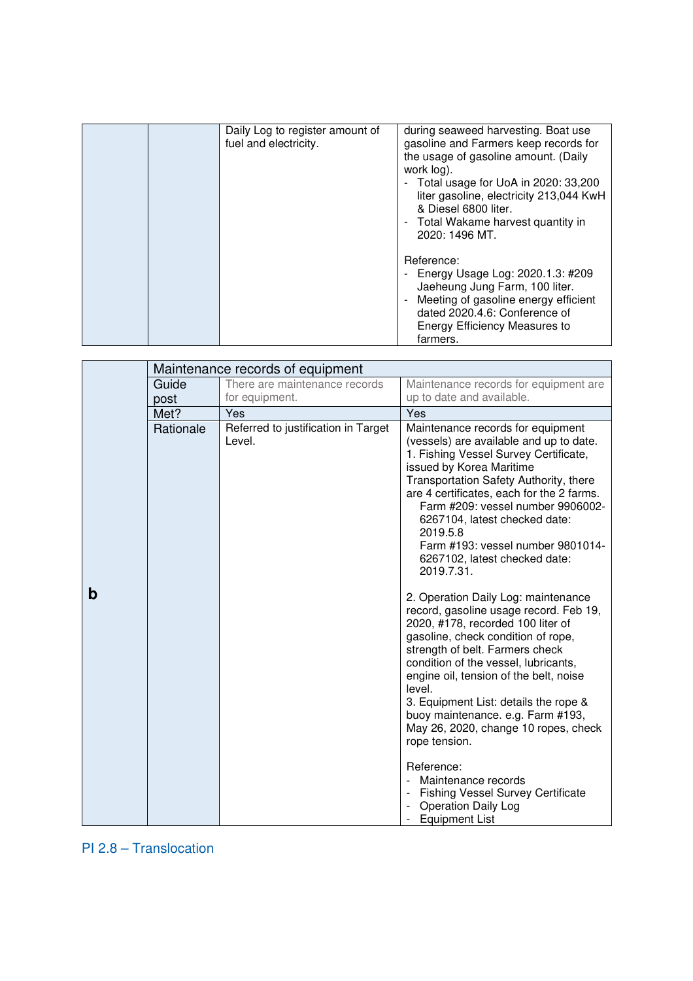|  | Daily Log to register amount of | during seaweed harvesting. Boat use                |
|--|---------------------------------|----------------------------------------------------|
|  | fuel and electricity.           | gasoline and Farmers keep records for              |
|  |                                 | the usage of gasoline amount. (Daily               |
|  |                                 | work log).                                         |
|  |                                 | - Total usage for UoA in 2020: 33,200              |
|  |                                 |                                                    |
|  |                                 | liter gasoline, electricity 213,044 KwH            |
|  |                                 | & Diesel 6800 liter.                               |
|  |                                 | Total Wakame harvest quantity in<br>$\blacksquare$ |
|  |                                 | 2020: 1496 MT.                                     |
|  |                                 |                                                    |
|  |                                 | Reference:                                         |
|  |                                 | Energy Usage Log: 2020.1.3: #209                   |
|  |                                 |                                                    |
|  |                                 | Jaeheung Jung Farm, 100 liter.                     |
|  |                                 | Meeting of gasoline energy efficient               |
|  |                                 | dated 2020.4.6: Conference of                      |
|  |                                 | Energy Efficiency Measures to                      |
|  |                                 | farmers.                                           |
|  |                                 |                                                    |

|   |           | Maintenance records of equipment              |                                                                                                                                                                                                                                                                                                                                                                                                                                                                                                                                                                                   |
|---|-----------|-----------------------------------------------|-----------------------------------------------------------------------------------------------------------------------------------------------------------------------------------------------------------------------------------------------------------------------------------------------------------------------------------------------------------------------------------------------------------------------------------------------------------------------------------------------------------------------------------------------------------------------------------|
|   | Guide     | There are maintenance records                 | Maintenance records for equipment are                                                                                                                                                                                                                                                                                                                                                                                                                                                                                                                                             |
|   | post      | for equipment.                                | up to date and available.                                                                                                                                                                                                                                                                                                                                                                                                                                                                                                                                                         |
|   | Met?      | Yes                                           | Yes                                                                                                                                                                                                                                                                                                                                                                                                                                                                                                                                                                               |
|   | Rationale | Referred to justification in Target<br>Level. | Maintenance records for equipment<br>(vessels) are available and up to date.<br>1. Fishing Vessel Survey Certificate,<br>issued by Korea Maritime<br>Transportation Safety Authority, there<br>are 4 certificates, each for the 2 farms.<br>Farm #209: vessel number 9906002-<br>6267104, latest checked date:<br>2019.5.8<br>Farm #193: vessel number 9801014-<br>6267102, latest checked date:<br>2019.7.31.                                                                                                                                                                    |
| b |           |                                               | 2. Operation Daily Log: maintenance<br>record, gasoline usage record. Feb 19,<br>2020, #178, recorded 100 liter of<br>gasoline, check condition of rope,<br>strength of belt. Farmers check<br>condition of the vessel, lubricants,<br>engine oil, tension of the belt, noise<br>level.<br>3. Equipment List: details the rope &<br>buoy maintenance. e.g. Farm #193,<br>May 26, 2020, change 10 ropes, check<br>rope tension.<br>Reference:<br>Maintenance records<br><b>Fishing Vessel Survey Certificate</b><br>Operation Daily Log<br><b>Equipment List</b><br>$\blacksquare$ |

PI 2.8 – Translocation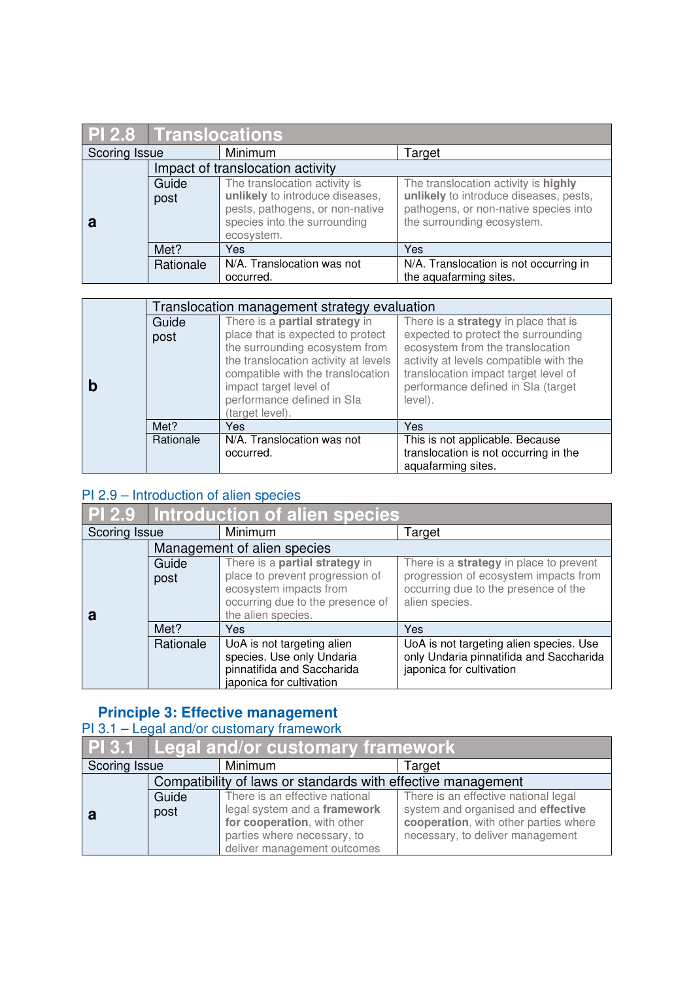|               | <b>PI 2.8 Translocations</b> |                                            |                                        |  |
|---------------|------------------------------|--------------------------------------------|----------------------------------------|--|
| Scoring Issue |                              | Minimum                                    | Target                                 |  |
|               |                              | Impact of translocation activity           |                                        |  |
|               | Guide                        | The translocation activity is              | The translocation activity is highly   |  |
|               | post                         | unlikely to introduce diseases,            | unlikely to introduce diseases, pests, |  |
|               |                              | pests, pathogens, or non-native            | pathogens, or non-native species into  |  |
| а             |                              | species into the surrounding<br>ecosystem. | the surrounding ecosystem.             |  |
|               | Met?                         | Yes                                        | Yes                                    |  |
|               |                              |                                            |                                        |  |
|               | Rationale                    | N/A. Translocation was not                 | N/A. Translocation is not occurring in |  |
|               |                              | occurred.                                  | the aquafarming sites.                 |  |

|           | Translocation management strategy evaluation                                                        |                                                                                                                      |
|-----------|-----------------------------------------------------------------------------------------------------|----------------------------------------------------------------------------------------------------------------------|
| Guide     | There is a partial strategy in                                                                      | There is a strategy in place that is                                                                                 |
| post      | place that is expected to protect                                                                   | expected to protect the surrounding                                                                                  |
|           | the surrounding ecosystem from                                                                      | ecosystem from the translocation                                                                                     |
|           | the translocation activity at levels<br>compatible with the translocation<br>impact target level of | activity at levels compatible with the<br>translocation impact target level of<br>performance defined in SIa (target |
|           | performance defined in Sla<br>(target level).                                                       | level).                                                                                                              |
| Met?      | Yes                                                                                                 | Yes                                                                                                                  |
| Rationale | N/A. Translocation was not                                                                          | This is not applicable. Because                                                                                      |
|           | occurred.                                                                                           | translocation is not occurring in the<br>aquafarming sites.                                                          |

## PI 2.9 – Introduction of alien species

| <b>PI 2.9</b> | Introduction of alien species |                                                                                                                     |                                                                                                                |  |
|---------------|-------------------------------|---------------------------------------------------------------------------------------------------------------------|----------------------------------------------------------------------------------------------------------------|--|
| Scoring Issue |                               | Minimum                                                                                                             | Target                                                                                                         |  |
|               |                               | Management of alien species                                                                                         |                                                                                                                |  |
|               | Guide                         | There is a <b>partial strategy</b> in                                                                               | There is a strategy in place to prevent                                                                        |  |
| а             | post                          | place to prevent progression of<br>ecosystem impacts from<br>occurring due to the presence of<br>the alien species. | progression of ecosystem impacts from<br>occurring due to the presence of the<br>alien species.                |  |
|               | Met?                          | Yes                                                                                                                 | Yes                                                                                                            |  |
|               | Rationale                     | UoA is not targeting alien<br>species. Use only Undaria<br>pinnatifida and Saccharida<br>japonica for cultivation   | UoA is not targeting alien species. Use<br>only Undaria pinnatifida and Saccharida<br>japonica for cultivation |  |

#### **Principle 3: Effective management**

#### PI 3.1 – Legal and/or customary framework

|                                                              | <b>PI 3.1 Legal and/or customary framework</b> |                                |                                       |
|--------------------------------------------------------------|------------------------------------------------|--------------------------------|---------------------------------------|
| Scoring Issue                                                |                                                | Minimum                        | Target                                |
| Compatibility of laws or standards with effective management |                                                |                                |                                       |
|                                                              | Guide                                          | There is an effective national | There is an effective national legal  |
|                                                              | post                                           | legal system and a framework   | system and organised and effective    |
|                                                              |                                                | for cooperation, with other    | cooperation, with other parties where |
|                                                              |                                                | parties where necessary, to    | necessary, to deliver management      |
|                                                              |                                                | deliver management outcomes    |                                       |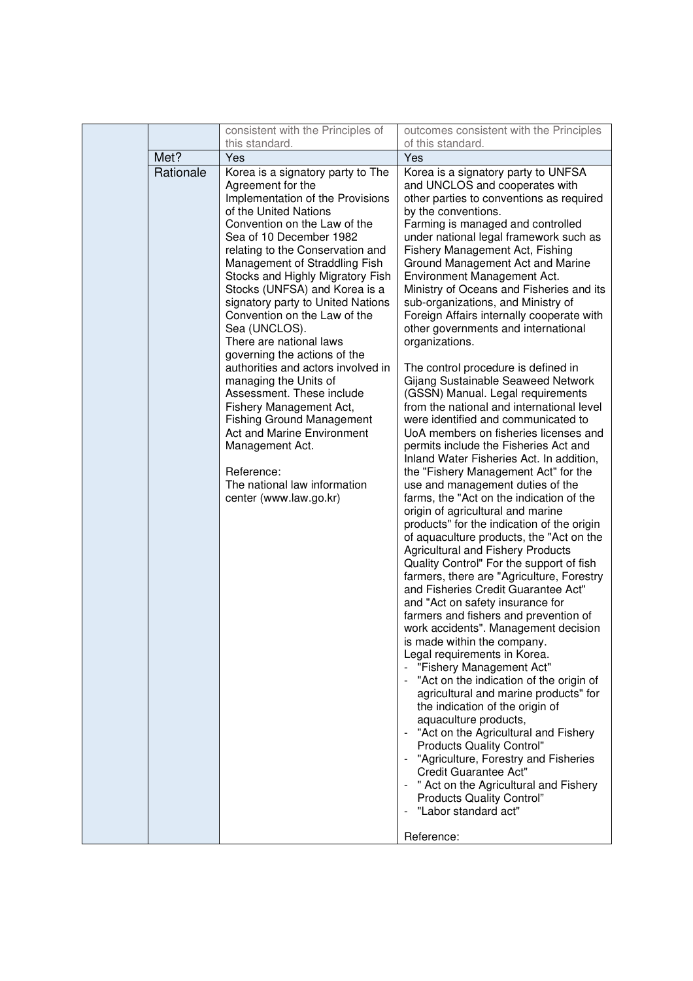|                   | consistent with the Principles of                                                                                                                                                                                                                                                                                                                                                                                                                                                                                                                                                                                                                                                                                                                                                      | outcomes consistent with the Principles                                                                                                                                                                                                                                                                                                                                                                                                                                                                                                                                                                                                                                                                                                                                                                                                                                                                                                                                                                                                                                                                                                                                                                                                                                                                                                                                                                                                                                                                                                                                                                                                                                                                                                                                                                                                                                                                                             |
|-------------------|----------------------------------------------------------------------------------------------------------------------------------------------------------------------------------------------------------------------------------------------------------------------------------------------------------------------------------------------------------------------------------------------------------------------------------------------------------------------------------------------------------------------------------------------------------------------------------------------------------------------------------------------------------------------------------------------------------------------------------------------------------------------------------------|-------------------------------------------------------------------------------------------------------------------------------------------------------------------------------------------------------------------------------------------------------------------------------------------------------------------------------------------------------------------------------------------------------------------------------------------------------------------------------------------------------------------------------------------------------------------------------------------------------------------------------------------------------------------------------------------------------------------------------------------------------------------------------------------------------------------------------------------------------------------------------------------------------------------------------------------------------------------------------------------------------------------------------------------------------------------------------------------------------------------------------------------------------------------------------------------------------------------------------------------------------------------------------------------------------------------------------------------------------------------------------------------------------------------------------------------------------------------------------------------------------------------------------------------------------------------------------------------------------------------------------------------------------------------------------------------------------------------------------------------------------------------------------------------------------------------------------------------------------------------------------------------------------------------------------------|
|                   | Yes                                                                                                                                                                                                                                                                                                                                                                                                                                                                                                                                                                                                                                                                                                                                                                                    | Yes                                                                                                                                                                                                                                                                                                                                                                                                                                                                                                                                                                                                                                                                                                                                                                                                                                                                                                                                                                                                                                                                                                                                                                                                                                                                                                                                                                                                                                                                                                                                                                                                                                                                                                                                                                                                                                                                                                                                 |
| Met?<br>Rationale | this standard.<br>Korea is a signatory party to The<br>Agreement for the<br>Implementation of the Provisions<br>of the United Nations<br>Convention on the Law of the<br>Sea of 10 December 1982<br>relating to the Conservation and<br>Management of Straddling Fish<br>Stocks and Highly Migratory Fish<br>Stocks (UNFSA) and Korea is a<br>signatory party to United Nations<br>Convention on the Law of the<br>Sea (UNCLOS).<br>There are national laws<br>governing the actions of the<br>authorities and actors involved in<br>managing the Units of<br>Assessment. These include<br>Fishery Management Act,<br><b>Fishing Ground Management</b><br><b>Act and Marine Environment</b><br>Management Act.<br>Reference:<br>The national law information<br>center (www.law.go.kr) | of this standard.<br>Korea is a signatory party to UNFSA<br>and UNCLOS and cooperates with<br>other parties to conventions as required<br>by the conventions.<br>Farming is managed and controlled<br>under national legal framework such as<br>Fishery Management Act, Fishing<br>Ground Management Act and Marine<br>Environment Management Act.<br>Ministry of Oceans and Fisheries and its<br>sub-organizations, and Ministry of<br>Foreign Affairs internally cooperate with<br>other governments and international<br>organizations.<br>The control procedure is defined in<br>Gijang Sustainable Seaweed Network<br>(GSSN) Manual. Legal requirements<br>from the national and international level<br>were identified and communicated to<br>UoA members on fisheries licenses and<br>permits include the Fisheries Act and<br>Inland Water Fisheries Act. In addition,<br>the "Fishery Management Act" for the<br>use and management duties of the<br>farms, the "Act on the indication of the<br>origin of agricultural and marine<br>products" for the indication of the origin<br>of aquaculture products, the "Act on the<br><b>Agricultural and Fishery Products</b><br>Quality Control" For the support of fish<br>farmers, there are "Agriculture, Forestry<br>and Fisheries Credit Guarantee Act"<br>and "Act on safety insurance for<br>farmers and fishers and prevention of<br>work accidents". Management decision<br>is made within the company.<br>Legal requirements in Korea.<br>"Fishery Management Act"<br>"Act on the indication of the origin of<br>agricultural and marine products" for<br>the indication of the origin of<br>aquaculture products,<br>"Act on the Agricultural and Fishery<br><b>Products Quality Control"</b><br>"Agriculture, Forestry and Fisheries<br>Credit Guarantee Act"<br>" Act on the Agricultural and Fishery<br><b>Products Quality Control"</b><br>"Labor standard act" |
|                   |                                                                                                                                                                                                                                                                                                                                                                                                                                                                                                                                                                                                                                                                                                                                                                                        | Reference:                                                                                                                                                                                                                                                                                                                                                                                                                                                                                                                                                                                                                                                                                                                                                                                                                                                                                                                                                                                                                                                                                                                                                                                                                                                                                                                                                                                                                                                                                                                                                                                                                                                                                                                                                                                                                                                                                                                          |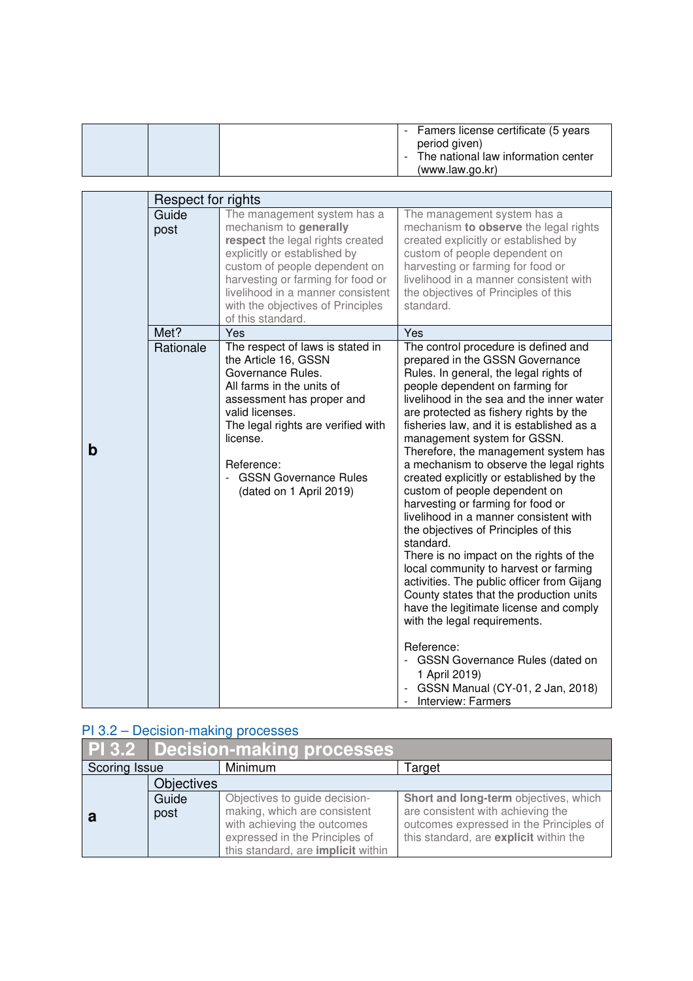|  | - Famers license certificate (5 years<br>period given)<br>- The national law information center<br>(www.law.go.kr) |
|--|--------------------------------------------------------------------------------------------------------------------|

|   | Respect for rights |                                                                                                                                                                                                                                                                                                |                                                                                                                                                                                                                                                                                                                                                                                                                                                                                                                                                                                                                                                                                                                                                                                                                                                                                                                                                                                                                  |
|---|--------------------|------------------------------------------------------------------------------------------------------------------------------------------------------------------------------------------------------------------------------------------------------------------------------------------------|------------------------------------------------------------------------------------------------------------------------------------------------------------------------------------------------------------------------------------------------------------------------------------------------------------------------------------------------------------------------------------------------------------------------------------------------------------------------------------------------------------------------------------------------------------------------------------------------------------------------------------------------------------------------------------------------------------------------------------------------------------------------------------------------------------------------------------------------------------------------------------------------------------------------------------------------------------------------------------------------------------------|
|   | Guide<br>post      | The management system has a<br>mechanism to generally<br>respect the legal rights created<br>explicitly or established by<br>custom of people dependent on<br>harvesting or farming for food or<br>livelihood in a manner consistent<br>with the objectives of Principles<br>of this standard. | The management system has a<br>mechanism to observe the legal rights<br>created explicitly or established by<br>custom of people dependent on<br>harvesting or farming for food or<br>livelihood in a manner consistent with<br>the objectives of Principles of this<br>standard.                                                                                                                                                                                                                                                                                                                                                                                                                                                                                                                                                                                                                                                                                                                                |
|   | Met?               | Yes                                                                                                                                                                                                                                                                                            | Yes                                                                                                                                                                                                                                                                                                                                                                                                                                                                                                                                                                                                                                                                                                                                                                                                                                                                                                                                                                                                              |
| b | Rationale          | The respect of laws is stated in<br>the Article 16, GSSN<br>Governance Rules.<br>All farms in the units of<br>assessment has proper and<br>valid licenses.<br>The legal rights are verified with<br>license.<br>Reference:<br><b>GSSN Governance Rules</b><br>(dated on 1 April 2019)          | The control procedure is defined and<br>prepared in the GSSN Governance<br>Rules. In general, the legal rights of<br>people dependent on farming for<br>livelihood in the sea and the inner water<br>are protected as fishery rights by the<br>fisheries law, and it is established as a<br>management system for GSSN.<br>Therefore, the management system has<br>a mechanism to observe the legal rights<br>created explicitly or established by the<br>custom of people dependent on<br>harvesting or farming for food or<br>livelihood in a manner consistent with<br>the objectives of Principles of this<br>standard.<br>There is no impact on the rights of the<br>local community to harvest or farming<br>activities. The public officer from Gijang<br>County states that the production units<br>have the legitimate license and comply<br>with the legal requirements.<br>Reference:<br>- GSSN Governance Rules (dated on<br>1 April 2019)<br>GSSN Manual (CY-01, 2 Jan, 2018)<br>Interview: Farmers |

### PI 3.2 – Decision-making processes

|               | <b>PI 3.2 Decision-making processes</b> |                                           |                                         |
|---------------|-----------------------------------------|-------------------------------------------|-----------------------------------------|
| Scoring Issue |                                         | Minimum                                   | Target                                  |
|               | <b>Objectives</b>                       |                                           |                                         |
|               | Guide                                   | Objectives to guide decision-             | Short and long-term objectives, which   |
|               | post                                    | making, which are consistent              | are consistent with achieving the       |
|               |                                         | with achieving the outcomes               | outcomes expressed in the Principles of |
|               |                                         | expressed in the Principles of            | this standard, are explicit within the  |
|               |                                         | this standard, are <i>implicit</i> within |                                         |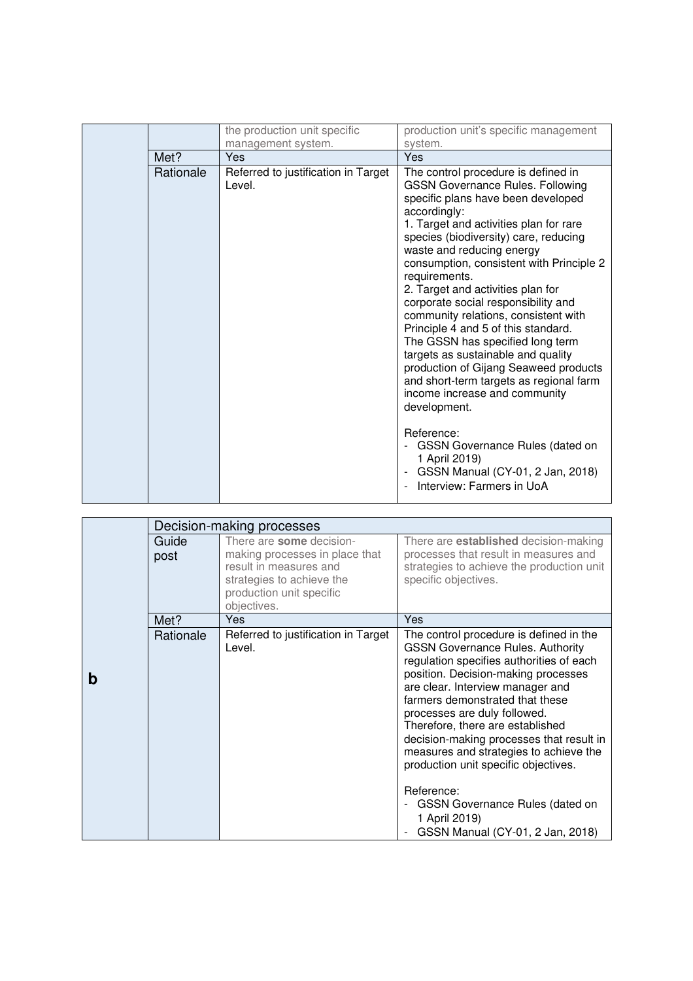|           | the production unit specific                  | production unit's specific management                                                                                                                                                                                                                                                                                                                                                                                                                                                                                                                                                                                                                                                                     |
|-----------|-----------------------------------------------|-----------------------------------------------------------------------------------------------------------------------------------------------------------------------------------------------------------------------------------------------------------------------------------------------------------------------------------------------------------------------------------------------------------------------------------------------------------------------------------------------------------------------------------------------------------------------------------------------------------------------------------------------------------------------------------------------------------|
| Met?      | management system.<br>Yes                     | system.<br>Yes                                                                                                                                                                                                                                                                                                                                                                                                                                                                                                                                                                                                                                                                                            |
| Rationale | Referred to justification in Target<br>Level. | The control procedure is defined in<br><b>GSSN Governance Rules. Following</b><br>specific plans have been developed<br>accordingly:<br>1. Target and activities plan for rare<br>species (biodiversity) care, reducing<br>waste and reducing energy<br>consumption, consistent with Principle 2<br>requirements.<br>2. Target and activities plan for<br>corporate social responsibility and<br>community relations, consistent with<br>Principle 4 and 5 of this standard.<br>The GSSN has specified long term<br>targets as sustainable and quality<br>production of Gijang Seaweed products<br>and short-term targets as regional farm<br>income increase and community<br>development.<br>Reference: |
|           |                                               | <b>GSSN Governance Rules (dated on</b><br>1 April 2019)<br>GSSN Manual (CY-01, 2 Jan, 2018)<br>Interview: Farmers in UoA                                                                                                                                                                                                                                                                                                                                                                                                                                                                                                                                                                                  |

|   |               | Decision-making processes                                                                                                                                    |                                                                                                                                                                                                                                                                                                                                                                                                                                                                                                                                                      |
|---|---------------|--------------------------------------------------------------------------------------------------------------------------------------------------------------|------------------------------------------------------------------------------------------------------------------------------------------------------------------------------------------------------------------------------------------------------------------------------------------------------------------------------------------------------------------------------------------------------------------------------------------------------------------------------------------------------------------------------------------------------|
|   | Guide<br>post | There are some decision-<br>making processes in place that<br>result in measures and<br>strategies to achieve the<br>production unit specific<br>objectives. | There are <b>established</b> decision-making<br>processes that result in measures and<br>strategies to achieve the production unit<br>specific objectives.                                                                                                                                                                                                                                                                                                                                                                                           |
|   | Met?          | <b>Yes</b>                                                                                                                                                   | Yes                                                                                                                                                                                                                                                                                                                                                                                                                                                                                                                                                  |
| b | Rationale     | Referred to justification in Target<br>Level.                                                                                                                | The control procedure is defined in the<br><b>GSSN Governance Rules. Authority</b><br>regulation specifies authorities of each<br>position. Decision-making processes<br>are clear. Interview manager and<br>farmers demonstrated that these<br>processes are duly followed.<br>Therefore, there are established<br>decision-making processes that result in<br>measures and strategies to achieve the<br>production unit specific objectives.<br>Reference:<br>GSSN Governance Rules (dated on<br>1 April 2019)<br>GSSN Manual (CY-01, 2 Jan, 2018) |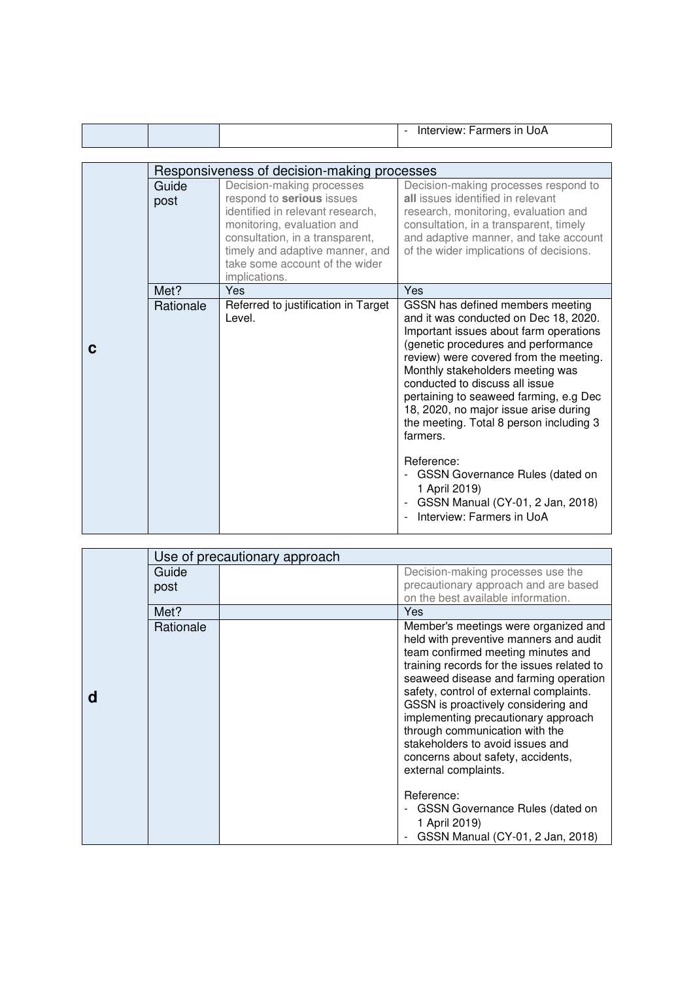| 'JoA<br>nara in<br>.<br>.<br>יש∟<br>- |
|---------------------------------------|
|---------------------------------------|

|   | Responsiveness of decision-making processes |                                                                                                                                                                                                                                                   |                                                                                                                                                                                                                                                                                                                                                                                                                                    |
|---|---------------------------------------------|---------------------------------------------------------------------------------------------------------------------------------------------------------------------------------------------------------------------------------------------------|------------------------------------------------------------------------------------------------------------------------------------------------------------------------------------------------------------------------------------------------------------------------------------------------------------------------------------------------------------------------------------------------------------------------------------|
|   | Guide<br>post                               | Decision-making processes<br>respond to serious issues<br>identified in relevant research,<br>monitoring, evaluation and<br>consultation, in a transparent,<br>timely and adaptive manner, and<br>take some account of the wider<br>implications. | Decision-making processes respond to<br>all issues identified in relevant<br>research, monitoring, evaluation and<br>consultation, in a transparent, timely<br>and adaptive manner, and take account<br>of the wider implications of decisions.                                                                                                                                                                                    |
|   | Met?                                        | Yes                                                                                                                                                                                                                                               | Yes                                                                                                                                                                                                                                                                                                                                                                                                                                |
| C | Rationale                                   | Referred to justification in Target<br>Level.                                                                                                                                                                                                     | GSSN has defined members meeting<br>and it was conducted on Dec 18, 2020.<br>Important issues about farm operations<br>(genetic procedures and performance<br>review) were covered from the meeting.<br>Monthly stakeholders meeting was<br>conducted to discuss all issue<br>pertaining to seaweed farming, e.g Dec<br>18, 2020, no major issue arise during<br>the meeting. Total 8 person including 3<br>farmers.<br>Reference: |
|   |                                             |                                                                                                                                                                                                                                                   | GSSN Governance Rules (dated on<br>1 April 2019)<br>GSSN Manual (CY-01, 2 Jan, 2018)<br>Interview: Farmers in UoA                                                                                                                                                                                                                                                                                                                  |

|   | Use of precautionary approach |  |                                                                                     |
|---|-------------------------------|--|-------------------------------------------------------------------------------------|
|   | Guide                         |  | Decision-making processes use the                                                   |
|   | post                          |  | precautionary approach and are based                                                |
|   |                               |  | on the best available information.                                                  |
|   | Met?                          |  | Yes                                                                                 |
|   | Rationale                     |  | Member's meetings were organized and                                                |
|   |                               |  | held with preventive manners and audit                                              |
|   |                               |  | team confirmed meeting minutes and                                                  |
|   |                               |  | training records for the issues related to<br>seaweed disease and farming operation |
|   |                               |  | safety, control of external complaints.                                             |
| d |                               |  | GSSN is proactively considering and                                                 |
|   |                               |  | implementing precautionary approach                                                 |
|   |                               |  | through communication with the                                                      |
|   |                               |  | stakeholders to avoid issues and                                                    |
|   |                               |  | concerns about safety, accidents,                                                   |
|   |                               |  | external complaints.                                                                |
|   |                               |  | Reference:                                                                          |
|   |                               |  | - GSSN Governance Rules (dated on                                                   |
|   |                               |  | 1 April 2019)                                                                       |
|   |                               |  | GSSN Manual (CY-01, 2 Jan, 2018)                                                    |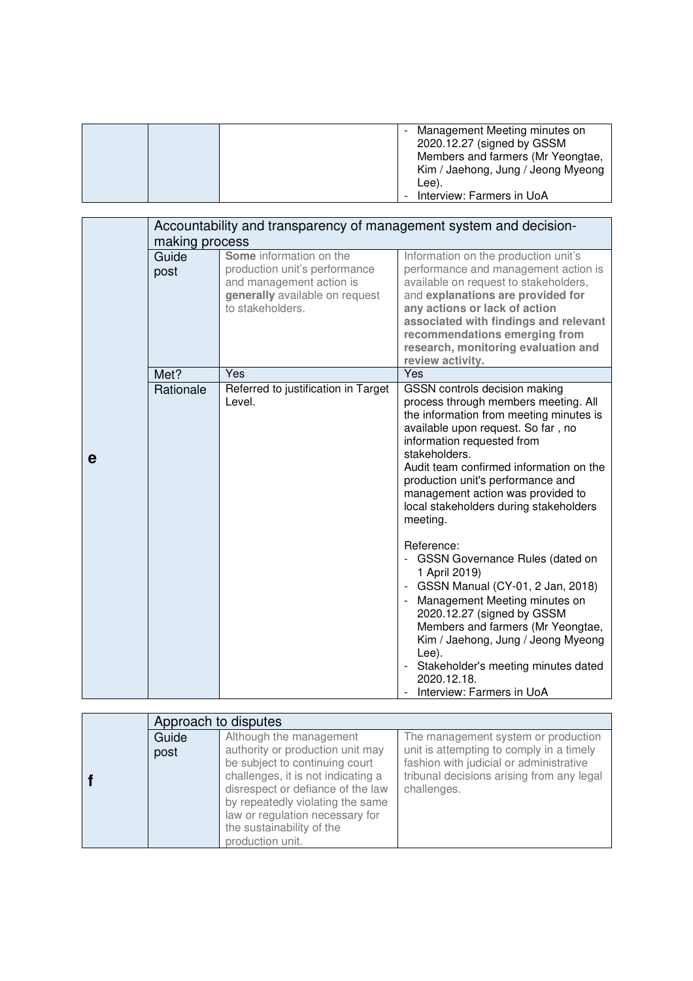|  | Management Meeting minutes on<br>2020.12.27 (signed by GSSM<br>Members and farmers (Mr Yeongtae,<br>Kim / Jaehong, Jung / Jeong Myeong<br>Lee). |
|--|-------------------------------------------------------------------------------------------------------------------------------------------------|
|  | Interview: Farmers in UoA                                                                                                                       |

|   |                |                                                                                                                 | Accountability and transparency of management system and decision-                                                                                                                                                                                                                                                                                                               |
|---|----------------|-----------------------------------------------------------------------------------------------------------------|----------------------------------------------------------------------------------------------------------------------------------------------------------------------------------------------------------------------------------------------------------------------------------------------------------------------------------------------------------------------------------|
|   | making process | Some information on the                                                                                         |                                                                                                                                                                                                                                                                                                                                                                                  |
|   | Guide<br>post  | production unit's performance<br>and management action is<br>generally available on request<br>to stakeholders. | Information on the production unit's<br>performance and management action is<br>available on request to stakeholders,<br>and explanations are provided for<br>any actions or lack of action<br>associated with findings and relevant<br>recommendations emerging from<br>research, monitoring evaluation and<br>review activity.                                                 |
|   | Met?           | Yes                                                                                                             | Yes                                                                                                                                                                                                                                                                                                                                                                              |
| е | Rationale      | Referred to justification in Target<br>Level.                                                                   | GSSN controls decision making<br>process through members meeting. All<br>the information from meeting minutes is<br>available upon request. So far, no<br>information requested from<br>stakeholders.<br>Audit team confirmed information on the<br>production unit's performance and<br>management action was provided to<br>local stakeholders during stakeholders<br>meeting. |
|   |                |                                                                                                                 | Reference:<br>- GSSN Governance Rules (dated on<br>1 April 2019)<br>- GSSN Manual (CY-01, 2 Jan, 2018)<br>- Management Meeting minutes on<br>2020.12.27 (signed by GSSM<br>Members and farmers (Mr Yeongtae,<br>Kim / Jaehong, Jung / Jeong Myeong<br>Lee).<br>- Stakeholder's meeting minutes dated<br>2020.12.18.<br>Interview: Farmers in UoA                                 |

|       | Approach to disputes                                                                                                                                                                                                                                                  |                                                                                                                                                 |
|-------|-----------------------------------------------------------------------------------------------------------------------------------------------------------------------------------------------------------------------------------------------------------------------|-------------------------------------------------------------------------------------------------------------------------------------------------|
| Guide | Although the management                                                                                                                                                                                                                                               | The management system or production                                                                                                             |
| post  | authority or production unit may<br>be subject to continuing court<br>challenges, it is not indicating a<br>disrespect or defiance of the law<br>by repeatedly violating the same<br>law or regulation necessary for<br>the sustainability of the<br>production unit. | unit is attempting to comply in a timely<br>fashion with judicial or administrative<br>tribunal decisions arising from any legal<br>challenges. |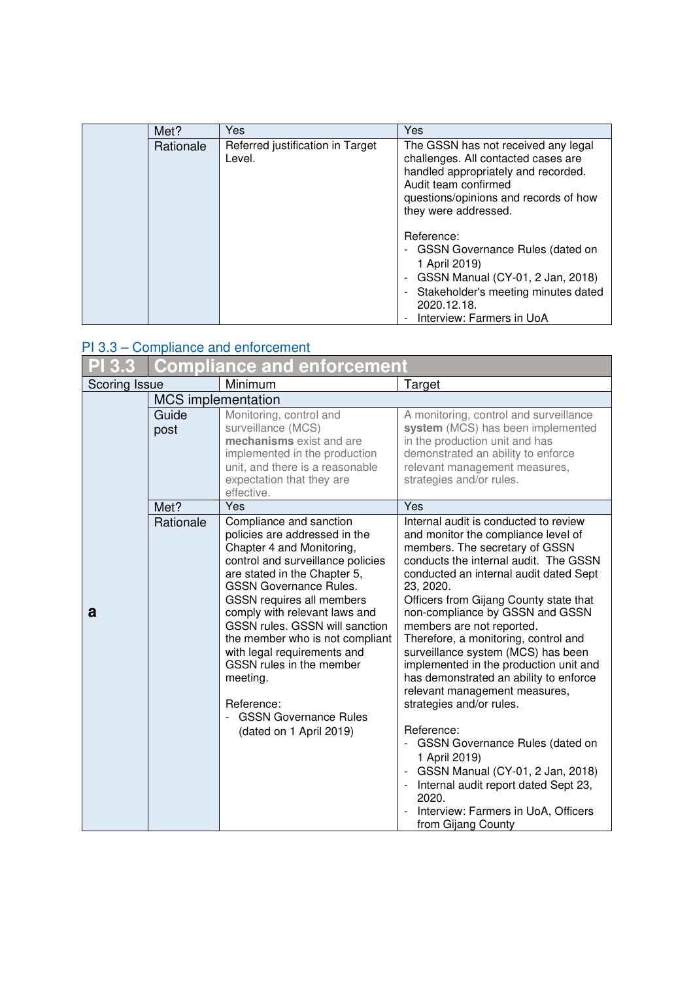| Met?      | <b>Yes</b>                                 | Yes                                                                                                                                                                                                                      |
|-----------|--------------------------------------------|--------------------------------------------------------------------------------------------------------------------------------------------------------------------------------------------------------------------------|
| Rationale | Referred justification in Target<br>Level. | The GSSN has not received any legal<br>challenges. All contacted cases are<br>handled appropriately and recorded.<br>Audit team confirmed<br>questions/opinions and records of how<br>they were addressed.<br>Reference: |
|           |                                            | - GSSN Governance Rules (dated on<br>1 April 2019)<br>GSSN Manual (CY-01, 2 Jan, 2018)<br>$\overline{\phantom{a}}$<br>Stakeholder's meeting minutes dated<br>2020.12.18.<br>Interview: Farmers in UoA                    |

## PI 3.3 – Compliance and enforcement

| 3.3           |                             | <b>Compliance and enforcement</b>                                                                                                                                                                                                                                                                                                                                                                                                                                              |                                                                                                                                                                                                                                                                                                                                                                                                                                                                                                                                                                                                                                                                                                                                                   |
|---------------|-----------------------------|--------------------------------------------------------------------------------------------------------------------------------------------------------------------------------------------------------------------------------------------------------------------------------------------------------------------------------------------------------------------------------------------------------------------------------------------------------------------------------|---------------------------------------------------------------------------------------------------------------------------------------------------------------------------------------------------------------------------------------------------------------------------------------------------------------------------------------------------------------------------------------------------------------------------------------------------------------------------------------------------------------------------------------------------------------------------------------------------------------------------------------------------------------------------------------------------------------------------------------------------|
| Scoring Issue |                             | Minimum                                                                                                                                                                                                                                                                                                                                                                                                                                                                        | Target                                                                                                                                                                                                                                                                                                                                                                                                                                                                                                                                                                                                                                                                                                                                            |
|               | MCS implementation<br>Guide | Monitoring, control and                                                                                                                                                                                                                                                                                                                                                                                                                                                        | A monitoring, control and surveillance                                                                                                                                                                                                                                                                                                                                                                                                                                                                                                                                                                                                                                                                                                            |
|               | post                        | surveillance (MCS)<br>mechanisms exist and are<br>implemented in the production<br>unit, and there is a reasonable<br>expectation that they are<br>effective.                                                                                                                                                                                                                                                                                                                  | system (MCS) has been implemented<br>in the production unit and has<br>demonstrated an ability to enforce<br>relevant management measures,<br>strategies and/or rules.                                                                                                                                                                                                                                                                                                                                                                                                                                                                                                                                                                            |
|               | Met?                        | Yes                                                                                                                                                                                                                                                                                                                                                                                                                                                                            | Yes                                                                                                                                                                                                                                                                                                                                                                                                                                                                                                                                                                                                                                                                                                                                               |
| a             | Rationale                   | Compliance and sanction<br>policies are addressed in the<br>Chapter 4 and Monitoring,<br>control and surveillance policies<br>are stated in the Chapter 5,<br><b>GSSN Governance Rules.</b><br>GSSN requires all members<br>comply with relevant laws and<br>GSSN rules. GSSN will sanction<br>the member who is not compliant<br>with legal requirements and<br>GSSN rules in the member<br>meeting.<br>Reference:<br><b>GSSN Governance Rules</b><br>(dated on 1 April 2019) | Internal audit is conducted to review<br>and monitor the compliance level of<br>members. The secretary of GSSN<br>conducts the internal audit. The GSSN<br>conducted an internal audit dated Sept<br>23, 2020.<br>Officers from Gijang County state that<br>non-compliance by GSSN and GSSN<br>members are not reported.<br>Therefore, a monitoring, control and<br>surveillance system (MCS) has been<br>implemented in the production unit and<br>has demonstrated an ability to enforce<br>relevant management measures,<br>strategies and/or rules.<br>Reference:<br><b>GSSN Governance Rules (dated on</b><br>1 April 2019)<br>GSSN Manual (CY-01, 2 Jan, 2018)<br>Internal audit report dated Sept 23,<br>$\overline{\phantom{a}}$<br>2020. |
|               |                             |                                                                                                                                                                                                                                                                                                                                                                                                                                                                                | Interview: Farmers in UoA, Officers<br>from Gijang County                                                                                                                                                                                                                                                                                                                                                                                                                                                                                                                                                                                                                                                                                         |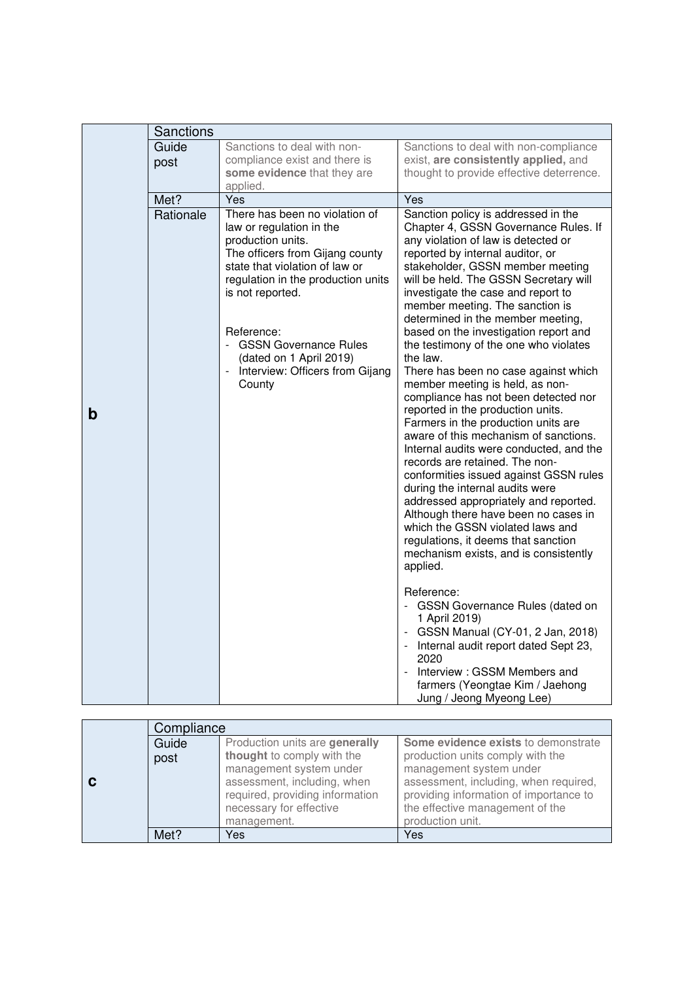|   | Sanctions     |                                                                                                                                                                                                                                                                                                                                      |                                                                                                                                                                                                                                                                                                                                                                                                                                                                                                                                                                                                                                                                                                                                                                                                                                                                                                                                                                                                                                                        |
|---|---------------|--------------------------------------------------------------------------------------------------------------------------------------------------------------------------------------------------------------------------------------------------------------------------------------------------------------------------------------|--------------------------------------------------------------------------------------------------------------------------------------------------------------------------------------------------------------------------------------------------------------------------------------------------------------------------------------------------------------------------------------------------------------------------------------------------------------------------------------------------------------------------------------------------------------------------------------------------------------------------------------------------------------------------------------------------------------------------------------------------------------------------------------------------------------------------------------------------------------------------------------------------------------------------------------------------------------------------------------------------------------------------------------------------------|
|   | Guide<br>post | Sanctions to deal with non-<br>compliance exist and there is<br>some evidence that they are<br>applied.                                                                                                                                                                                                                              | Sanctions to deal with non-compliance<br>exist, are consistently applied, and<br>thought to provide effective deterrence.                                                                                                                                                                                                                                                                                                                                                                                                                                                                                                                                                                                                                                                                                                                                                                                                                                                                                                                              |
|   | Met?          | Yes                                                                                                                                                                                                                                                                                                                                  | Yes                                                                                                                                                                                                                                                                                                                                                                                                                                                                                                                                                                                                                                                                                                                                                                                                                                                                                                                                                                                                                                                    |
| b | Rationale     | There has been no violation of<br>law or regulation in the<br>production units.<br>The officers from Gijang county<br>state that violation of law or<br>regulation in the production units<br>is not reported.<br>Reference:<br><b>GSSN Governance Rules</b><br>(dated on 1 April 2019)<br>Interview: Officers from Gijang<br>County | Sanction policy is addressed in the<br>Chapter 4, GSSN Governance Rules. If<br>any violation of law is detected or<br>reported by internal auditor, or<br>stakeholder, GSSN member meeting<br>will be held. The GSSN Secretary will<br>investigate the case and report to<br>member meeting. The sanction is<br>determined in the member meeting,<br>based on the investigation report and<br>the testimony of the one who violates<br>the law.<br>There has been no case against which<br>member meeting is held, as non-<br>compliance has not been detected nor<br>reported in the production units.<br>Farmers in the production units are<br>aware of this mechanism of sanctions.<br>Internal audits were conducted, and the<br>records are retained. The non-<br>conformities issued against GSSN rules<br>during the internal audits were<br>addressed appropriately and reported.<br>Although there have been no cases in<br>which the GSSN violated laws and<br>regulations, it deems that sanction<br>mechanism exists, and is consistently |
|   |               |                                                                                                                                                                                                                                                                                                                                      | applied.<br>Reference:<br>- GSSN Governance Rules (dated on<br>1 April 2019)<br>- GSSN Manual (CY-01, 2 Jan, 2018)<br>Internal audit report dated Sept 23,<br>2020<br>Interview: GSSM Members and<br>farmers (Yeongtae Kim / Jaehong<br>Jung / Jeong Myeong Lee)                                                                                                                                                                                                                                                                                                                                                                                                                                                                                                                                                                                                                                                                                                                                                                                       |

|  | Compliance |                                 |                                        |
|--|------------|---------------------------------|----------------------------------------|
|  | Guide      | Production units are generally  | Some evidence exists to demonstrate    |
|  | post       | thought to comply with the      | production units comply with the       |
|  |            | management system under         | management system under                |
|  |            | assessment, including, when     | assessment, including, when required,  |
|  |            | required, providing information | providing information of importance to |
|  |            | necessary for effective         | the effective management of the        |
|  |            | management.                     | production unit.                       |
|  | Met?       | Yes                             | Yes                                    |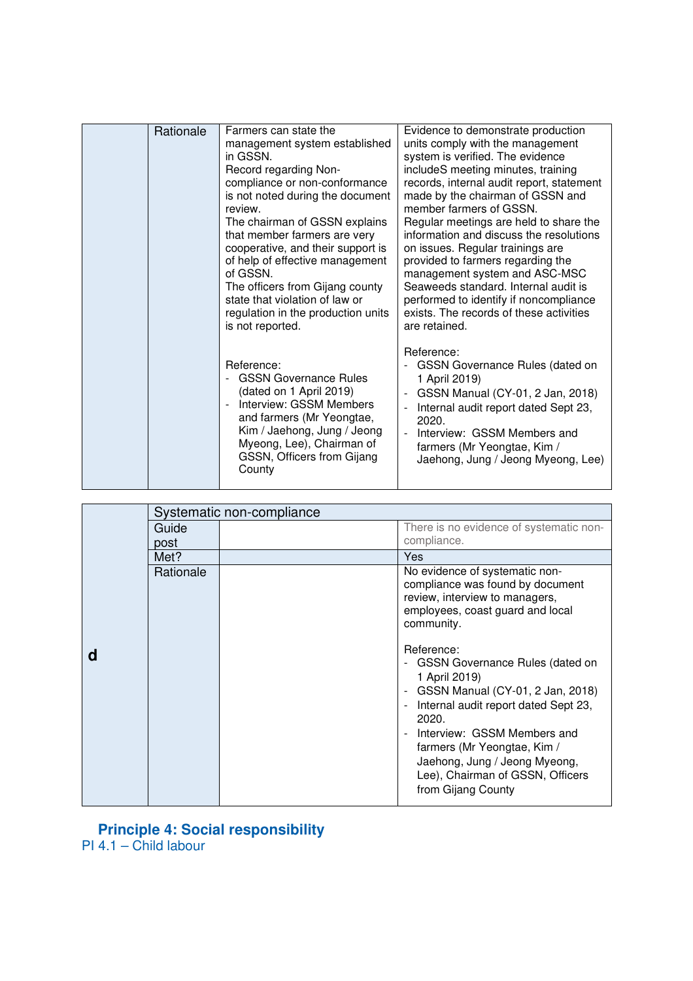| Rationale | Farmers can state the<br>management system established<br>in GSSN.<br>Record regarding Non-<br>compliance or non-conformance<br>is not noted during the document<br>review.<br>The chairman of GSSN explains<br>that member farmers are very<br>cooperative, and their support is<br>of help of effective management<br>of GSSN.<br>The officers from Gijang county<br>state that violation of law or<br>regulation in the production units<br>is not reported. | Evidence to demonstrate production<br>units comply with the management<br>system is verified. The evidence<br>includeS meeting minutes, training<br>records, internal audit report, statement<br>made by the chairman of GSSN and<br>member farmers of GSSN.<br>Regular meetings are held to share the<br>information and discuss the resolutions<br>on issues. Regular trainings are<br>provided to farmers regarding the<br>management system and ASC-MSC<br>Seaweeds standard. Internal audit is<br>performed to identify if noncompliance<br>exists. The records of these activities<br>are retained. |
|-----------|-----------------------------------------------------------------------------------------------------------------------------------------------------------------------------------------------------------------------------------------------------------------------------------------------------------------------------------------------------------------------------------------------------------------------------------------------------------------|-----------------------------------------------------------------------------------------------------------------------------------------------------------------------------------------------------------------------------------------------------------------------------------------------------------------------------------------------------------------------------------------------------------------------------------------------------------------------------------------------------------------------------------------------------------------------------------------------------------|
|           | Reference:<br><b>GSSN Governance Rules</b><br>(dated on 1 April 2019)<br>Interview: GSSM Members<br>and farmers (Mr Yeongtae,<br>Kim / Jaehong, Jung / Jeong<br>Myeong, Lee), Chairman of<br>GSSN, Officers from Gijang<br>County                                                                                                                                                                                                                               | Reference:<br><b>GSSN Governance Rules (dated on</b><br>1 April 2019)<br>GSSN Manual (CY-01, 2 Jan, 2018)<br>Internal audit report dated Sept 23,<br>2020.<br>Interview: GSSM Members and<br>farmers (Mr Yeongtae, Kim /<br>Jaehong, Jung / Jeong Myeong, Lee)                                                                                                                                                                                                                                                                                                                                            |

|  |               | Systematic non-compliance |                                                                                                                                                                                                                                                               |  |
|--|---------------|---------------------------|---------------------------------------------------------------------------------------------------------------------------------------------------------------------------------------------------------------------------------------------------------------|--|
|  | Guide<br>post |                           | There is no evidence of systematic non-<br>compliance.                                                                                                                                                                                                        |  |
|  | Met?          |                           | Yes                                                                                                                                                                                                                                                           |  |
|  | Rationale     |                           | No evidence of systematic non-<br>compliance was found by document<br>review, interview to managers,<br>employees, coast guard and local<br>community.<br>Reference:<br>- GSSN Governance Rules (dated on                                                     |  |
|  |               |                           | 1 April 2019)<br>- GSSN Manual (CY-01, 2 Jan, 2018)<br>Internal audit report dated Sept 23,<br>2020.<br>Interview: GSSM Members and<br>farmers (Mr Yeongtae, Kim /<br>Jaehong, Jung / Jeong Myeong,<br>Lee), Chairman of GSSN, Officers<br>from Gijang County |  |

### **Principle 4: Social responsibility**

PI 4.1 – Child labour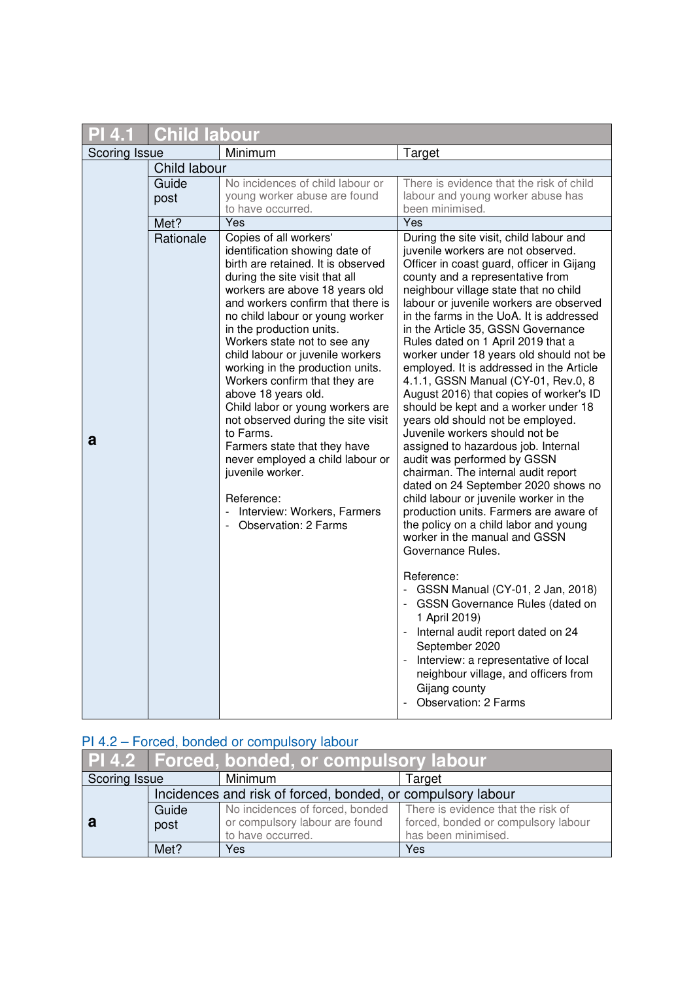|               | <b>Child labour</b> |                                                                                                                                                                                                                                                                                                                                                                                                                                                                                                                                                                                                                                                                                                   |                                                                                                                                                                                                                                                                                                                                                                                                                                                                                                                                                                                                                                                                                                                                                                                                                                                                                                                                                                                                                                                                                                                                                                              |
|---------------|---------------------|---------------------------------------------------------------------------------------------------------------------------------------------------------------------------------------------------------------------------------------------------------------------------------------------------------------------------------------------------------------------------------------------------------------------------------------------------------------------------------------------------------------------------------------------------------------------------------------------------------------------------------------------------------------------------------------------------|------------------------------------------------------------------------------------------------------------------------------------------------------------------------------------------------------------------------------------------------------------------------------------------------------------------------------------------------------------------------------------------------------------------------------------------------------------------------------------------------------------------------------------------------------------------------------------------------------------------------------------------------------------------------------------------------------------------------------------------------------------------------------------------------------------------------------------------------------------------------------------------------------------------------------------------------------------------------------------------------------------------------------------------------------------------------------------------------------------------------------------------------------------------------------|
| Scoring Issue |                     | Minimum                                                                                                                                                                                                                                                                                                                                                                                                                                                                                                                                                                                                                                                                                           | Target                                                                                                                                                                                                                                                                                                                                                                                                                                                                                                                                                                                                                                                                                                                                                                                                                                                                                                                                                                                                                                                                                                                                                                       |
|               | Child labour        |                                                                                                                                                                                                                                                                                                                                                                                                                                                                                                                                                                                                                                                                                                   |                                                                                                                                                                                                                                                                                                                                                                                                                                                                                                                                                                                                                                                                                                                                                                                                                                                                                                                                                                                                                                                                                                                                                                              |
|               | Guide<br>post       | No incidences of child labour or<br>young worker abuse are found<br>to have occurred.                                                                                                                                                                                                                                                                                                                                                                                                                                                                                                                                                                                                             | There is evidence that the risk of child<br>labour and young worker abuse has<br>been minimised.                                                                                                                                                                                                                                                                                                                                                                                                                                                                                                                                                                                                                                                                                                                                                                                                                                                                                                                                                                                                                                                                             |
|               | Met?                | Yes                                                                                                                                                                                                                                                                                                                                                                                                                                                                                                                                                                                                                                                                                               | Yes                                                                                                                                                                                                                                                                                                                                                                                                                                                                                                                                                                                                                                                                                                                                                                                                                                                                                                                                                                                                                                                                                                                                                                          |
| a             | Rationale           | Copies of all workers'<br>identification showing date of<br>birth are retained. It is observed<br>during the site visit that all<br>workers are above 18 years old<br>and workers confirm that there is<br>no child labour or young worker<br>in the production units.<br>Workers state not to see any<br>child labour or juvenile workers<br>working in the production units.<br>Workers confirm that they are<br>above 18 years old.<br>Child labor or young workers are<br>not observed during the site visit<br>to Farms.<br>Farmers state that they have<br>never employed a child labour or<br>juvenile worker.<br>Reference:<br>Interview: Workers, Farmers<br><b>Observation: 2 Farms</b> | During the site visit, child labour and<br>juvenile workers are not observed.<br>Officer in coast guard, officer in Gijang<br>county and a representative from<br>neighbour village state that no child<br>labour or juvenile workers are observed<br>in the farms in the UoA. It is addressed<br>in the Article 35, GSSN Governance<br>Rules dated on 1 April 2019 that a<br>worker under 18 years old should not be<br>employed. It is addressed in the Article<br>4.1.1, GSSN Manual (CY-01, Rev.0, 8<br>August 2016) that copies of worker's ID<br>should be kept and a worker under 18<br>years old should not be employed.<br>Juvenile workers should not be<br>assigned to hazardous job. Internal<br>audit was performed by GSSN<br>chairman. The internal audit report<br>dated on 24 September 2020 shows no<br>child labour or juvenile worker in the<br>production units. Farmers are aware of<br>the policy on a child labor and young<br>worker in the manual and GSSN<br>Governance Rules.<br>Reference:<br>- GSSN Manual (CY-01, 2 Jan, 2018)<br>- GSSN Governance Rules (dated on<br>1 April 2019)<br>- Internal audit report dated on 24<br>September 2020 |
|               |                     |                                                                                                                                                                                                                                                                                                                                                                                                                                                                                                                                                                                                                                                                                                   | - Interview: a representative of local<br>neighbour village, and officers from<br>Gijang county<br><b>Observation: 2 Farms</b>                                                                                                                                                                                                                                                                                                                                                                                                                                                                                                                                                                                                                                                                                                                                                                                                                                                                                                                                                                                                                                               |

# PI 4.2 – Forced, bonded or compulsory labour

|                                                             |       | PI 4.2 Forced, bonded, or compulsory labour                        |                                     |  |
|-------------------------------------------------------------|-------|--------------------------------------------------------------------|-------------------------------------|--|
| Scoring Issue                                               |       | Minimum                                                            | Target                              |  |
| Incidences and risk of forced, bonded, or compulsory labour |       |                                                                    |                                     |  |
|                                                             | Guide | No incidences of forced, bonded There is evidence that the risk of |                                     |  |
|                                                             | post  | or compulsory labour are found                                     | forced, bonded or compulsory labour |  |
|                                                             |       | to have occurred.                                                  | has been minimised.                 |  |
|                                                             | Met?  | Yes                                                                | Yes                                 |  |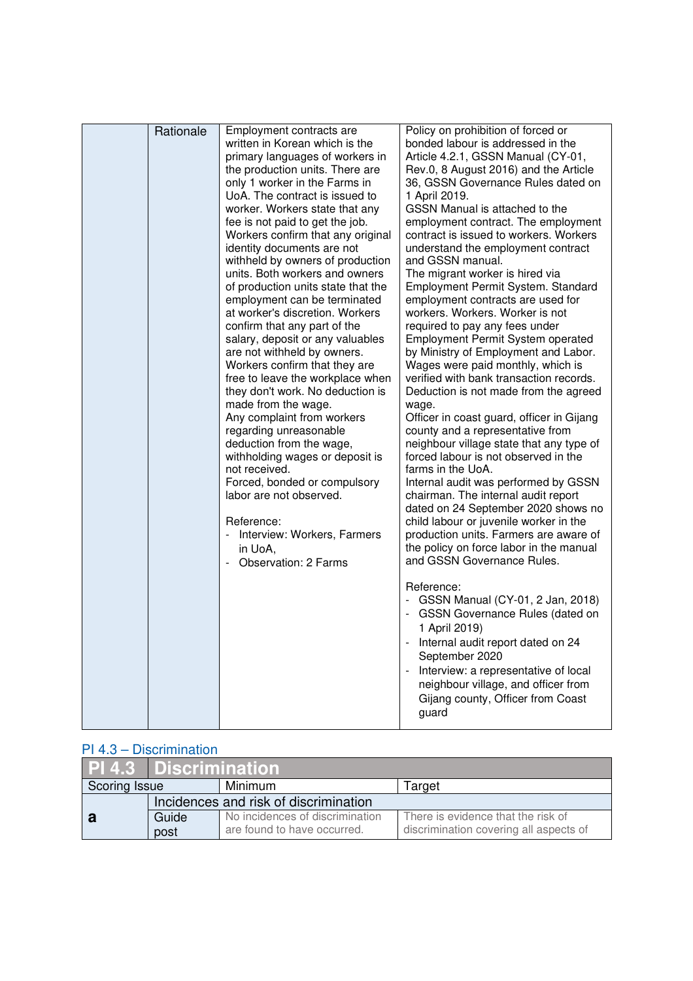| Rationale | Employment contracts are<br>written in Korean which is the<br>primary languages of workers in<br>the production units. There are<br>only 1 worker in the Farms in<br>UoA. The contract is issued to<br>worker. Workers state that any<br>fee is not paid to get the job.<br>Workers confirm that any original<br>identity documents are not<br>withheld by owners of production<br>units. Both workers and owners<br>of production units state that the<br>employment can be terminated<br>at worker's discretion. Workers<br>confirm that any part of the<br>salary, deposit or any valuables<br>are not withheld by owners.<br>Workers confirm that they are<br>free to leave the workplace when<br>they don't work. No deduction is<br>made from the wage.<br>Any complaint from workers<br>regarding unreasonable<br>deduction from the wage,<br>withholding wages or deposit is<br>not received.<br>Forced, bonded or compulsory<br>labor are not observed.<br>Reference:<br>- Interview: Workers, Farmers<br>in UoA,<br>- Observation: 2 Farms | Policy on prohibition of forced or<br>bonded labour is addressed in the<br>Article 4.2.1, GSSN Manual (CY-01,<br>Rev.0, 8 August 2016) and the Article<br>36, GSSN Governance Rules dated on<br>1 April 2019.<br>GSSN Manual is attached to the<br>employment contract. The employment<br>contract is issued to workers. Workers<br>understand the employment contract<br>and GSSN manual.<br>The migrant worker is hired via<br>Employment Permit System. Standard<br>employment contracts are used for<br>workers. Workers. Worker is not<br>required to pay any fees under<br>Employment Permit System operated<br>by Ministry of Employment and Labor.<br>Wages were paid monthly, which is<br>verified with bank transaction records.<br>Deduction is not made from the agreed<br>wage.<br>Officer in coast guard, officer in Gijang<br>county and a representative from<br>neighbour village state that any type of<br>forced labour is not observed in the<br>farms in the UoA.<br>Internal audit was performed by GSSN<br>chairman. The internal audit report<br>dated on 24 September 2020 shows no<br>child labour or juvenile worker in the<br>production units. Farmers are aware of<br>the policy on force labor in the manual<br>and GSSN Governance Rules.<br>Reference:<br>- GSSN Manual (CY-01, 2 Jan, 2018)<br>- GSSN Governance Rules (dated on<br>1 April 2019)<br>Internal audit report dated on 24<br>September 2020<br>Interview: a representative of local<br>neighbour village, and officer from<br>Gijang county, Officer from Coast<br>guard |
|-----------|------------------------------------------------------------------------------------------------------------------------------------------------------------------------------------------------------------------------------------------------------------------------------------------------------------------------------------------------------------------------------------------------------------------------------------------------------------------------------------------------------------------------------------------------------------------------------------------------------------------------------------------------------------------------------------------------------------------------------------------------------------------------------------------------------------------------------------------------------------------------------------------------------------------------------------------------------------------------------------------------------------------------------------------------------|-------------------------------------------------------------------------------------------------------------------------------------------------------------------------------------------------------------------------------------------------------------------------------------------------------------------------------------------------------------------------------------------------------------------------------------------------------------------------------------------------------------------------------------------------------------------------------------------------------------------------------------------------------------------------------------------------------------------------------------------------------------------------------------------------------------------------------------------------------------------------------------------------------------------------------------------------------------------------------------------------------------------------------------------------------------------------------------------------------------------------------------------------------------------------------------------------------------------------------------------------------------------------------------------------------------------------------------------------------------------------------------------------------------------------------------------------------------------------------------------------------------------------------------------------------------------------|

## PI 4.3 – Discrimination

|               | <b>PI 4.3 Discrimination</b>          |                                 |                                        |
|---------------|---------------------------------------|---------------------------------|----------------------------------------|
| Scoring Issue |                                       | Minimum                         | Target                                 |
|               | Incidences and risk of discrimination |                                 |                                        |
|               | Guide                                 | No incidences of discrimination | There is evidence that the risk of     |
|               | post                                  | are found to have occurred.     | discrimination covering all aspects of |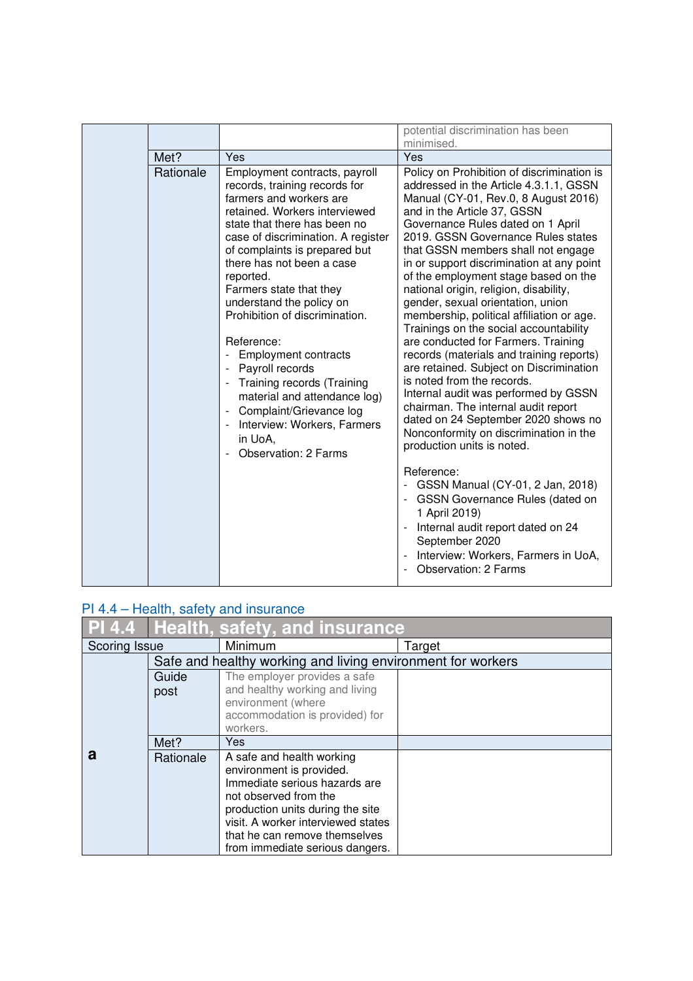|           |                                                                                                                                                                                                                                                                                                                                                                                                                                                                                                                                                                                                        | potential discrimination has been<br>minimised.                                                                                                                                                                                                                                                                                                                                                                                                                                                                                                                                                                                                                                                                                                                                                                                                                                                                                                                                               |
|-----------|--------------------------------------------------------------------------------------------------------------------------------------------------------------------------------------------------------------------------------------------------------------------------------------------------------------------------------------------------------------------------------------------------------------------------------------------------------------------------------------------------------------------------------------------------------------------------------------------------------|-----------------------------------------------------------------------------------------------------------------------------------------------------------------------------------------------------------------------------------------------------------------------------------------------------------------------------------------------------------------------------------------------------------------------------------------------------------------------------------------------------------------------------------------------------------------------------------------------------------------------------------------------------------------------------------------------------------------------------------------------------------------------------------------------------------------------------------------------------------------------------------------------------------------------------------------------------------------------------------------------|
| Met?      | Yes                                                                                                                                                                                                                                                                                                                                                                                                                                                                                                                                                                                                    | Yes                                                                                                                                                                                                                                                                                                                                                                                                                                                                                                                                                                                                                                                                                                                                                                                                                                                                                                                                                                                           |
| Rationale | Employment contracts, payroll<br>records, training records for<br>farmers and workers are<br>retained. Workers interviewed<br>state that there has been no<br>case of discrimination. A register<br>of complaints is prepared but<br>there has not been a case<br>reported.<br>Farmers state that they<br>understand the policy on<br>Prohibition of discrimination.<br>Reference:<br><b>Employment contracts</b><br>Payroll records<br>Training records (Training<br>material and attendance log)<br>Complaint/Grievance log<br>Interview: Workers, Farmers<br>in UoA,<br><b>Observation: 2 Farms</b> | Policy on Prohibition of discrimination is<br>addressed in the Article 4.3.1.1, GSSN<br>Manual (CY-01, Rev.0, 8 August 2016)<br>and in the Article 37, GSSN<br>Governance Rules dated on 1 April<br>2019. GSSN Governance Rules states<br>that GSSN members shall not engage<br>in or support discrimination at any point<br>of the employment stage based on the<br>national origin, religion, disability,<br>gender, sexual orientation, union<br>membership, political affiliation or age.<br>Trainings on the social accountability<br>are conducted for Farmers. Training<br>records (materials and training reports)<br>are retained. Subject on Discrimination<br>is noted from the records.<br>Internal audit was performed by GSSN<br>chairman. The internal audit report<br>dated on 24 September 2020 shows no<br>Nonconformity on discrimination in the<br>production units is noted.<br>Reference:<br>GSSN Manual (CY-01, 2 Jan, 2018)<br><b>GSSN Governance Rules (dated on</b> |
|           |                                                                                                                                                                                                                                                                                                                                                                                                                                                                                                                                                                                                        | 1 April 2019)<br>Internal audit report dated on 24<br>$\blacksquare$<br>September 2020<br>Interview: Workers, Farmers in UoA,<br><b>Observation: 2 Farms</b>                                                                                                                                                                                                                                                                                                                                                                                                                                                                                                                                                                                                                                                                                                                                                                                                                                  |

## PI 4.4 – Health, safety and insurance

|               |           | <b>PI 4.4 Health, safety, and insurance</b>                      |        |  |
|---------------|-----------|------------------------------------------------------------------|--------|--|
| Scoring Issue |           | Minimum                                                          | Target |  |
|               |           | Safe and healthy working and living environment for workers      |        |  |
|               | Guide     | The employer provides a safe                                     |        |  |
|               | post      | and healthy working and living                                   |        |  |
|               |           | environment (where<br>accommodation is provided) for             |        |  |
|               |           | workers.                                                         |        |  |
|               | Met?      | <b>Yes</b>                                                       |        |  |
| а             | Rationale | A safe and health working<br>environment is provided.            |        |  |
|               |           | Immediate serious hazards are                                    |        |  |
|               |           | not observed from the                                            |        |  |
|               |           | production units during the site                                 |        |  |
|               |           | visit. A worker interviewed states                               |        |  |
|               |           | that he can remove themselves<br>from immediate serious dangers. |        |  |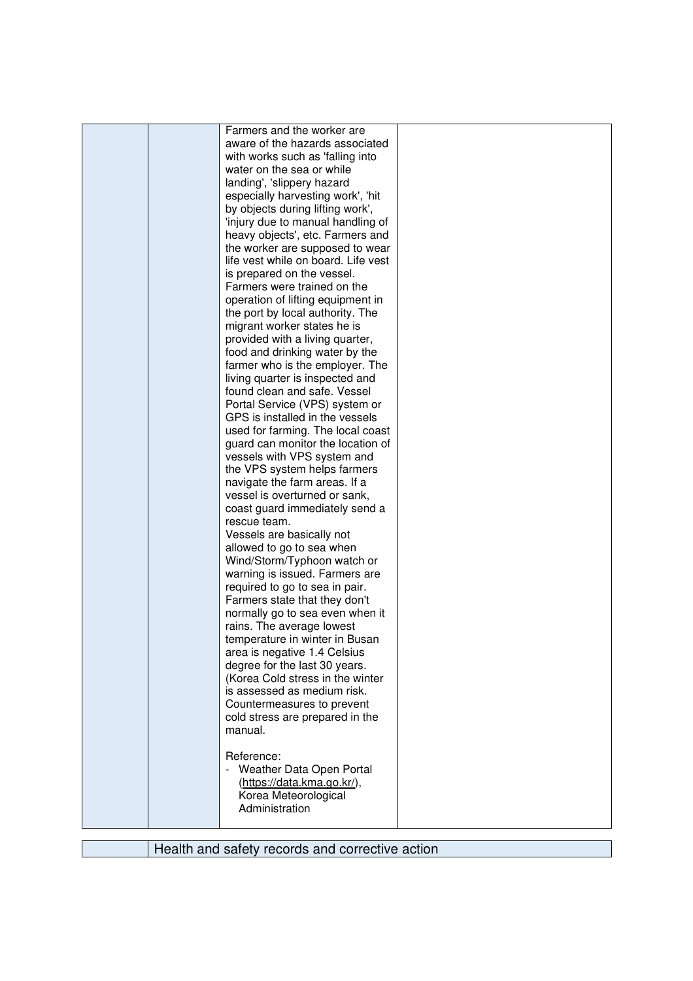| Farmers and the worker are          |  |
|-------------------------------------|--|
| aware of the hazards associated     |  |
| with works such as 'falling into    |  |
| water on the sea or while           |  |
| landing', 'slippery hazard          |  |
| especially harvesting work', 'hit   |  |
| by objects during lifting work',    |  |
| 'injury due to manual handling of   |  |
| heavy objects', etc. Farmers and    |  |
| the worker are supposed to wear     |  |
| life vest while on board. Life vest |  |
| is prepared on the vessel.          |  |
| Farmers were trained on the         |  |
| operation of lifting equipment in   |  |
| the port by local authority. The    |  |
| migrant worker states he is         |  |
| provided with a living quarter,     |  |
| food and drinking water by the      |  |
| farmer who is the employer. The     |  |
| living quarter is inspected and     |  |
| found clean and safe. Vessel        |  |
| Portal Service (VPS) system or      |  |
| GPS is installed in the vessels     |  |
| used for farming. The local coast   |  |
| guard can monitor the location of   |  |
| vessels with VPS system and         |  |
| the VPS system helps farmers        |  |
| navigate the farm areas. If a       |  |
| vessel is overturned or sank,       |  |
| coast guard immediately send a      |  |
| rescue team.                        |  |
| Vessels are basically not           |  |
| allowed to go to sea when           |  |
| Wind/Storm/Typhoon watch or         |  |
| warning is issued. Farmers are      |  |
| required to go to sea in pair.      |  |
| Farmers state that they don't       |  |
| normally go to sea even when it     |  |
| rains. The average lowest           |  |
| temperature in winter in Busan      |  |
| area is negative 1.4 Celsius        |  |
| degree for the last 30 years.       |  |
| (Korea Cold stress in the winter    |  |
| is assessed as medium risk.         |  |
| Countermeasures to prevent          |  |
| cold stress are prepared in the     |  |
| manual.                             |  |
|                                     |  |
| Reference:                          |  |
| - Weather Data Open Portal          |  |
| (https://data.kma.go.kr/),          |  |
| Korea Meteorological                |  |
| Administration                      |  |
|                                     |  |

Health and safety records and corrective action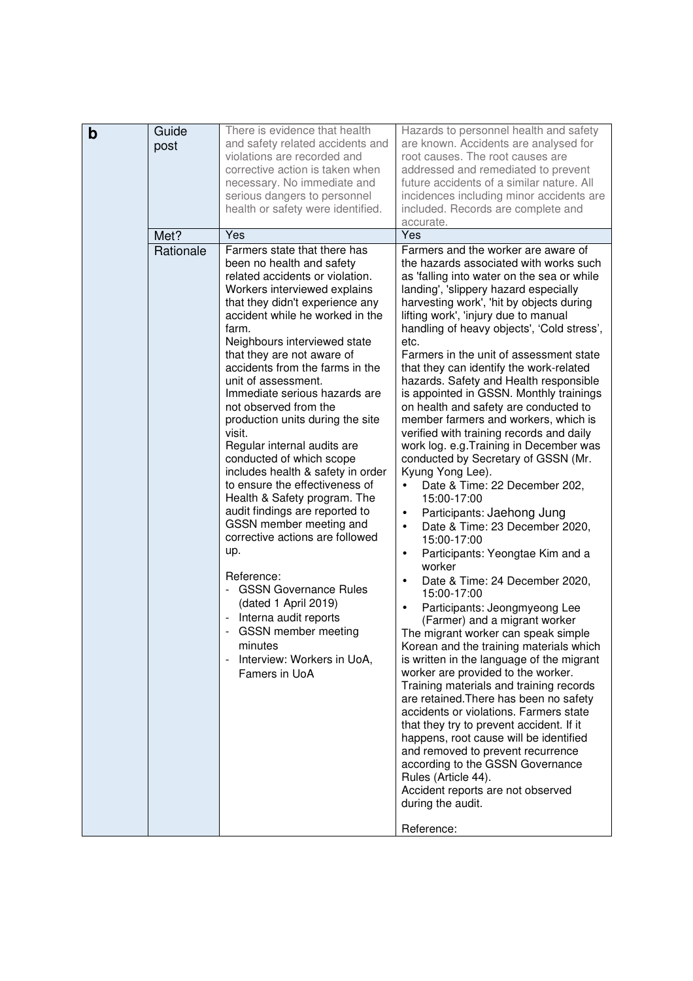| $\mathbf b$ | Guide<br>post | There is evidence that health<br>and safety related accidents and<br>violations are recorded and<br>corrective action is taken when                                                                                                                                                                                                                                                                                                                                                                                                                                                                                                                                                                                                                                                                                                                                                                                    | Hazards to personnel health and safety<br>are known. Accidents are analysed for<br>root causes. The root causes are<br>addressed and remediated to prevent                                                                                                                                                                                                                                                                                                                                                                                                                                                                                                                                                                                                                                                                                                                                                                                                                                                                                                                                                                                                                                                                                                                                                                                                                                                                                                                                                                                                                                                                                                     |
|-------------|---------------|------------------------------------------------------------------------------------------------------------------------------------------------------------------------------------------------------------------------------------------------------------------------------------------------------------------------------------------------------------------------------------------------------------------------------------------------------------------------------------------------------------------------------------------------------------------------------------------------------------------------------------------------------------------------------------------------------------------------------------------------------------------------------------------------------------------------------------------------------------------------------------------------------------------------|----------------------------------------------------------------------------------------------------------------------------------------------------------------------------------------------------------------------------------------------------------------------------------------------------------------------------------------------------------------------------------------------------------------------------------------------------------------------------------------------------------------------------------------------------------------------------------------------------------------------------------------------------------------------------------------------------------------------------------------------------------------------------------------------------------------------------------------------------------------------------------------------------------------------------------------------------------------------------------------------------------------------------------------------------------------------------------------------------------------------------------------------------------------------------------------------------------------------------------------------------------------------------------------------------------------------------------------------------------------------------------------------------------------------------------------------------------------------------------------------------------------------------------------------------------------------------------------------------------------------------------------------------------------|
|             |               | necessary. No immediate and<br>serious dangers to personnel<br>health or safety were identified.                                                                                                                                                                                                                                                                                                                                                                                                                                                                                                                                                                                                                                                                                                                                                                                                                       | future accidents of a similar nature. All<br>incidences including minor accidents are<br>included. Records are complete and<br>accurate.                                                                                                                                                                                                                                                                                                                                                                                                                                                                                                                                                                                                                                                                                                                                                                                                                                                                                                                                                                                                                                                                                                                                                                                                                                                                                                                                                                                                                                                                                                                       |
|             | Met?          | Yes                                                                                                                                                                                                                                                                                                                                                                                                                                                                                                                                                                                                                                                                                                                                                                                                                                                                                                                    | Yes                                                                                                                                                                                                                                                                                                                                                                                                                                                                                                                                                                                                                                                                                                                                                                                                                                                                                                                                                                                                                                                                                                                                                                                                                                                                                                                                                                                                                                                                                                                                                                                                                                                            |
|             | Rationale     | Farmers state that there has<br>been no health and safety<br>related accidents or violation.<br>Workers interviewed explains<br>that they didn't experience any<br>accident while he worked in the<br>farm.<br>Neighbours interviewed state<br>that they are not aware of<br>accidents from the farms in the<br>unit of assessment.<br>Immediate serious hazards are<br>not observed from the<br>production units during the site<br>visit.<br>Regular internal audits are<br>conducted of which scope<br>includes health & safety in order<br>to ensure the effectiveness of<br>Health & Safety program. The<br>audit findings are reported to<br>GSSN member meeting and<br>corrective actions are followed<br>up.<br>Reference:<br><b>GSSN Governance Rules</b><br>(dated 1 April 2019)<br>Interna audit reports<br>GSSN member meeting<br>minutes<br>Interview: Workers in UoA,<br>$\blacksquare$<br>Famers in UoA | Farmers and the worker are aware of<br>the hazards associated with works such<br>as 'falling into water on the sea or while<br>landing', 'slippery hazard especially<br>harvesting work', 'hit by objects during<br>lifting work', 'injury due to manual<br>handling of heavy objects', 'Cold stress',<br>etc.<br>Farmers in the unit of assessment state<br>that they can identify the work-related<br>hazards. Safety and Health responsible<br>is appointed in GSSN. Monthly trainings<br>on health and safety are conducted to<br>member farmers and workers, which is<br>verified with training records and daily<br>work log. e.g. Training in December was<br>conducted by Secretary of GSSN (Mr.<br>Kyung Yong Lee).<br>Date & Time: 22 December 202,<br>$\bullet$<br>15:00-17:00<br>Participants: Jaehong Jung<br>$\bullet$<br>Date & Time: 23 December 2020,<br>$\bullet$<br>15:00-17:00<br>Participants: Yeongtae Kim and a<br>$\bullet$<br>worker<br>Date & Time: 24 December 2020,<br>$\bullet$<br>15:00-17:00<br>Participants: Jeongmyeong Lee<br>$\bullet$<br>(Farmer) and a migrant worker<br>The migrant worker can speak simple<br>Korean and the training materials which<br>is written in the language of the migrant<br>worker are provided to the worker.<br>Training materials and training records<br>are retained. There has been no safety<br>accidents or violations. Farmers state<br>that they try to prevent accident. If it<br>happens, root cause will be identified<br>and removed to prevent recurrence<br>according to the GSSN Governance<br>Rules (Article 44).<br>Accident reports are not observed<br>during the audit. |
|             |               |                                                                                                                                                                                                                                                                                                                                                                                                                                                                                                                                                                                                                                                                                                                                                                                                                                                                                                                        | Reference:                                                                                                                                                                                                                                                                                                                                                                                                                                                                                                                                                                                                                                                                                                                                                                                                                                                                                                                                                                                                                                                                                                                                                                                                                                                                                                                                                                                                                                                                                                                                                                                                                                                     |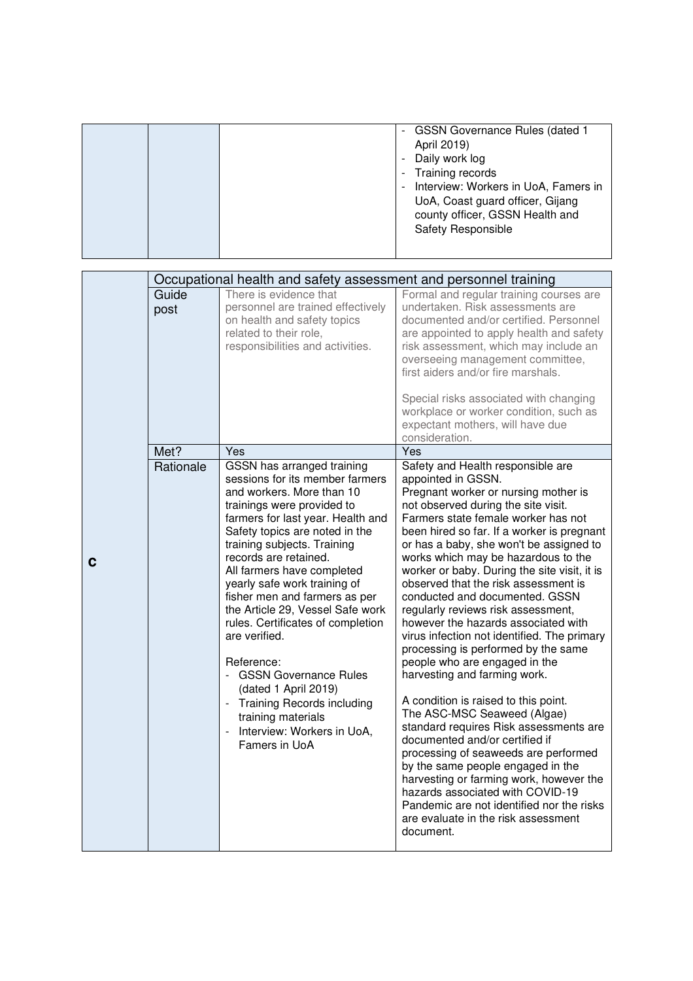|  | <b>GSSN Governance Rules (dated 1</b><br>$\overline{a}$<br>April 2019)<br>Daily work log<br>$\overline{a}$<br>Training records<br>$\overline{\phantom{a}}$<br>Interview: Workers in UoA, Famers in<br>$\overline{\phantom{a}}$<br>UoA, Coast guard officer, Gijang<br>county officer, GSSN Health and<br><b>Safety Responsible</b> |
|--|------------------------------------------------------------------------------------------------------------------------------------------------------------------------------------------------------------------------------------------------------------------------------------------------------------------------------------|
|--|------------------------------------------------------------------------------------------------------------------------------------------------------------------------------------------------------------------------------------------------------------------------------------------------------------------------------------|

|   | Occupational health and safety assessment and personnel training |                                                                                                                                                                                                                                                                                                                                                                                                                                                                                                                                                                                                                                       |                                                                                                                                                                                                                                                                                                                                                                                                                                                                                                                                                                                                                                                                                                                                                                                                                                                                                                                                                                                                                                                                                             |
|---|------------------------------------------------------------------|---------------------------------------------------------------------------------------------------------------------------------------------------------------------------------------------------------------------------------------------------------------------------------------------------------------------------------------------------------------------------------------------------------------------------------------------------------------------------------------------------------------------------------------------------------------------------------------------------------------------------------------|---------------------------------------------------------------------------------------------------------------------------------------------------------------------------------------------------------------------------------------------------------------------------------------------------------------------------------------------------------------------------------------------------------------------------------------------------------------------------------------------------------------------------------------------------------------------------------------------------------------------------------------------------------------------------------------------------------------------------------------------------------------------------------------------------------------------------------------------------------------------------------------------------------------------------------------------------------------------------------------------------------------------------------------------------------------------------------------------|
|   | Guide<br>post                                                    | There is evidence that<br>personnel are trained effectively<br>on health and safety topics<br>related to their role,<br>responsibilities and activities.                                                                                                                                                                                                                                                                                                                                                                                                                                                                              | Formal and regular training courses are<br>undertaken. Risk assessments are<br>documented and/or certified. Personnel<br>are appointed to apply health and safety<br>risk assessment, which may include an<br>overseeing management committee,<br>first aiders and/or fire marshals.<br>Special risks associated with changing<br>workplace or worker condition, such as<br>expectant mothers, will have due<br>consideration.                                                                                                                                                                                                                                                                                                                                                                                                                                                                                                                                                                                                                                                              |
|   | Met?                                                             | Yes                                                                                                                                                                                                                                                                                                                                                                                                                                                                                                                                                                                                                                   | Yes                                                                                                                                                                                                                                                                                                                                                                                                                                                                                                                                                                                                                                                                                                                                                                                                                                                                                                                                                                                                                                                                                         |
| C | Rationale                                                        | GSSN has arranged training<br>sessions for its member farmers<br>and workers. More than 10<br>trainings were provided to<br>farmers for last year. Health and<br>Safety topics are noted in the<br>training subjects. Training<br>records are retained.<br>All farmers have completed<br>yearly safe work training of<br>fisher men and farmers as per<br>the Article 29, Vessel Safe work<br>rules. Certificates of completion<br>are verified.<br>Reference:<br>- GSSN Governance Rules<br>(dated 1 April 2019)<br><b>Training Records including</b><br>training materials<br>Interview: Workers in UoA,<br>$\Box$<br>Famers in UoA | Safety and Health responsible are<br>appointed in GSSN.<br>Pregnant worker or nursing mother is<br>not observed during the site visit.<br>Farmers state female worker has not<br>been hired so far. If a worker is pregnant<br>or has a baby, she won't be assigned to<br>works which may be hazardous to the<br>worker or baby. During the site visit, it is<br>observed that the risk assessment is<br>conducted and documented. GSSN<br>regularly reviews risk assessment,<br>however the hazards associated with<br>virus infection not identified. The primary<br>processing is performed by the same<br>people who are engaged in the<br>harvesting and farming work.<br>A condition is raised to this point.<br>The ASC-MSC Seaweed (Algae)<br>standard requires Risk assessments are<br>documented and/or certified if<br>processing of seaweeds are performed<br>by the same people engaged in the<br>harvesting or farming work, however the<br>hazards associated with COVID-19<br>Pandemic are not identified nor the risks<br>are evaluate in the risk assessment<br>document. |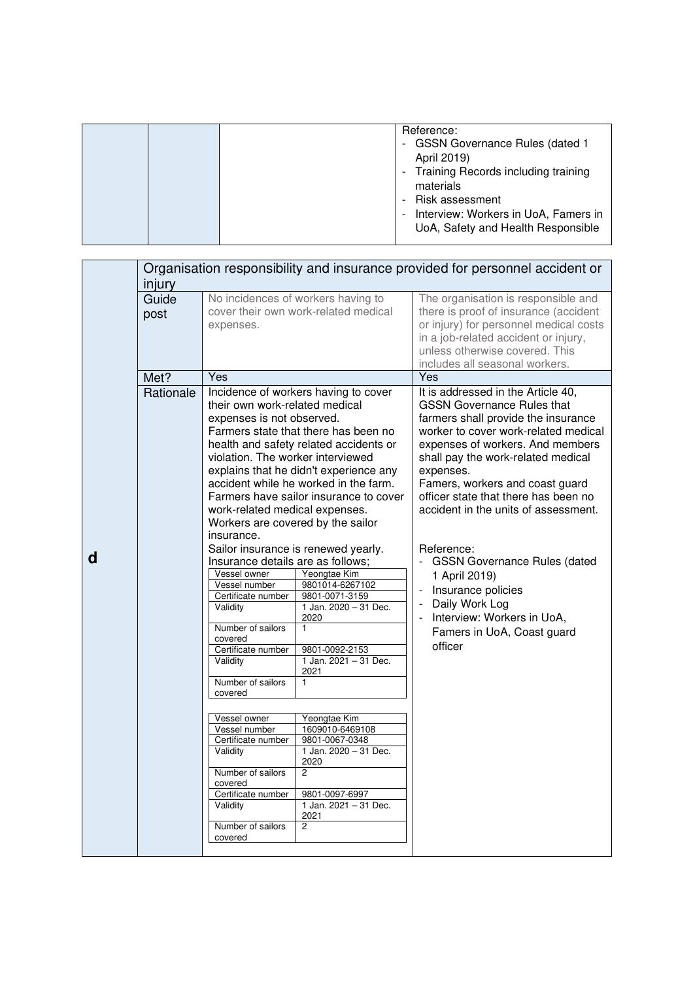|  |  | Reference:<br><b>GSSN Governance Rules (dated 1</b><br>-<br>April 2019)<br>Training Records including training<br>materials<br>Risk assessment<br>Interview: Workers in UoA, Famers in<br>$\sim$<br>UoA, Safety and Health Responsible |
|--|--|----------------------------------------------------------------------------------------------------------------------------------------------------------------------------------------------------------------------------------------|
|--|--|----------------------------------------------------------------------------------------------------------------------------------------------------------------------------------------------------------------------------------------|

|   | Organisation responsibility and insurance provided for personnel accident or<br>injury |                                                                                                                                                                                                                                                                                                                                                                                                                                                                                                                                                                      |                                                                                                                                                                                                                                                                                                                                                                                                                                                                                                                                                                                                        |                                                                                                                                                                                                                                                                                                                                                                                                                                                                                                                                                       |
|---|----------------------------------------------------------------------------------------|----------------------------------------------------------------------------------------------------------------------------------------------------------------------------------------------------------------------------------------------------------------------------------------------------------------------------------------------------------------------------------------------------------------------------------------------------------------------------------------------------------------------------------------------------------------------|--------------------------------------------------------------------------------------------------------------------------------------------------------------------------------------------------------------------------------------------------------------------------------------------------------------------------------------------------------------------------------------------------------------------------------------------------------------------------------------------------------------------------------------------------------------------------------------------------------|-------------------------------------------------------------------------------------------------------------------------------------------------------------------------------------------------------------------------------------------------------------------------------------------------------------------------------------------------------------------------------------------------------------------------------------------------------------------------------------------------------------------------------------------------------|
|   | Guide<br>post                                                                          | expenses.                                                                                                                                                                                                                                                                                                                                                                                                                                                                                                                                                            | No incidences of workers having to<br>cover their own work-related medical                                                                                                                                                                                                                                                                                                                                                                                                                                                                                                                             | The organisation is responsible and<br>there is proof of insurance (accident<br>or injury) for personnel medical costs<br>in a job-related accident or injury,<br>unless otherwise covered. This<br>includes all seasonal workers.                                                                                                                                                                                                                                                                                                                    |
|   | Met?                                                                                   | Yes                                                                                                                                                                                                                                                                                                                                                                                                                                                                                                                                                                  |                                                                                                                                                                                                                                                                                                                                                                                                                                                                                                                                                                                                        | Yes                                                                                                                                                                                                                                                                                                                                                                                                                                                                                                                                                   |
| d | Rationale                                                                              | their own work-related medical<br>expenses is not observed.<br>violation. The worker interviewed<br>work-related medical expenses.<br>Workers are covered by the sailor<br>insurance.<br>Insurance details are as follows;<br>Vessel owner<br>Vessel number<br>Certificate number<br>Validity<br>Number of sailors<br>covered<br>Certificate number<br>Validity<br>Number of sailors<br>covered<br>Vessel owner<br>Vessel number<br>Certificate number<br>Validity<br>Number of sailors<br>covered<br>Certificate number<br>Validity<br>Number of sailors<br>covered | Incidence of workers having to cover<br>Farmers state that there has been no<br>health and safety related accidents or<br>explains that he didn't experience any<br>accident while he worked in the farm.<br>Farmers have sailor insurance to cover<br>Sailor insurance is renewed yearly.<br>Yeongtae Kim<br>9801014-6267102<br>9801-0071-3159<br>1 Jan. 2020 - 31 Dec.<br>2020<br>$\mathbf{1}$<br>9801-0092-2153<br>1 Jan. 2021 - 31 Dec.<br>2021<br>Yeongtae Kim<br>1609010-6469108<br>9801-0067-0348<br>1 Jan. 2020 - 31 Dec.<br>2020<br>2<br>9801-0097-6997<br>1 Jan. 2021 - 31 Dec.<br>2021<br>2 | It is addressed in the Article 40,<br><b>GSSN Governance Rules that</b><br>farmers shall provide the insurance<br>worker to cover work-related medical<br>expenses of workers. And members<br>shall pay the work-related medical<br>expenses.<br>Famers, workers and coast guard<br>officer state that there has been no<br>accident in the units of assessment.<br>Reference:<br><b>GSSN Governance Rules (dated</b><br>1 April 2019)<br>Insurance policies<br>Daily Work Log<br>Interview: Workers in UoA,<br>Famers in UoA, Coast guard<br>officer |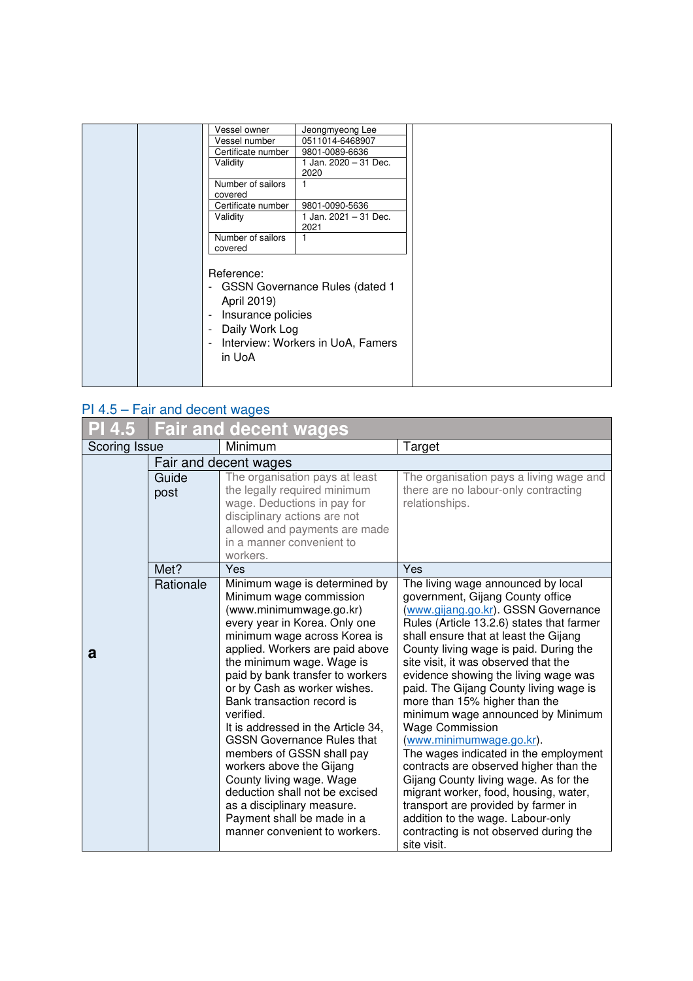|  | Vessel owner                                                                                    | Jeongmyeong Lee                                                         |  |
|--|-------------------------------------------------------------------------------------------------|-------------------------------------------------------------------------|--|
|  | Vessel number                                                                                   | 0511014-6468907                                                         |  |
|  | Certificate number                                                                              | 9801-0089-6636                                                          |  |
|  | Validity                                                                                        | 1 Jan. 2020 - 31 Dec.<br>2020                                           |  |
|  | Number of sailors<br>covered                                                                    | 1                                                                       |  |
|  | Certificate number                                                                              | 9801-0090-5636                                                          |  |
|  | Validity                                                                                        | 1 Jan. 2021 - 31 Dec.<br>2021                                           |  |
|  | Number of sailors<br>covered                                                                    |                                                                         |  |
|  | Reference:<br>April 2019)<br>Insurance policies<br>$\blacksquare$<br>- Daily Work Log<br>in UoA | - GSSN Governance Rules (dated 1<br>- Interview: Workers in UoA, Famers |  |

## PI 4.5 – Fair and decent wages

| 4.5           | Fair and decent wages    |                                                                                                                                                                                                                                                                                                                                                                                                                                                                                                                                                                                                                                    |                                                                                                                                                                                                                                                                                                                                                                                                                                                                                                                                                                                                                                                                                                                                                                                                               |  |
|---------------|--------------------------|------------------------------------------------------------------------------------------------------------------------------------------------------------------------------------------------------------------------------------------------------------------------------------------------------------------------------------------------------------------------------------------------------------------------------------------------------------------------------------------------------------------------------------------------------------------------------------------------------------------------------------|---------------------------------------------------------------------------------------------------------------------------------------------------------------------------------------------------------------------------------------------------------------------------------------------------------------------------------------------------------------------------------------------------------------------------------------------------------------------------------------------------------------------------------------------------------------------------------------------------------------------------------------------------------------------------------------------------------------------------------------------------------------------------------------------------------------|--|
|               | Scoring Issue<br>Minimum |                                                                                                                                                                                                                                                                                                                                                                                                                                                                                                                                                                                                                                    | Target                                                                                                                                                                                                                                                                                                                                                                                                                                                                                                                                                                                                                                                                                                                                                                                                        |  |
| Guide<br>post |                          | Fair and decent wages<br>The organisation pays at least<br>the legally required minimum<br>wage. Deductions in pay for<br>disciplinary actions are not<br>allowed and payments are made<br>in a manner convenient to<br>workers.                                                                                                                                                                                                                                                                                                                                                                                                   | The organisation pays a living wage and<br>there are no labour-only contracting<br>relationships.                                                                                                                                                                                                                                                                                                                                                                                                                                                                                                                                                                                                                                                                                                             |  |
|               | Met?                     | Yes                                                                                                                                                                                                                                                                                                                                                                                                                                                                                                                                                                                                                                | Yes                                                                                                                                                                                                                                                                                                                                                                                                                                                                                                                                                                                                                                                                                                                                                                                                           |  |
| a             | Rationale                | Minimum wage is determined by<br>Minimum wage commission<br>(www.minimumwage.go.kr)<br>every year in Korea. Only one<br>minimum wage across Korea is<br>applied. Workers are paid above<br>the minimum wage. Wage is<br>paid by bank transfer to workers<br>or by Cash as worker wishes.<br>Bank transaction record is<br>verified.<br>It is addressed in the Article 34,<br><b>GSSN Governance Rules that</b><br>members of GSSN shall pay<br>workers above the Gijang<br>County living wage. Wage<br>deduction shall not be excised<br>as a disciplinary measure.<br>Payment shall be made in a<br>manner convenient to workers. | The living wage announced by local<br>government, Gijang County office<br>(www.gijang.go.kr). GSSN Governance<br>Rules (Article 13.2.6) states that farmer<br>shall ensure that at least the Gijang<br>County living wage is paid. During the<br>site visit, it was observed that the<br>evidence showing the living wage was<br>paid. The Gijang County living wage is<br>more than 15% higher than the<br>minimum wage announced by Minimum<br><b>Wage Commission</b><br>(www.minimumwage.go.kr).<br>The wages indicated in the employment<br>contracts are observed higher than the<br>Gijang County living wage. As for the<br>migrant worker, food, housing, water,<br>transport are provided by farmer in<br>addition to the wage. Labour-only<br>contracting is not observed during the<br>site visit. |  |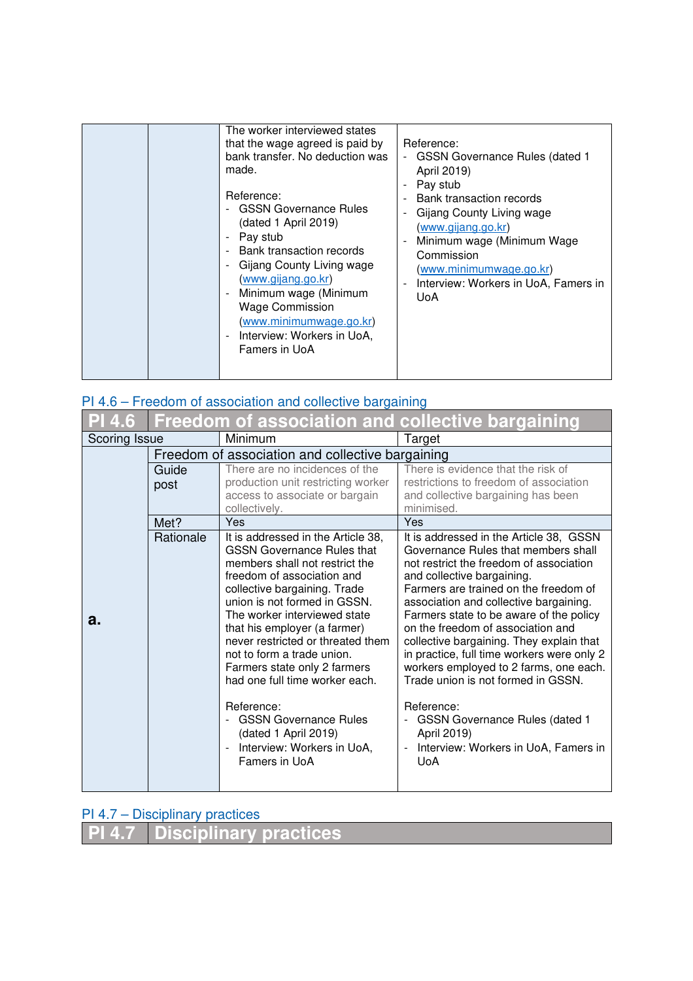| The worker interviewed states<br>that the wage agreed is paid by<br>bank transfer. No deduction was<br>made.<br>Reference:<br><b>GSSN Governance Rules</b><br>(dated 1 April 2019)<br>Pay stub<br>Bank transaction records<br>Gijang County Living wage<br>(www.gijang.go.kr)<br>Minimum wage (Minimum<br>$\overline{\phantom{a}}$<br><b>Wage Commission</b><br>(www.minimumwage.go.kr)<br>Interview: Workers in UoA,<br>$\overline{\phantom{a}}$<br>Famers in UoA | Reference:<br><b>GSSN Governance Rules (dated 1</b><br>April 2019)<br>Pay stub<br>Bank transaction records<br>$\blacksquare$<br>Gijang County Living wage<br>(www.gijang.go.kr)<br>Minimum wage (Minimum Wage<br>$\overline{a}$<br>Commission<br>(www.minimumwage.go.kr)<br>Interview: Workers in UoA, Famers in<br>L,<br><b>UoA</b> |
|--------------------------------------------------------------------------------------------------------------------------------------------------------------------------------------------------------------------------------------------------------------------------------------------------------------------------------------------------------------------------------------------------------------------------------------------------------------------|--------------------------------------------------------------------------------------------------------------------------------------------------------------------------------------------------------------------------------------------------------------------------------------------------------------------------------------|
|--------------------------------------------------------------------------------------------------------------------------------------------------------------------------------------------------------------------------------------------------------------------------------------------------------------------------------------------------------------------------------------------------------------------------------------------------------------------|--------------------------------------------------------------------------------------------------------------------------------------------------------------------------------------------------------------------------------------------------------------------------------------------------------------------------------------|

## PI 4.6 – Freedom of association and collective bargaining

| PI 4.6 |                          |                                                                     | Freedom of association and collective bargaining                                     |
|--------|--------------------------|---------------------------------------------------------------------|--------------------------------------------------------------------------------------|
|        | Minimum<br>Scoring Issue |                                                                     | Target                                                                               |
|        |                          | Freedom of association and collective bargaining                    |                                                                                      |
|        | Guide                    | There are no incidences of the                                      | There is evidence that the risk of                                                   |
|        | post                     | production unit restricting worker                                  | restrictions to freedom of association                                               |
|        |                          | access to associate or bargain                                      | and collective bargaining has been                                                   |
|        |                          | collectively.                                                       | minimised.                                                                           |
|        | Met?                     | Yes                                                                 | Yes                                                                                  |
|        | Rationale                | It is addressed in the Article 38,                                  | It is addressed in the Article 38, GSSN                                              |
|        |                          | <b>GSSN Governance Rules that</b><br>members shall not restrict the | Governance Rules that members shall<br>not restrict the freedom of association       |
|        |                          | freedom of association and                                          | and collective bargaining.                                                           |
|        |                          | collective bargaining. Trade                                        | Farmers are trained on the freedom of                                                |
|        |                          | union is not formed in GSSN.                                        | association and collective bargaining.                                               |
| а.     |                          | The worker interviewed state                                        | Farmers state to be aware of the policy                                              |
|        |                          | that his employer (a farmer)                                        | on the freedom of association and                                                    |
|        |                          | never restricted or threated them                                   | collective bargaining. They explain that                                             |
|        |                          | not to form a trade union.<br>Farmers state only 2 farmers          | in practice, full time workers were only 2<br>workers employed to 2 farms, one each. |
|        |                          | had one full time worker each.                                      | Trade union is not formed in GSSN.                                                   |
|        |                          |                                                                     |                                                                                      |
|        |                          | Reference:                                                          | Reference:                                                                           |
|        |                          | <b>GSSN Governance Rules</b>                                        | <b>GSSN Governance Rules (dated 1</b>                                                |
|        |                          | (dated 1 April 2019)                                                | April 2019)                                                                          |
|        |                          | Interview: Workers in UoA,<br>$\blacksquare$                        | Interview: Workers in UoA, Famers in                                                 |
|        |                          | Famers in UoA                                                       | <b>UoA</b>                                                                           |
|        |                          |                                                                     |                                                                                      |

## PI 4.7 – Disciplinary practices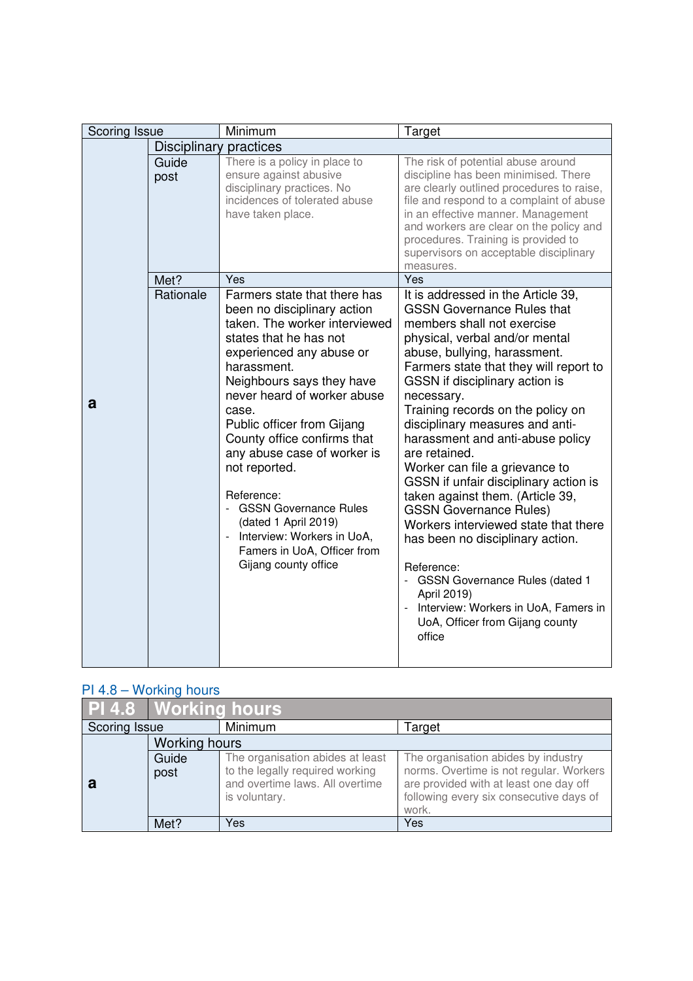| Scoring Issue |                        | Minimum                                                                                                                                                                                                                                                                                                                                                                                                                                                                                                   | Target                                                                                                                                                                                                                                                                                                                                                                                                                                                                                                                                                                                                                                                                                                                                                                                  |
|---------------|------------------------|-----------------------------------------------------------------------------------------------------------------------------------------------------------------------------------------------------------------------------------------------------------------------------------------------------------------------------------------------------------------------------------------------------------------------------------------------------------------------------------------------------------|-----------------------------------------------------------------------------------------------------------------------------------------------------------------------------------------------------------------------------------------------------------------------------------------------------------------------------------------------------------------------------------------------------------------------------------------------------------------------------------------------------------------------------------------------------------------------------------------------------------------------------------------------------------------------------------------------------------------------------------------------------------------------------------------|
|               | Disciplinary practices |                                                                                                                                                                                                                                                                                                                                                                                                                                                                                                           |                                                                                                                                                                                                                                                                                                                                                                                                                                                                                                                                                                                                                                                                                                                                                                                         |
|               | Guide<br>post          | There is a policy in place to<br>ensure against abusive<br>disciplinary practices. No<br>incidences of tolerated abuse<br>have taken place.                                                                                                                                                                                                                                                                                                                                                               | The risk of potential abuse around<br>discipline has been minimised. There<br>are clearly outlined procedures to raise,<br>file and respond to a complaint of abuse<br>in an effective manner. Management<br>and workers are clear on the policy and<br>procedures. Training is provided to<br>supervisors on acceptable disciplinary<br>measures.                                                                                                                                                                                                                                                                                                                                                                                                                                      |
|               | Met?                   | Yes                                                                                                                                                                                                                                                                                                                                                                                                                                                                                                       | Yes                                                                                                                                                                                                                                                                                                                                                                                                                                                                                                                                                                                                                                                                                                                                                                                     |
| a             | Rationale              | Farmers state that there has<br>been no disciplinary action<br>taken. The worker interviewed<br>states that he has not<br>experienced any abuse or<br>harassment.<br>Neighbours says they have<br>never heard of worker abuse<br>case.<br>Public officer from Gijang<br>County office confirms that<br>any abuse case of worker is<br>not reported.<br>Reference:<br>- GSSN Governance Rules<br>(dated 1 April 2019)<br>Interview: Workers in UoA,<br>Famers in UoA, Officer from<br>Gijang county office | It is addressed in the Article 39,<br><b>GSSN Governance Rules that</b><br>members shall not exercise<br>physical, verbal and/or mental<br>abuse, bullying, harassment.<br>Farmers state that they will report to<br>GSSN if disciplinary action is<br>necessary.<br>Training records on the policy on<br>disciplinary measures and anti-<br>harassment and anti-abuse policy<br>are retained.<br>Worker can file a grievance to<br>GSSN if unfair disciplinary action is<br>taken against them. (Article 39,<br><b>GSSN Governance Rules)</b><br>Workers interviewed state that there<br>has been no disciplinary action.<br>Reference:<br><b>GSSN Governance Rules (dated 1</b><br>April 2019)<br>- Interview: Workers in UoA, Famers in<br>UoA, Officer from Gijang county<br>office |

## PI 4.8 – Working hours

|               | <b>PI 4.8 Working hours</b> |                                                                                                                         |                                                                                                                                                                              |
|---------------|-----------------------------|-------------------------------------------------------------------------------------------------------------------------|------------------------------------------------------------------------------------------------------------------------------------------------------------------------------|
| Scoring Issue |                             | Minimum                                                                                                                 | Target                                                                                                                                                                       |
|               | Working hours               |                                                                                                                         |                                                                                                                                                                              |
|               | Guide<br>post               | The organisation abides at least<br>to the legally required working<br>and overtime laws. All overtime<br>is voluntary. | The organisation abides by industry<br>norms. Overtime is not regular. Workers<br>are provided with at least one day off<br>following every six consecutive days of<br>work. |
|               | Met?                        | Yes                                                                                                                     | Yes                                                                                                                                                                          |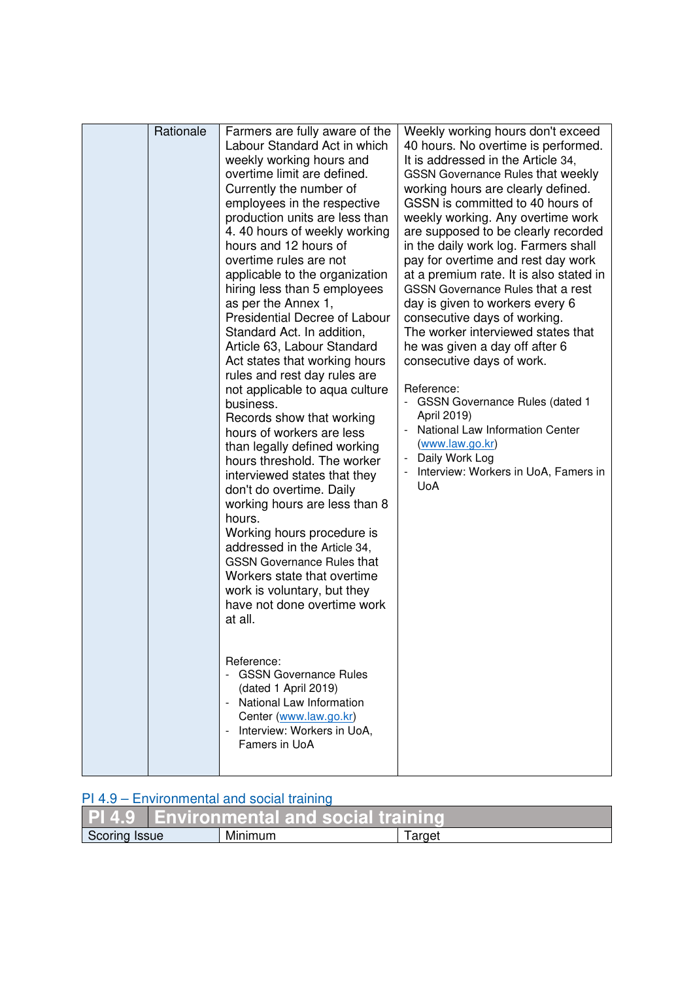| Rationale |                                                                                                                                                                                                                                                                                                                                                                                                                                                                                                                                                                                                                                                                                                                                                                                                                                                                                                                                                                                                                                                                                                                                                                                                                                                                 | Weekly working hours don't exceed                                                                                                                                                                                                                                                                                                                                                                                                                                                                                                                                                                                                                                                                                                                                                                                         |
|-----------|-----------------------------------------------------------------------------------------------------------------------------------------------------------------------------------------------------------------------------------------------------------------------------------------------------------------------------------------------------------------------------------------------------------------------------------------------------------------------------------------------------------------------------------------------------------------------------------------------------------------------------------------------------------------------------------------------------------------------------------------------------------------------------------------------------------------------------------------------------------------------------------------------------------------------------------------------------------------------------------------------------------------------------------------------------------------------------------------------------------------------------------------------------------------------------------------------------------------------------------------------------------------|---------------------------------------------------------------------------------------------------------------------------------------------------------------------------------------------------------------------------------------------------------------------------------------------------------------------------------------------------------------------------------------------------------------------------------------------------------------------------------------------------------------------------------------------------------------------------------------------------------------------------------------------------------------------------------------------------------------------------------------------------------------------------------------------------------------------------|
|           | Farmers are fully aware of the<br>Labour Standard Act in which<br>weekly working hours and<br>overtime limit are defined.<br>Currently the number of<br>employees in the respective<br>production units are less than<br>4. 40 hours of weekly working<br>hours and 12 hours of<br>overtime rules are not<br>applicable to the organization<br>hiring less than 5 employees<br>as per the Annex 1,<br><b>Presidential Decree of Labour</b><br>Standard Act. In addition,<br>Article 63, Labour Standard<br>Act states that working hours<br>rules and rest day rules are<br>not applicable to aqua culture<br>business.<br>Records show that working<br>hours of workers are less<br>than legally defined working<br>hours threshold. The worker<br>interviewed states that they<br>don't do overtime. Daily<br>working hours are less than 8<br>hours.<br>Working hours procedure is<br>addressed in the Article 34,<br><b>GSSN Governance Rules that</b><br>Workers state that overtime<br>work is voluntary, but they<br>have not done overtime work<br>at all.<br>Reference:<br><b>GSSN Governance Rules</b><br>(dated 1 April 2019)<br>- National Law Information<br>Center (www.law.go.kr)<br>Interview: Workers in UoA,<br>$\mathbb{L}$<br>Famers in UoA | 40 hours. No overtime is performed.<br>It is addressed in the Article 34,<br><b>GSSN Governance Rules that weekly</b><br>working hours are clearly defined.<br>GSSN is committed to 40 hours of<br>weekly working. Any overtime work<br>are supposed to be clearly recorded<br>in the daily work log. Farmers shall<br>pay for overtime and rest day work<br>at a premium rate. It is also stated in<br><b>GSSN Governance Rules that a rest</b><br>day is given to workers every 6<br>consecutive days of working.<br>The worker interviewed states that<br>he was given a day off after 6<br>consecutive days of work.<br>Reference:<br>- GSSN Governance Rules (dated 1<br>April 2019)<br>- National Law Information Center<br>(www.law.go.kr)<br>Daily Work Log<br>Interview: Workers in UoA, Famers in<br><b>UoA</b> |

## PI 4.9 – Environmental and social training

|               | <b>PL4.9 Environmental and social training</b> |         |       |
|---------------|------------------------------------------------|---------|-------|
| Scoring Issue |                                                | Minimum | arget |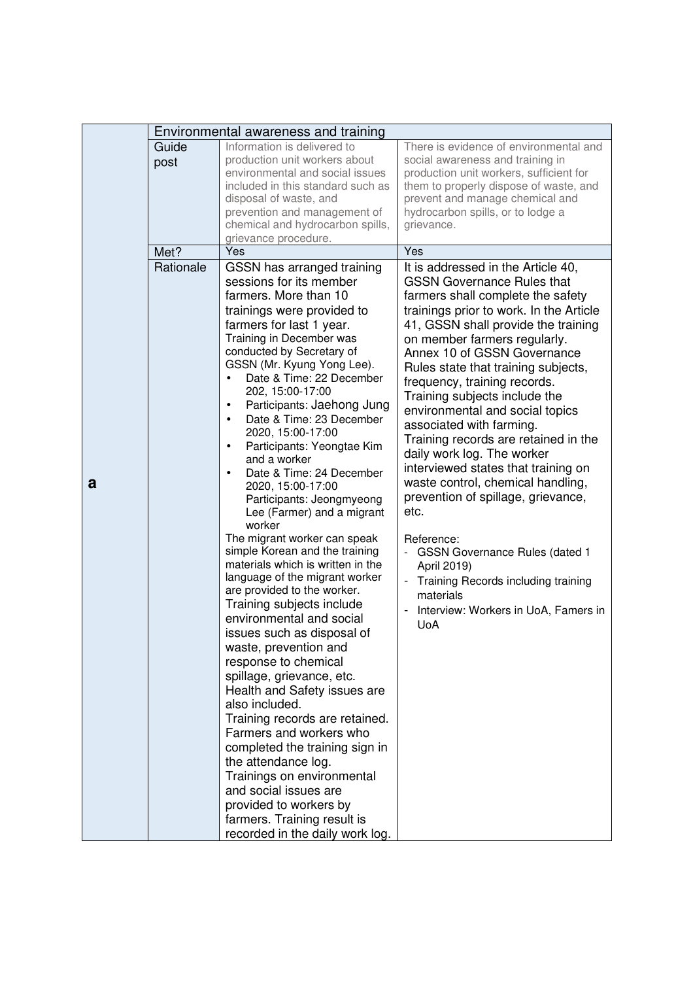|   | Environmental awareness and training |                                                                                                                                                                                                                                                                                                                                                                                                                                                                                                                                                                                                                                                                                                                                                                                                                                                                                                                                                                                                                                                                                                                                                                                                                                                                |                                                                                                                                                                                                                                                                                                                                                                                                                                                                                                                                                                                                                                                                                                                                                                                                                                                                              |
|---|--------------------------------------|----------------------------------------------------------------------------------------------------------------------------------------------------------------------------------------------------------------------------------------------------------------------------------------------------------------------------------------------------------------------------------------------------------------------------------------------------------------------------------------------------------------------------------------------------------------------------------------------------------------------------------------------------------------------------------------------------------------------------------------------------------------------------------------------------------------------------------------------------------------------------------------------------------------------------------------------------------------------------------------------------------------------------------------------------------------------------------------------------------------------------------------------------------------------------------------------------------------------------------------------------------------|------------------------------------------------------------------------------------------------------------------------------------------------------------------------------------------------------------------------------------------------------------------------------------------------------------------------------------------------------------------------------------------------------------------------------------------------------------------------------------------------------------------------------------------------------------------------------------------------------------------------------------------------------------------------------------------------------------------------------------------------------------------------------------------------------------------------------------------------------------------------------|
|   | Guide<br>post                        | Information is delivered to<br>production unit workers about<br>environmental and social issues<br>included in this standard such as<br>disposal of waste, and<br>prevention and management of<br>chemical and hydrocarbon spills,<br>grievance procedure.                                                                                                                                                                                                                                                                                                                                                                                                                                                                                                                                                                                                                                                                                                                                                                                                                                                                                                                                                                                                     | There is evidence of environmental and<br>social awareness and training in<br>production unit workers, sufficient for<br>them to properly dispose of waste, and<br>prevent and manage chemical and<br>hydrocarbon spills, or to lodge a<br>grievance.                                                                                                                                                                                                                                                                                                                                                                                                                                                                                                                                                                                                                        |
|   | Met?                                 | Yes                                                                                                                                                                                                                                                                                                                                                                                                                                                                                                                                                                                                                                                                                                                                                                                                                                                                                                                                                                                                                                                                                                                                                                                                                                                            | Yes                                                                                                                                                                                                                                                                                                                                                                                                                                                                                                                                                                                                                                                                                                                                                                                                                                                                          |
| a | Rationale                            | GSSN has arranged training<br>sessions for its member<br>farmers. More than 10<br>trainings were provided to<br>farmers for last 1 year.<br>Training in December was<br>conducted by Secretary of<br>GSSN (Mr. Kyung Yong Lee).<br>Date & Time: 22 December<br>$\bullet$<br>202, 15:00-17:00<br>Participants: Jaehong Jung<br>$\bullet$<br>Date & Time: 23 December<br>$\bullet$<br>2020, 15:00-17:00<br>Participants: Yeongtae Kim<br>$\bullet$<br>and a worker<br>Date & Time: 24 December<br>2020, 15:00-17:00<br>Participants: Jeongmyeong<br>Lee (Farmer) and a migrant<br>worker<br>The migrant worker can speak<br>simple Korean and the training<br>materials which is written in the<br>language of the migrant worker<br>are provided to the worker.<br>Training subjects include<br>environmental and social<br>issues such as disposal of<br>waste, prevention and<br>response to chemical<br>spillage, grievance, etc.<br>Health and Safety issues are<br>also included.<br>Training records are retained.<br>Farmers and workers who<br>completed the training sign in<br>the attendance log.<br>Trainings on environmental<br>and social issues are<br>provided to workers by<br>farmers. Training result is<br>recorded in the daily work log. | It is addressed in the Article 40,<br><b>GSSN Governance Rules that</b><br>farmers shall complete the safety<br>trainings prior to work. In the Article<br>41, GSSN shall provide the training<br>on member farmers regularly.<br>Annex 10 of GSSN Governance<br>Rules state that training subjects,<br>frequency, training records.<br>Training subjects include the<br>environmental and social topics<br>associated with farming.<br>Training records are retained in the<br>daily work log. The worker<br>interviewed states that training on<br>waste control, chemical handling,<br>prevention of spillage, grievance,<br>etc.<br>Reference:<br><b>GSSN Governance Rules (dated 1</b><br>$\overline{\phantom{a}}$<br>April 2019)<br>Training Records including training<br>$\overline{\phantom{0}}$<br>materials<br>Interview: Workers in UoA, Famers in<br><b>UoA</b> |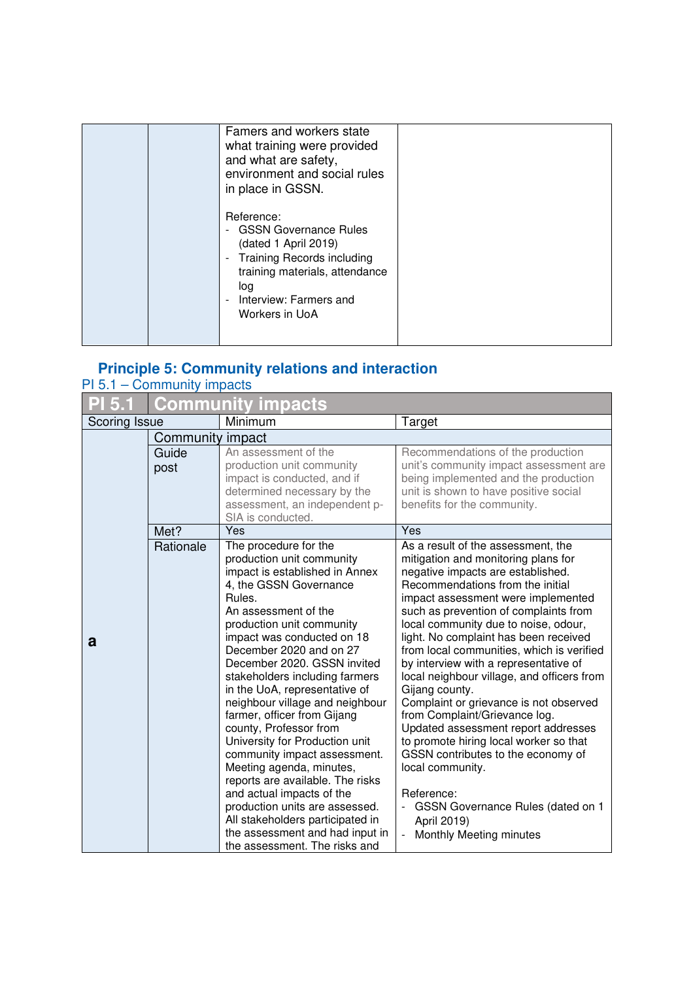| Famers and workers state<br>what training were provided<br>and what are safety,<br>environment and social rules<br>in place in GSSN.                                                                                |  |
|---------------------------------------------------------------------------------------------------------------------------------------------------------------------------------------------------------------------|--|
| Reference:<br>- GSSN Governance Rules<br>(dated 1 April 2019)<br><b>Training Records including</b><br>$\blacksquare$<br>training materials, attendance<br>log<br>Interview: Farmers and<br>$\sim$<br>Workers in UoA |  |

# **Principle 5: Community relations and interaction**

| $PI 5.1 - Community$ impacts |  |
|------------------------------|--|
|------------------------------|--|

| 5.1           | <b>Community impacts</b> |                                                                                                                                                                                                                                                                                                                                                                                                                                                                                                                                                                                                                                                                                                                                               |                                                                                                                                                                                                                                                                                                                                                                                                                                                                                                                                                                                                                                                                                                                                                                                                              |
|---------------|--------------------------|-----------------------------------------------------------------------------------------------------------------------------------------------------------------------------------------------------------------------------------------------------------------------------------------------------------------------------------------------------------------------------------------------------------------------------------------------------------------------------------------------------------------------------------------------------------------------------------------------------------------------------------------------------------------------------------------------------------------------------------------------|--------------------------------------------------------------------------------------------------------------------------------------------------------------------------------------------------------------------------------------------------------------------------------------------------------------------------------------------------------------------------------------------------------------------------------------------------------------------------------------------------------------------------------------------------------------------------------------------------------------------------------------------------------------------------------------------------------------------------------------------------------------------------------------------------------------|
| Scoring Issue |                          | Minimum                                                                                                                                                                                                                                                                                                                                                                                                                                                                                                                                                                                                                                                                                                                                       | Target                                                                                                                                                                                                                                                                                                                                                                                                                                                                                                                                                                                                                                                                                                                                                                                                       |
|               | Community impact         |                                                                                                                                                                                                                                                                                                                                                                                                                                                                                                                                                                                                                                                                                                                                               |                                                                                                                                                                                                                                                                                                                                                                                                                                                                                                                                                                                                                                                                                                                                                                                                              |
|               | Guide<br>post            | An assessment of the<br>production unit community<br>impact is conducted, and if<br>determined necessary by the<br>assessment, an independent p-<br>SIA is conducted.                                                                                                                                                                                                                                                                                                                                                                                                                                                                                                                                                                         | Recommendations of the production<br>unit's community impact assessment are<br>being implemented and the production<br>unit is shown to have positive social<br>benefits for the community.                                                                                                                                                                                                                                                                                                                                                                                                                                                                                                                                                                                                                  |
|               | Met?                     | Yes                                                                                                                                                                                                                                                                                                                                                                                                                                                                                                                                                                                                                                                                                                                                           | Yes                                                                                                                                                                                                                                                                                                                                                                                                                                                                                                                                                                                                                                                                                                                                                                                                          |
| a             | Rationale                | The procedure for the<br>production unit community<br>impact is established in Annex<br>4, the GSSN Governance<br>Rules.<br>An assessment of the<br>production unit community<br>impact was conducted on 18<br>December 2020 and on 27<br>December 2020. GSSN invited<br>stakeholders including farmers<br>in the UoA, representative of<br>neighbour village and neighbour<br>farmer, officer from Gijang<br>county, Professor from<br>University for Production unit<br>community impact assessment.<br>Meeting agenda, minutes,<br>reports are available. The risks<br>and actual impacts of the<br>production units are assessed.<br>All stakeholders participated in<br>the assessment and had input in<br>the assessment. The risks and | As a result of the assessment, the<br>mitigation and monitoring plans for<br>negative impacts are established.<br>Recommendations from the initial<br>impact assessment were implemented<br>such as prevention of complaints from<br>local community due to noise, odour,<br>light. No complaint has been received<br>from local communities, which is verified<br>by interview with a representative of<br>local neighbour village, and officers from<br>Gijang county.<br>Complaint or grievance is not observed<br>from Complaint/Grievance log.<br>Updated assessment report addresses<br>to promote hiring local worker so that<br>GSSN contributes to the economy of<br>local community.<br>Reference:<br>GSSN Governance Rules (dated on 1<br>April 2019)<br>Monthly Meeting minutes<br>$\frac{1}{2}$ |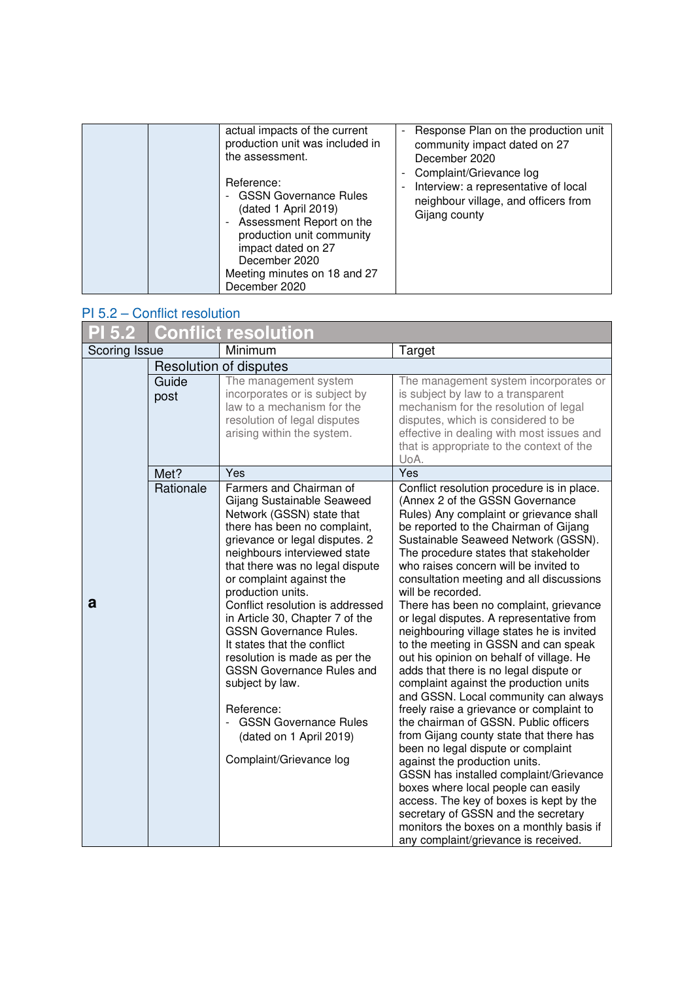| actual impacts of the current<br>production unit was included in<br>the assessment.<br>Reference:                                                                                                     | Response Plan on the production unit<br>$\overline{\phantom{m}}$<br>community impact dated on 27<br>December 2020<br>Complaint/Grievance log<br>$\blacksquare$<br>Interview: a representative of local<br>- |
|-------------------------------------------------------------------------------------------------------------------------------------------------------------------------------------------------------|-------------------------------------------------------------------------------------------------------------------------------------------------------------------------------------------------------------|
| <b>GSSN Governance Rules</b><br>(dated 1 April 2019)<br>Assessment Report on the<br>production unit community<br>impact dated on 27<br>December 2020<br>Meeting minutes on 18 and 27<br>December 2020 | neighbour village, and officers from<br>Gijang county                                                                                                                                                       |

### PI 5.2 – Conflict resolution

| PI 5.2        |               | <b>Conflict resolution</b>                                                                                                                                                                                                                                                                                                                                                                                                                                                                                                                                                                                  |                                                                                                                                                                                                                                                                                                                                                                                                                                                                                                                                                                                                                                                                                                                                                                                                                                                                                                                                                                                                                                                                                                                                                                              |
|---------------|---------------|-------------------------------------------------------------------------------------------------------------------------------------------------------------------------------------------------------------------------------------------------------------------------------------------------------------------------------------------------------------------------------------------------------------------------------------------------------------------------------------------------------------------------------------------------------------------------------------------------------------|------------------------------------------------------------------------------------------------------------------------------------------------------------------------------------------------------------------------------------------------------------------------------------------------------------------------------------------------------------------------------------------------------------------------------------------------------------------------------------------------------------------------------------------------------------------------------------------------------------------------------------------------------------------------------------------------------------------------------------------------------------------------------------------------------------------------------------------------------------------------------------------------------------------------------------------------------------------------------------------------------------------------------------------------------------------------------------------------------------------------------------------------------------------------------|
| Scoring Issue |               | Minimum                                                                                                                                                                                                                                                                                                                                                                                                                                                                                                                                                                                                     | Target                                                                                                                                                                                                                                                                                                                                                                                                                                                                                                                                                                                                                                                                                                                                                                                                                                                                                                                                                                                                                                                                                                                                                                       |
|               |               | Resolution of disputes                                                                                                                                                                                                                                                                                                                                                                                                                                                                                                                                                                                      |                                                                                                                                                                                                                                                                                                                                                                                                                                                                                                                                                                                                                                                                                                                                                                                                                                                                                                                                                                                                                                                                                                                                                                              |
|               | Guide<br>post | The management system<br>incorporates or is subject by<br>law to a mechanism for the<br>resolution of legal disputes<br>arising within the system.                                                                                                                                                                                                                                                                                                                                                                                                                                                          | The management system incorporates or<br>is subject by law to a transparent<br>mechanism for the resolution of legal<br>disputes, which is considered to be<br>effective in dealing with most issues and<br>that is appropriate to the context of the<br>UoA.                                                                                                                                                                                                                                                                                                                                                                                                                                                                                                                                                                                                                                                                                                                                                                                                                                                                                                                |
|               | Met?          | Yes                                                                                                                                                                                                                                                                                                                                                                                                                                                                                                                                                                                                         | Yes                                                                                                                                                                                                                                                                                                                                                                                                                                                                                                                                                                                                                                                                                                                                                                                                                                                                                                                                                                                                                                                                                                                                                                          |
| a             | Rationale     | Farmers and Chairman of<br>Gijang Sustainable Seaweed<br>Network (GSSN) state that<br>there has been no complaint,<br>grievance or legal disputes. 2<br>neighbours interviewed state<br>that there was no legal dispute<br>or complaint against the<br>production units.<br>Conflict resolution is addressed<br>in Article 30, Chapter 7 of the<br><b>GSSN Governance Rules.</b><br>It states that the conflict<br>resolution is made as per the<br><b>GSSN Governance Rules and</b><br>subject by law.<br>Reference:<br><b>GSSN Governance Rules</b><br>(dated on 1 April 2019)<br>Complaint/Grievance log | Conflict resolution procedure is in place.<br>(Annex 2 of the GSSN Governance<br>Rules) Any complaint or grievance shall<br>be reported to the Chairman of Gijang<br>Sustainable Seaweed Network (GSSN).<br>The procedure states that stakeholder<br>who raises concern will be invited to<br>consultation meeting and all discussions<br>will be recorded.<br>There has been no complaint, grievance<br>or legal disputes. A representative from<br>neighbouring village states he is invited<br>to the meeting in GSSN and can speak<br>out his opinion on behalf of village. He<br>adds that there is no legal dispute or<br>complaint against the production units<br>and GSSN. Local community can always<br>freely raise a grievance or complaint to<br>the chairman of GSSN. Public officers<br>from Gijang county state that there has<br>been no legal dispute or complaint<br>against the production units.<br>GSSN has installed complaint/Grievance<br>boxes where local people can easily<br>access. The key of boxes is kept by the<br>secretary of GSSN and the secretary<br>monitors the boxes on a monthly basis if<br>any complaint/grievance is received. |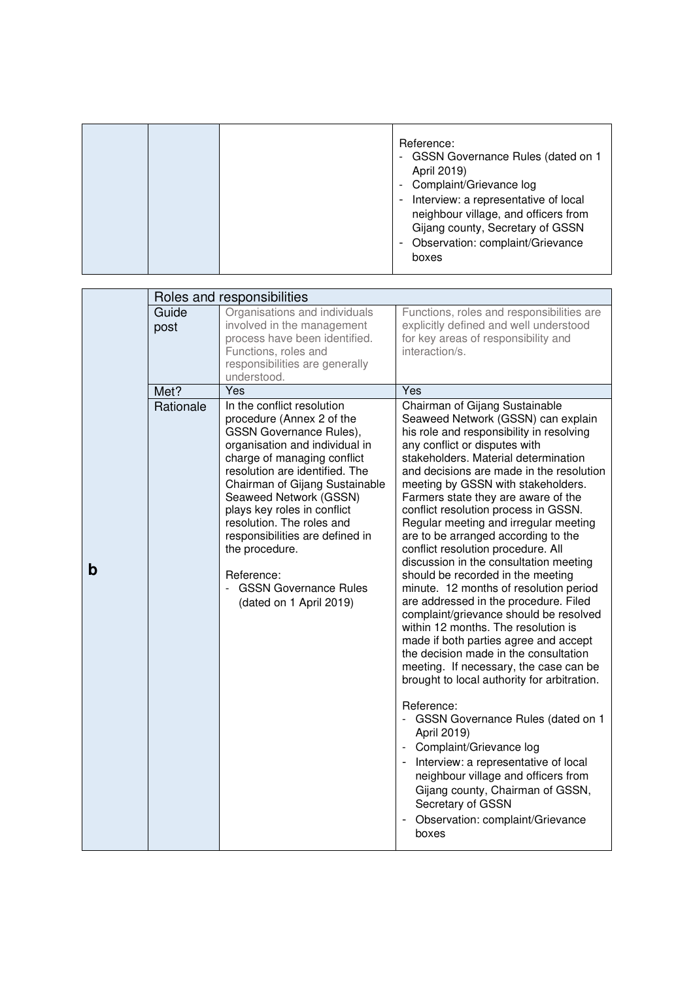|  |  |  | Reference:<br>- GSSN Governance Rules (dated on 1<br>April 2019)<br>- Complaint/Grievance log<br>Interview: a representative of local<br>neighbour village, and officers from<br>Gijang county, Secretary of GSSN<br>Observation: complaint/Grievance<br>boxes |
|--|--|--|----------------------------------------------------------------------------------------------------------------------------------------------------------------------------------------------------------------------------------------------------------------|
|--|--|--|----------------------------------------------------------------------------------------------------------------------------------------------------------------------------------------------------------------------------------------------------------------|

|   | Roles and responsibilities |                                                                                                                                                                                                                                                                                                                                                                                                                                             |                                                                                                                                                                                                                                                                                                                                                                                                                                                                                                                                                                                                                                                                                                                                                                                                                                                                                                                                                                                                                                                                                                                                                                                                                           |
|---|----------------------------|---------------------------------------------------------------------------------------------------------------------------------------------------------------------------------------------------------------------------------------------------------------------------------------------------------------------------------------------------------------------------------------------------------------------------------------------|---------------------------------------------------------------------------------------------------------------------------------------------------------------------------------------------------------------------------------------------------------------------------------------------------------------------------------------------------------------------------------------------------------------------------------------------------------------------------------------------------------------------------------------------------------------------------------------------------------------------------------------------------------------------------------------------------------------------------------------------------------------------------------------------------------------------------------------------------------------------------------------------------------------------------------------------------------------------------------------------------------------------------------------------------------------------------------------------------------------------------------------------------------------------------------------------------------------------------|
|   | Guide<br>post              | Organisations and individuals<br>involved in the management<br>process have been identified.<br>Functions, roles and<br>responsibilities are generally<br>understood.                                                                                                                                                                                                                                                                       | Functions, roles and responsibilities are<br>explicitly defined and well understood<br>for key areas of responsibility and<br>interaction/s.                                                                                                                                                                                                                                                                                                                                                                                                                                                                                                                                                                                                                                                                                                                                                                                                                                                                                                                                                                                                                                                                              |
|   | Met?                       | Yes                                                                                                                                                                                                                                                                                                                                                                                                                                         | Yes                                                                                                                                                                                                                                                                                                                                                                                                                                                                                                                                                                                                                                                                                                                                                                                                                                                                                                                                                                                                                                                                                                                                                                                                                       |
| b | Rationale                  | In the conflict resolution<br>procedure (Annex 2 of the<br>GSSN Governance Rules),<br>organisation and individual in<br>charge of managing conflict<br>resolution are identified. The<br>Chairman of Gijang Sustainable<br>Seaweed Network (GSSN)<br>plays key roles in conflict<br>resolution. The roles and<br>responsibilities are defined in<br>the procedure.<br>Reference:<br><b>GSSN Governance Rules</b><br>(dated on 1 April 2019) | Chairman of Gijang Sustainable<br>Seaweed Network (GSSN) can explain<br>his role and responsibility in resolving<br>any conflict or disputes with<br>stakeholders. Material determination<br>and decisions are made in the resolution<br>meeting by GSSN with stakeholders.<br>Farmers state they are aware of the<br>conflict resolution process in GSSN.<br>Regular meeting and irregular meeting<br>are to be arranged according to the<br>conflict resolution procedure. All<br>discussion in the consultation meeting<br>should be recorded in the meeting<br>minute. 12 months of resolution period<br>are addressed in the procedure. Filed<br>complaint/grievance should be resolved<br>within 12 months. The resolution is<br>made if both parties agree and accept<br>the decision made in the consultation<br>meeting. If necessary, the case can be<br>brought to local authority for arbitration.<br>Reference:<br><b>GSSN Governance Rules (dated on 1</b><br>$\blacksquare$<br>April 2019)<br>Complaint/Grievance log<br>Interview: a representative of local<br>neighbour village and officers from<br>Gijang county, Chairman of GSSN,<br>Secretary of GSSN<br>Observation: complaint/Grievance<br>boxes |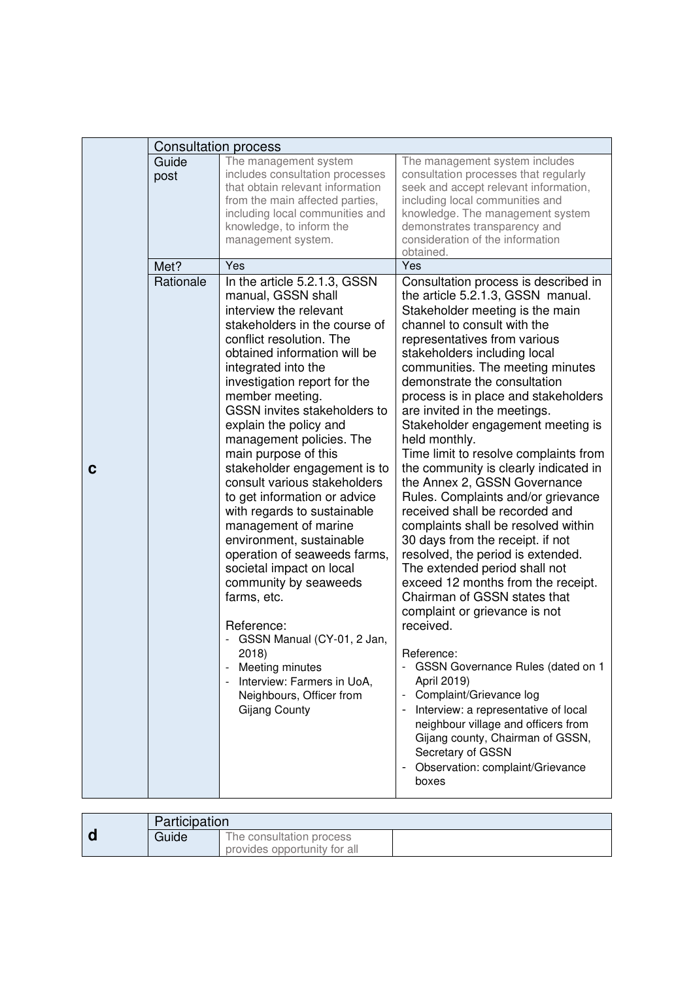|   | <b>Consultation process</b> |                                                                                                                                                                                                                                                                                                                                                                                                                                                                                                                                                                                                                                                                                                                                                                                                                               |                                                                                                                                                                                                                                                                                                                                                                                                                                                                                                                                                                                                                                                                                                                                                                                                                                                                                                                                                                                                                                                                                                                                                                              |
|---|-----------------------------|-------------------------------------------------------------------------------------------------------------------------------------------------------------------------------------------------------------------------------------------------------------------------------------------------------------------------------------------------------------------------------------------------------------------------------------------------------------------------------------------------------------------------------------------------------------------------------------------------------------------------------------------------------------------------------------------------------------------------------------------------------------------------------------------------------------------------------|------------------------------------------------------------------------------------------------------------------------------------------------------------------------------------------------------------------------------------------------------------------------------------------------------------------------------------------------------------------------------------------------------------------------------------------------------------------------------------------------------------------------------------------------------------------------------------------------------------------------------------------------------------------------------------------------------------------------------------------------------------------------------------------------------------------------------------------------------------------------------------------------------------------------------------------------------------------------------------------------------------------------------------------------------------------------------------------------------------------------------------------------------------------------------|
|   | Guide<br>post               | The management system<br>includes consultation processes<br>that obtain relevant information<br>from the main affected parties,<br>including local communities and<br>knowledge, to inform the<br>management system.<br>Yes                                                                                                                                                                                                                                                                                                                                                                                                                                                                                                                                                                                                   | The management system includes<br>consultation processes that regularly<br>seek and accept relevant information,<br>including local communities and<br>knowledge. The management system<br>demonstrates transparency and<br>consideration of the information<br>obtained.                                                                                                                                                                                                                                                                                                                                                                                                                                                                                                                                                                                                                                                                                                                                                                                                                                                                                                    |
| C | Met?<br>Rationale           | In the article 5.2.1.3, GSSN<br>manual, GSSN shall<br>interview the relevant<br>stakeholders in the course of<br>conflict resolution. The<br>obtained information will be<br>integrated into the<br>investigation report for the<br>member meeting.<br>GSSN invites stakeholders to<br>explain the policy and<br>management policies. The<br>main purpose of this<br>stakeholder engagement is to<br>consult various stakeholders<br>to get information or advice<br>with regards to sustainable<br>management of marine<br>environment, sustainable<br>operation of seaweeds farms,<br>societal impact on local<br>community by seaweeds<br>farms, etc.<br>Reference:<br>GSSN Manual (CY-01, 2 Jan,<br>2018)<br>Meeting minutes<br>Interview: Farmers in UoA,<br>$\blacksquare$<br>Neighbours, Officer from<br>Gijang County | Yes<br>Consultation process is described in<br>the article 5.2.1.3, GSSN manual.<br>Stakeholder meeting is the main<br>channel to consult with the<br>representatives from various<br>stakeholders including local<br>communities. The meeting minutes<br>demonstrate the consultation<br>process is in place and stakeholders<br>are invited in the meetings.<br>Stakeholder engagement meeting is<br>held monthly.<br>Time limit to resolve complaints from<br>the community is clearly indicated in<br>the Annex 2, GSSN Governance<br>Rules. Complaints and/or grievance<br>received shall be recorded and<br>complaints shall be resolved within<br>30 days from the receipt. if not<br>resolved, the period is extended.<br>The extended period shall not<br>exceed 12 months from the receipt.<br>Chairman of GSSN states that<br>complaint or grievance is not<br>received.<br>Reference:<br><b>GSSN Governance Rules (dated on 1</b><br>April 2019)<br>Complaint/Grievance log<br>Interview: a representative of local<br>neighbour village and officers from<br>Gijang county, Chairman of GSSN,<br>Secretary of GSSN<br>Observation: complaint/Grievance<br>boxes |

|  | Participation |                              |  |
|--|---------------|------------------------------|--|
|  | Guide         | The consultation process     |  |
|  |               | provides opportunity for all |  |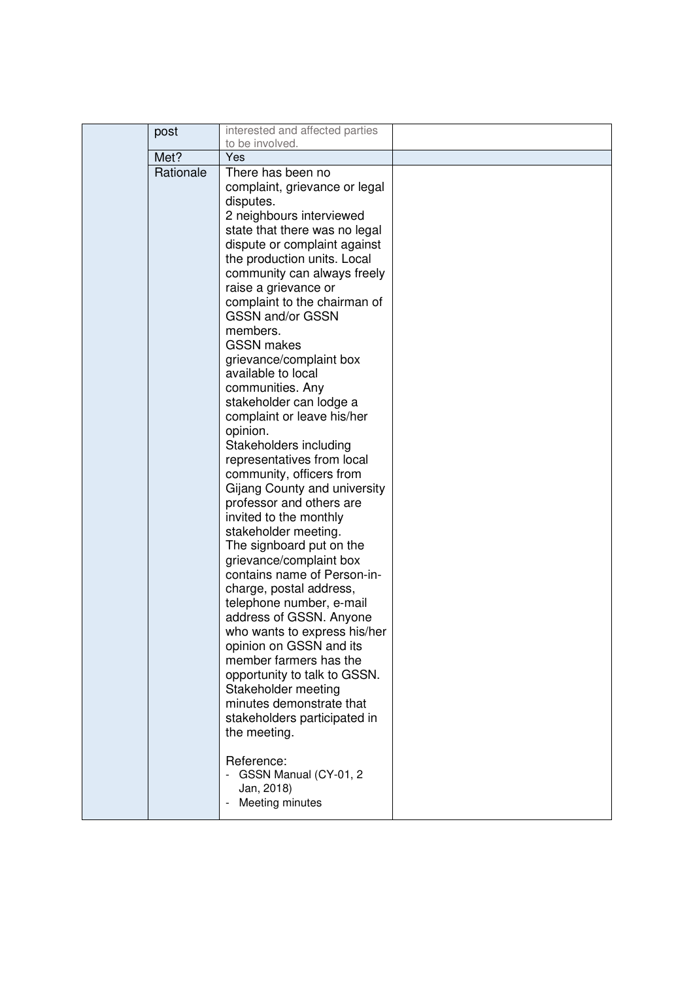| post      | interested and affected parties                                                                                                                                                                                                                                                                                                                                                                                                                                                                                                                                                                                                                                                                                                                                                                                                                                                                                                                                                                                                                                                                          |  |
|-----------|----------------------------------------------------------------------------------------------------------------------------------------------------------------------------------------------------------------------------------------------------------------------------------------------------------------------------------------------------------------------------------------------------------------------------------------------------------------------------------------------------------------------------------------------------------------------------------------------------------------------------------------------------------------------------------------------------------------------------------------------------------------------------------------------------------------------------------------------------------------------------------------------------------------------------------------------------------------------------------------------------------------------------------------------------------------------------------------------------------|--|
|           | to be involved.                                                                                                                                                                                                                                                                                                                                                                                                                                                                                                                                                                                                                                                                                                                                                                                                                                                                                                                                                                                                                                                                                          |  |
| Met?      | Yes                                                                                                                                                                                                                                                                                                                                                                                                                                                                                                                                                                                                                                                                                                                                                                                                                                                                                                                                                                                                                                                                                                      |  |
| Rationale | There has been no<br>complaint, grievance or legal<br>disputes.<br>2 neighbours interviewed<br>state that there was no legal<br>dispute or complaint against<br>the production units. Local<br>community can always freely<br>raise a grievance or<br>complaint to the chairman of<br><b>GSSN and/or GSSN</b><br>members.<br><b>GSSN</b> makes<br>grievance/complaint box<br>available to local<br>communities. Any<br>stakeholder can lodge a<br>complaint or leave his/her<br>opinion.<br>Stakeholders including<br>representatives from local<br>community, officers from<br>Gijang County and university<br>professor and others are<br>invited to the monthly<br>stakeholder meeting.<br>The signboard put on the<br>grievance/complaint box<br>contains name of Person-in-<br>charge, postal address,<br>telephone number, e-mail<br>address of GSSN. Anyone<br>who wants to express his/her<br>opinion on GSSN and its<br>member farmers has the<br>opportunity to talk to GSSN.<br>Stakeholder meeting<br>minutes demonstrate that<br>stakeholders participated in<br>the meeting.<br>Reference: |  |
|           | GSSN Manual (CY-01, 2<br>Jan, 2018)<br>Meeting minutes                                                                                                                                                                                                                                                                                                                                                                                                                                                                                                                                                                                                                                                                                                                                                                                                                                                                                                                                                                                                                                                   |  |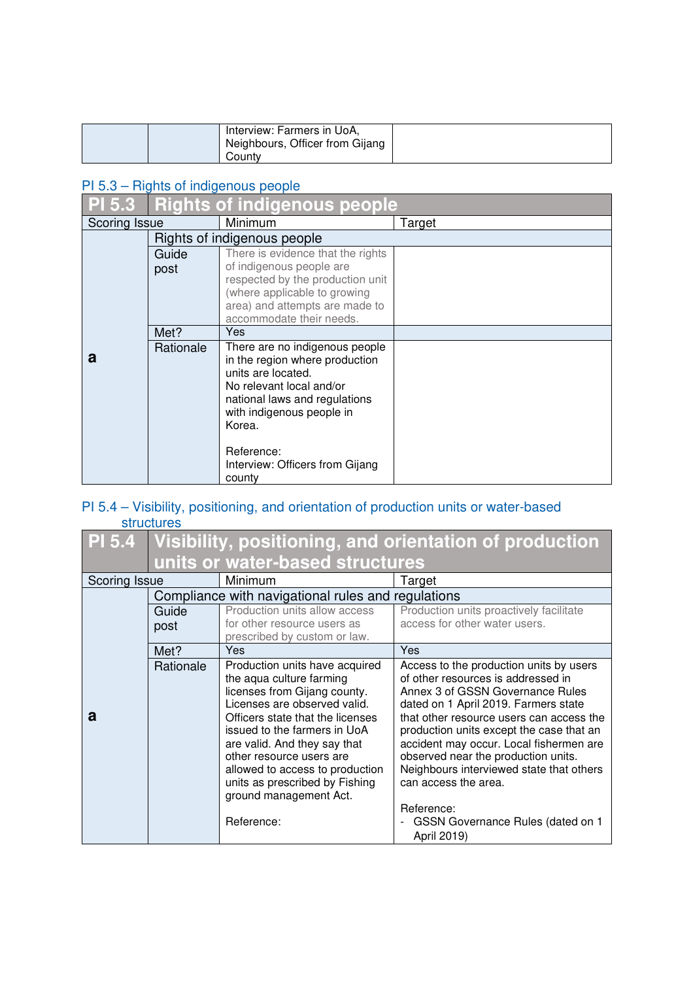|  | Interview: Farmers in UoA,<br>Neighbours, Officer from Gijang |  |
|--|---------------------------------------------------------------|--|
|  | County                                                        |  |

### PI 5.3 – Rights of indigenous people

| <b>PI 5.3</b> | <b>Rights of indigenous people</b> |                                                                                                                                                                                                          |        |
|---------------|------------------------------------|----------------------------------------------------------------------------------------------------------------------------------------------------------------------------------------------------------|--------|
| Scoring Issue |                                    | Minimum                                                                                                                                                                                                  | Target |
|               |                                    | Rights of indigenous people                                                                                                                                                                              |        |
|               | Guide                              | There is evidence that the rights                                                                                                                                                                        |        |
|               | post                               | of indigenous people are                                                                                                                                                                                 |        |
|               |                                    | respected by the production unit                                                                                                                                                                         |        |
|               |                                    | (where applicable to growing<br>area) and attempts are made to                                                                                                                                           |        |
|               |                                    | accommodate their needs.                                                                                                                                                                                 |        |
|               | Met?                               | Yes                                                                                                                                                                                                      |        |
| a             | Rationale                          | There are no indigenous people<br>in the region where production<br>units are located.<br>No relevant local and/or<br>national laws and regulations<br>with indigenous people in<br>Korea.<br>Reference: |        |
|               |                                    | Interview: Officers from Gijang<br>county                                                                                                                                                                |        |

### PI 5.4 – Visibility, positioning, and orientation of production units or water-based structures

| <b>PI 5.4</b> | Visibility, positioning, and orientation of production |                                                              |                                                                                  |
|---------------|--------------------------------------------------------|--------------------------------------------------------------|----------------------------------------------------------------------------------|
|               |                                                        | units or water-based structures                              |                                                                                  |
| Scoring Issue |                                                        | Minimum                                                      | Target                                                                           |
|               |                                                        | Compliance with navigational rules and regulations           |                                                                                  |
|               | Guide                                                  | Production units allow access                                | Production units proactively facilitate                                          |
|               | post                                                   | for other resource users as                                  | access for other water users.                                                    |
|               |                                                        | prescribed by custom or law.                                 |                                                                                  |
|               | Met?                                                   | Yes                                                          | Yes                                                                              |
|               | Rationale                                              | Production units have acquired                               | Access to the production units by users                                          |
|               |                                                        | the aqua culture farming                                     | of other resources is addressed in                                               |
|               |                                                        | licenses from Gijang county.<br>Licenses are observed valid. | Annex 3 of GSSN Governance Rules                                                 |
| a             |                                                        | Officers state that the licenses                             | dated on 1 April 2019. Farmers state<br>that other resource users can access the |
|               |                                                        | issued to the farmers in UoA                                 | production units except the case that an                                         |
|               |                                                        | are valid. And they say that                                 | accident may occur. Local fishermen are                                          |
|               |                                                        | other resource users are                                     | observed near the production units.                                              |
|               |                                                        | allowed to access to production                              | Neighbours interviewed state that others                                         |
|               |                                                        | units as prescribed by Fishing                               | can access the area.                                                             |
|               |                                                        | ground management Act.                                       |                                                                                  |
|               |                                                        |                                                              | Reference:                                                                       |
|               |                                                        | Reference:                                                   | GSSN Governance Rules (dated on 1                                                |
|               |                                                        |                                                              | April 2019)                                                                      |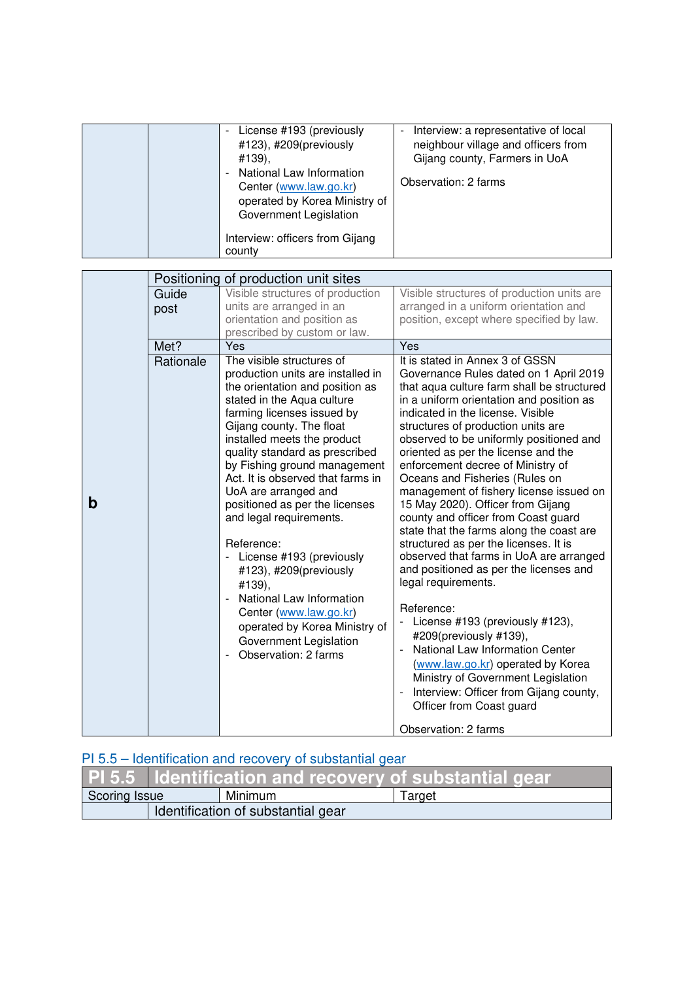|  | License #193 (previously<br>#123), #209(previously<br>#139),<br>National Law Information<br>$\overline{\phantom{0}}$<br>Center (www.law.go.kr)<br>operated by Korea Ministry of<br>Government Legislation | Interview: a representative of local<br>neighbour village and officers from<br>Gijang county, Farmers in UoA<br>Observation: 2 farms |
|--|-----------------------------------------------------------------------------------------------------------------------------------------------------------------------------------------------------------|--------------------------------------------------------------------------------------------------------------------------------------|
|  | Interview: officers from Gijang<br>county                                                                                                                                                                 |                                                                                                                                      |

|   |           | Positioning of production unit sites                        |                                                                          |
|---|-----------|-------------------------------------------------------------|--------------------------------------------------------------------------|
|   | Guide     | Visible structures of production                            | Visible structures of production units are                               |
|   | post      | units are arranged in an                                    | arranged in a uniform orientation and                                    |
|   |           | orientation and position as<br>prescribed by custom or law. | position, except where specified by law.                                 |
|   | Met?      | Yes                                                         | Yes                                                                      |
|   | Rationale | The visible structures of                                   | It is stated in Annex 3 of GSSN                                          |
|   |           | production units are installed in                           | Governance Rules dated on 1 April 2019                                   |
|   |           | the orientation and position as                             | that aqua culture farm shall be structured                               |
|   |           | stated in the Aqua culture                                  | in a uniform orientation and position as                                 |
|   |           | farming licenses issued by<br>Gijang county. The float      | indicated in the license. Visible<br>structures of production units are  |
|   |           | installed meets the product                                 | observed to be uniformly positioned and                                  |
|   |           | quality standard as prescribed                              | oriented as per the license and the                                      |
|   |           | by Fishing ground management                                | enforcement decree of Ministry of                                        |
|   |           | Act. It is observed that farms in                           | Oceans and Fisheries (Rules on                                           |
|   |           | UoA are arranged and                                        | management of fishery license issued on                                  |
| b |           | positioned as per the licenses<br>and legal requirements.   | 15 May 2020). Officer from Gijang<br>county and officer from Coast guard |
|   |           |                                                             | state that the farms along the coast are                                 |
|   |           | Reference:                                                  | structured as per the licenses. It is                                    |
|   |           | License #193 (previously                                    | observed that farms in UoA are arranged                                  |
|   |           | #123), #209(previously                                      | and positioned as per the licenses and                                   |
|   |           | #139),                                                      | legal requirements.                                                      |
|   |           | National Law Information                                    | Reference:                                                               |
|   |           | Center (www.law.go.kr)                                      | License #193 (previously #123),                                          |
|   |           | operated by Korea Ministry of<br>Government Legislation     | #209(previously #139),                                                   |
|   |           | Observation: 2 farms                                        | National Law Information Center                                          |
|   |           |                                                             | (www.law.go.kr) operated by Korea                                        |
|   |           |                                                             | Ministry of Government Legislation                                       |
|   |           |                                                             | Interview: Officer from Gijang county,                                   |
|   |           |                                                             | Officer from Coast guard                                                 |
|   |           |                                                             | Observation: 2 farms                                                     |

## PI 5.5 – Identification and recovery of substantial gear

|                                    | <b>PI 5.5 Identification and recovery of substantial gear</b> |         |        |
|------------------------------------|---------------------------------------------------------------|---------|--------|
| Scoring Issue                      |                                                               | Minimum | Target |
| Identification of substantial gear |                                                               |         |        |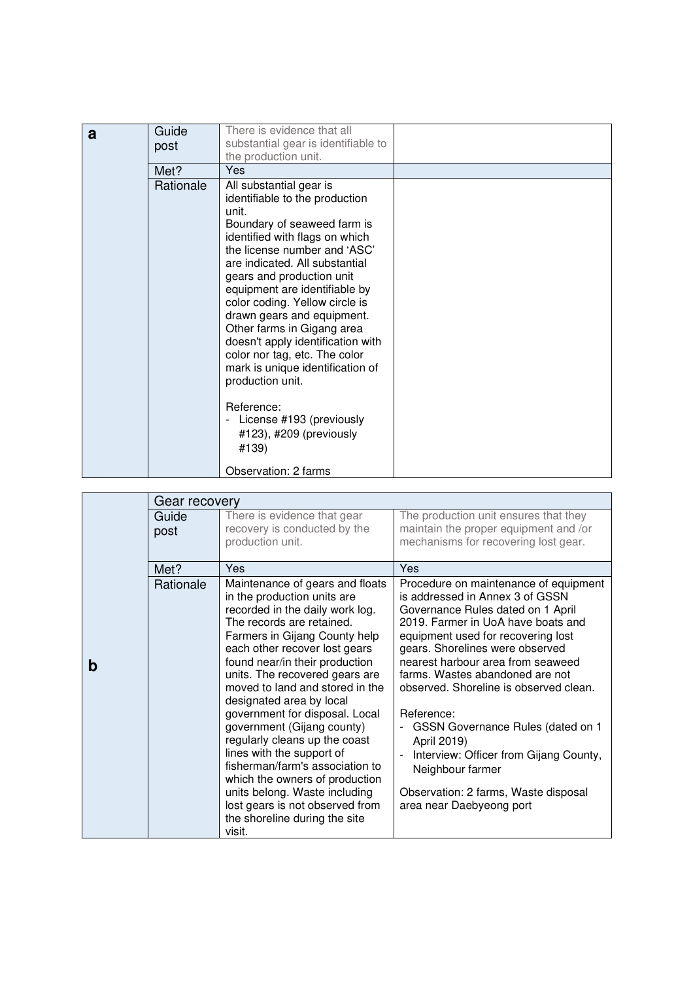| a | Guide<br>post | There is evidence that all<br>substantial gear is identifiable to<br>the production unit.                                                                                                                                                                                                                                                                                                                                                                                                       |  |
|---|---------------|-------------------------------------------------------------------------------------------------------------------------------------------------------------------------------------------------------------------------------------------------------------------------------------------------------------------------------------------------------------------------------------------------------------------------------------------------------------------------------------------------|--|
|   | Met?          | Yes                                                                                                                                                                                                                                                                                                                                                                                                                                                                                             |  |
|   | Rationale     | All substantial gear is<br>identifiable to the production<br>unit.<br>Boundary of seaweed farm is<br>identified with flags on which<br>the license number and 'ASC'<br>are indicated. All substantial<br>gears and production unit<br>equipment are identifiable by<br>color coding. Yellow circle is<br>drawn gears and equipment.<br>Other farms in Gigang area<br>doesn't apply identification with<br>color nor tag, etc. The color<br>mark is unique identification of<br>production unit. |  |
|   |               | Reference:<br>License #193 (previously<br>#123), #209 (previously<br>#139)                                                                                                                                                                                                                                                                                                                                                                                                                      |  |
|   |               | Observation: 2 farms                                                                                                                                                                                                                                                                                                                                                                                                                                                                            |  |

|   | Gear recovery |                                                                                                                                                                                                                                                                                                                                                                                                                                                                                                                                                                                                                                                       |                                                                                                                                                                                                                                                                                                                                                                                                                                                                                                                                                    |
|---|---------------|-------------------------------------------------------------------------------------------------------------------------------------------------------------------------------------------------------------------------------------------------------------------------------------------------------------------------------------------------------------------------------------------------------------------------------------------------------------------------------------------------------------------------------------------------------------------------------------------------------------------------------------------------------|----------------------------------------------------------------------------------------------------------------------------------------------------------------------------------------------------------------------------------------------------------------------------------------------------------------------------------------------------------------------------------------------------------------------------------------------------------------------------------------------------------------------------------------------------|
|   | Guide<br>post | There is evidence that gear<br>recovery is conducted by the<br>production unit.                                                                                                                                                                                                                                                                                                                                                                                                                                                                                                                                                                       | The production unit ensures that they<br>maintain the proper equipment and /or<br>mechanisms for recovering lost gear.                                                                                                                                                                                                                                                                                                                                                                                                                             |
|   | Met?          | Yes                                                                                                                                                                                                                                                                                                                                                                                                                                                                                                                                                                                                                                                   | Yes                                                                                                                                                                                                                                                                                                                                                                                                                                                                                                                                                |
| b | Rationale     | Maintenance of gears and floats<br>in the production units are<br>recorded in the daily work log.<br>The records are retained.<br>Farmers in Gijang County help<br>each other recover lost gears<br>found near/in their production<br>units. The recovered gears are<br>moved to land and stored in the<br>designated area by local<br>government for disposal. Local<br>government (Gijang county)<br>regularly cleans up the coast<br>lines with the support of<br>fisherman/farm's association to<br>which the owners of production<br>units belong. Waste including<br>lost gears is not observed from<br>the shoreline during the site<br>visit. | Procedure on maintenance of equipment<br>is addressed in Annex 3 of GSSN<br>Governance Rules dated on 1 April<br>2019. Farmer in UoA have boats and<br>equipment used for recovering lost<br>gears. Shorelines were observed<br>nearest harbour area from seaweed<br>farms. Wastes abandoned are not<br>observed. Shoreline is observed clean.<br>Reference:<br>GSSN Governance Rules (dated on 1<br>April 2019)<br>Interview: Officer from Gijang County,<br>Neighbour farmer<br>Observation: 2 farms, Waste disposal<br>area near Daebyeong port |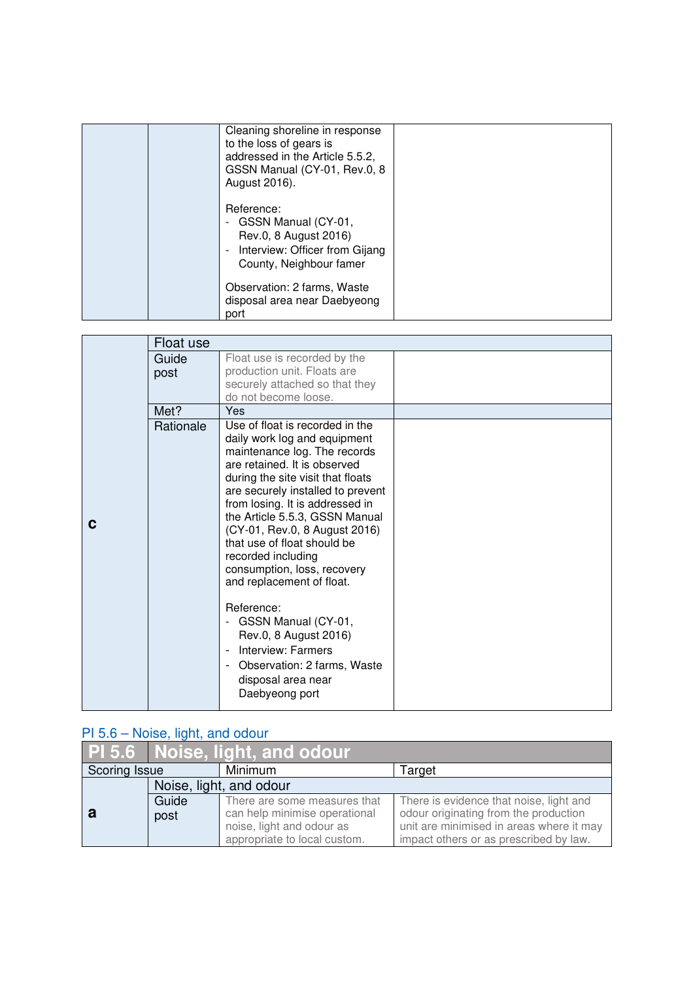|  | Cleaning shoreline in response<br>to the loss of gears is<br>addressed in the Article 5.5.2,<br>GSSN Manual (CY-01, Rev.0, 8<br>August 2016).       |  |
|--|-----------------------------------------------------------------------------------------------------------------------------------------------------|--|
|  | Reference:<br>GSSN Manual (CY-01,<br>Rev.0, 8 August 2016)<br>Interview: Officer from Gijang<br>$\overline{\phantom{a}}$<br>County, Neighbour famer |  |
|  | Observation: 2 farms, Waste<br>disposal area near Daebyeong<br>port                                                                                 |  |

|   | Float use     |                                                                                                                                                                                                                                                                                                                                                                                                                                                                                                                                                                                                                                           |  |
|---|---------------|-------------------------------------------------------------------------------------------------------------------------------------------------------------------------------------------------------------------------------------------------------------------------------------------------------------------------------------------------------------------------------------------------------------------------------------------------------------------------------------------------------------------------------------------------------------------------------------------------------------------------------------------|--|
|   | Guide<br>post | Float use is recorded by the<br>production unit. Floats are<br>securely attached so that they<br>do not become loose.                                                                                                                                                                                                                                                                                                                                                                                                                                                                                                                     |  |
|   | Met?          | Yes                                                                                                                                                                                                                                                                                                                                                                                                                                                                                                                                                                                                                                       |  |
| C | Rationale     | Use of float is recorded in the<br>daily work log and equipment<br>maintenance log. The records<br>are retained. It is observed<br>during the site visit that floats<br>are securely installed to prevent<br>from losing. It is addressed in<br>the Article 5.5.3, GSSN Manual<br>(CY-01, Rev.0, 8 August 2016)<br>that use of float should be<br>recorded including<br>consumption, loss, recovery<br>and replacement of float.<br>Reference:<br>GSSN Manual (CY-01,<br>Rev.0, 8 August 2016)<br>Interview: Farmers<br>$\blacksquare$<br>Observation: 2 farms, Waste<br>$\overline{\phantom{a}}$<br>disposal area near<br>Daebyeong port |  |

## PI 5.6 – Noise, light, and odour<br>
Management Ann and Solomon Management Ann and Ann and Ann and Ann and Ann and Ann and Ann and Ann and Ann and Ann and Ann and Ann and Ann and Ann and Ann and Ann and Ann and Ann and Ann an

|                         | PI 5.6 Noise, light, and odour |                               |                                          |
|-------------------------|--------------------------------|-------------------------------|------------------------------------------|
| Scoring Issue           |                                | Minimum                       | Target                                   |
| Noise, light, and odour |                                |                               |                                          |
|                         | Guide                          | There are some measures that  | There is evidence that noise, light and  |
| а                       | post                           | can help minimise operational | odour originating from the production    |
|                         |                                | noise, light and odour as     | unit are minimised in areas where it may |
|                         |                                | appropriate to local custom.  | impact others or as prescribed by law.   |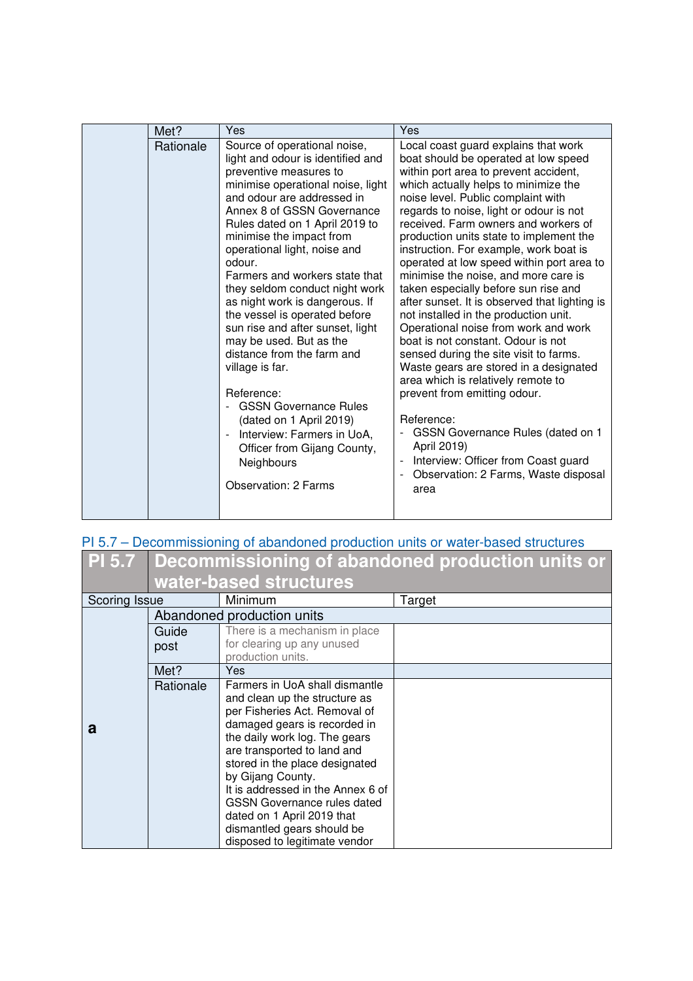| Met?      | Yes                                                                                                                                                                                                                                                                                                                                                                                                                                                                                                                                                                                                                                                                                                                                            | Yes                                                                                                                                                                                                                                                                                                                                                                                                                                                                                                                                                                                                                                                                                                                                                                                                                                                                                                                                                                                                 |
|-----------|------------------------------------------------------------------------------------------------------------------------------------------------------------------------------------------------------------------------------------------------------------------------------------------------------------------------------------------------------------------------------------------------------------------------------------------------------------------------------------------------------------------------------------------------------------------------------------------------------------------------------------------------------------------------------------------------------------------------------------------------|-----------------------------------------------------------------------------------------------------------------------------------------------------------------------------------------------------------------------------------------------------------------------------------------------------------------------------------------------------------------------------------------------------------------------------------------------------------------------------------------------------------------------------------------------------------------------------------------------------------------------------------------------------------------------------------------------------------------------------------------------------------------------------------------------------------------------------------------------------------------------------------------------------------------------------------------------------------------------------------------------------|
| Rationale | Source of operational noise,<br>light and odour is identified and<br>preventive measures to<br>minimise operational noise, light<br>and odour are addressed in<br>Annex 8 of GSSN Governance<br>Rules dated on 1 April 2019 to<br>minimise the impact from<br>operational light, noise and<br>odour.<br>Farmers and workers state that<br>they seldom conduct night work<br>as night work is dangerous. If<br>the vessel is operated before<br>sun rise and after sunset, light<br>may be used. But as the<br>distance from the farm and<br>village is far.<br>Reference:<br><b>GSSN Governance Rules</b><br>(dated on 1 April 2019)<br>Interview: Farmers in UoA,<br>Officer from Gijang County,<br>Neighbours<br><b>Observation: 2 Farms</b> | Local coast guard explains that work<br>boat should be operated at low speed<br>within port area to prevent accident,<br>which actually helps to minimize the<br>noise level. Public complaint with<br>regards to noise, light or odour is not<br>received. Farm owners and workers of<br>production units state to implement the<br>instruction. For example, work boat is<br>operated at low speed within port area to<br>minimise the noise, and more care is<br>taken especially before sun rise and<br>after sunset. It is observed that lighting is<br>not installed in the production unit.<br>Operational noise from work and work<br>boat is not constant. Odour is not<br>sensed during the site visit to farms.<br>Waste gears are stored in a designated<br>area which is relatively remote to<br>prevent from emitting odour.<br>Reference:<br>GSSN Governance Rules (dated on 1<br>April 2019)<br>Interview: Officer from Coast guard<br>Observation: 2 Farms, Waste disposal<br>area |

| PI 5.7 – Decommissioning of abandoned production units or water-based structures |                                                                |  |  |
|----------------------------------------------------------------------------------|----------------------------------------------------------------|--|--|
|                                                                                  | <b>PI 5.7 Decommissioning of abandoned production units or</b> |  |  |
|                                                                                  | water-based structures                                         |  |  |

|               | mator paooa on aotaroo     |                                                        |        |
|---------------|----------------------------|--------------------------------------------------------|--------|
| Scoring Issue |                            | Minimum                                                | Target |
|               | Abandoned production units |                                                        |        |
|               | Guide                      | There is a mechanism in place                          |        |
|               | post                       | for clearing up any unused                             |        |
|               |                            | production units.                                      |        |
|               | Met?                       | Yes.                                                   |        |
|               | Rationale                  | Farmers in UoA shall dismantle                         |        |
|               |                            | and clean up the structure as                          |        |
|               |                            | per Fisheries Act. Removal of                          |        |
| a             |                            | damaged gears is recorded in                           |        |
|               |                            | the daily work log. The gears                          |        |
|               |                            | are transported to land and                            |        |
|               |                            | stored in the place designated                         |        |
|               |                            | by Gijang County.<br>It is addressed in the Annex 6 of |        |
|               |                            |                                                        |        |
|               |                            | <b>GSSN Governance rules dated</b>                     |        |
|               |                            | dated on 1 April 2019 that                             |        |
|               |                            | dismantled gears should be                             |        |
|               |                            | disposed to legitimate vendor                          |        |